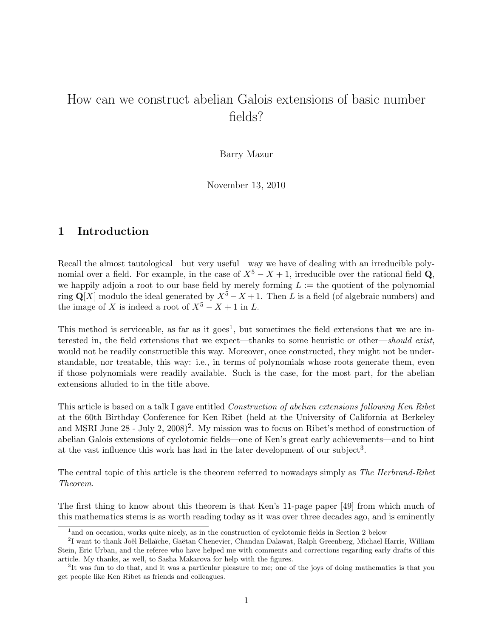# How can we construct abelian Galois extensions of basic number fields?

Barry Mazur

November 13, 2010

## 1 Introduction

Recall the almost tautological—but very useful—way we have of dealing with an irreducible polynomial over a field. For example, in the case of  $X^5 - X + 1$ , irreducible over the rational field Q, we happily adjoin a root to our base field by merely forming  $L :=$  the quotient of the polynomial ring Q[X] modulo the ideal generated by  $X^5 - X + 1$ . Then L is a field (of algebraic numbers) and the image of X is indeed a root of  $X^5 - X + 1$  in L.

This method is serviceable, as far as it goes<sup>1</sup>, but sometimes the field extensions that we are interested in, the field extensions that we expect—thanks to some heuristic or other—should exist, would not be readily constructible this way. Moreover, once constructed, they might not be understandable, nor treatable, this way: i.e., in terms of polynomials whose roots generate them, even if those polynomials were readily available. Such is the case, for the most part, for the abelian extensions alluded to in the title above.

This article is based on a talk I gave entitled Construction of abelian extensions following Ken Ribet at the 60th Birthday Conference for Ken Ribet (held at the University of California at Berkeley and MSRI June  $28$  - July 2,  $2008)^2$ . My mission was to focus on Ribet's method of construction of abelian Galois extensions of cyclotomic fields—one of Ken's great early achievements—and to hint at the vast influence this work has had in the later development of our subject<sup>3</sup>.

The central topic of this article is the theorem referred to nowadays simply as The Herbrand-Ribet Theorem.

The first thing to know about this theorem is that Ken's 11-page paper [49] from which much of this mathematics stems is as worth reading today as it was over three decades ago, and is eminently

<sup>&</sup>lt;sup>1</sup> and on occasion, works quite nicely, as in the construction of cyclotomic fields in Section 2 below

<sup>&</sup>lt;sup>2</sup>I want to thank Joël Bellaïche, Gaëtan Chenevier, Chandan Dalawat, Ralph Greenberg, Michael Harris, William Stein, Eric Urban, and the referee who have helped me with comments and corrections regarding early drafts of this article. My thanks, as well, to Sasha Makarova for help with the figures.

<sup>&</sup>lt;sup>3</sup>It was fun to do that, and it was a particular pleasure to me; one of the joys of doing mathematics is that you get people like Ken Ribet as friends and colleagues.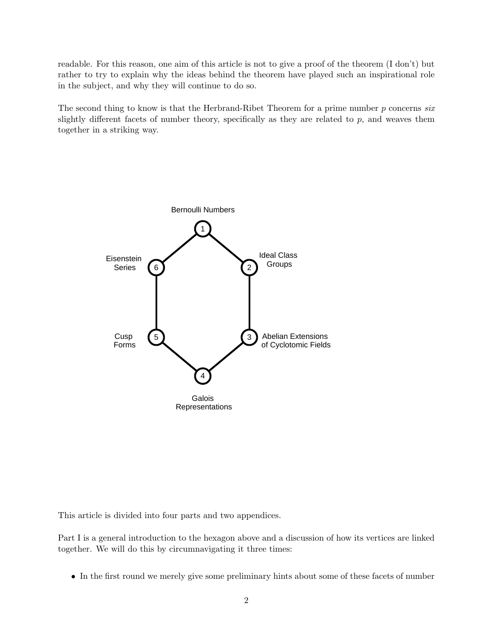readable. For this reason, one aim of this article is not to give a proof of the theorem (I don't) but rather to try to explain why the ideas behind the theorem have played such an inspirational role in the subject, and why they will continue to do so.

The second thing to know is that the Herbrand-Ribet Theorem for a prime number  $p$  concerns six slightly different facets of number theory, specifically as they are related to  $p$ , and weaves them together in a striking way.



This article is divided into four parts and two appendices.

Part I is a general introduction to the hexagon above and a discussion of how its vertices are linked together. We will do this by circumnavigating it three times:

• In the first round we merely give some preliminary hints about some of these facets of number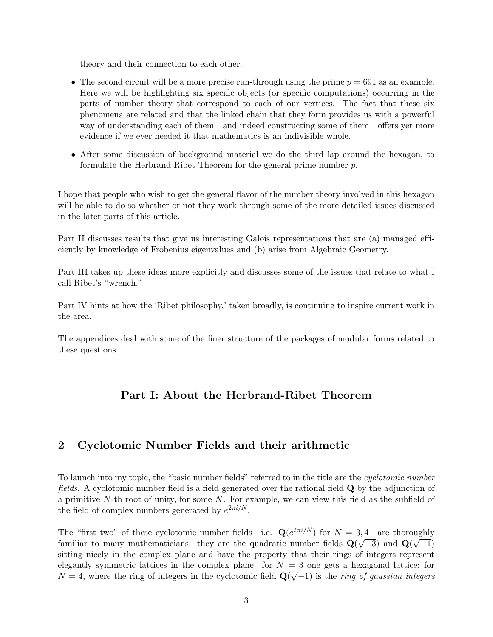theory and their connection to each other.

- The second circuit will be a more precise run-through using the prime  $p = 691$  as an example. Here we will be highlighting six specific objects (or specific computations) occurring in the parts of number theory that correspond to each of our vertices. The fact that these six phenomena are related and that the linked chain that they form provides us with a powerful way of understanding each of them—and indeed constructing some of them—offers yet more evidence if we ever needed it that mathematics is an indivisible whole.
- After some discussion of background material we do the third lap around the hexagon, to formulate the Herbrand-Ribet Theorem for the general prime number p.

I hope that people who wish to get the general flavor of the number theory involved in this hexagon will be able to do so whether or not they work through some of the more detailed issues discussed in the later parts of this article.

Part II discusses results that give us interesting Galois representations that are (a) managed efficiently by knowledge of Frobenius eigenvalues and (b) arise from Algebraic Geometry.

Part III takes up these ideas more explicitly and discusses some of the issues that relate to what I call Ribet's "wrench."

Part IV hints at how the 'Ribet philosophy,' taken broadly, is continuing to inspire current work in the area.

The appendices deal with some of the finer structure of the packages of modular forms related to these questions.

## Part I: About the Herbrand-Ribet Theorem

### 2 Cyclotomic Number Fields and their arithmetic

To launch into my topic, the "basic number fields" referred to in the title are the cyclotomic number fields. A cyclotomic number field is a field generated over the rational field Q by the adjunction of a primitive N-th root of unity, for some N. For example, we can view this field as the subfield of the field of complex numbers generated by  $e^{2\pi i/N}$ .

The "first two" of these cyclotomic number fields—i.e.  $\mathbf{Q}(e^{2\pi i/N})$  for  $N = 3, 4$ —are thoroughly familiar to many mathematicians: they are the quadratic number fields  $\mathbf{Q}(\sqrt{-3})$  and  $\mathbf{Q}(\sqrt{-1})$ sitting nicely in the complex plane and have the property that their rings of integers represent elegantly symmetric lattices in the complex plane: for  $N = 3$  one gets a hexagonal lattice; for  $N = 4$ , where the ring of integers in the cyclotomic field  $\mathbf{Q}(\sqrt{-1})$  is the *ring of gaussian integers*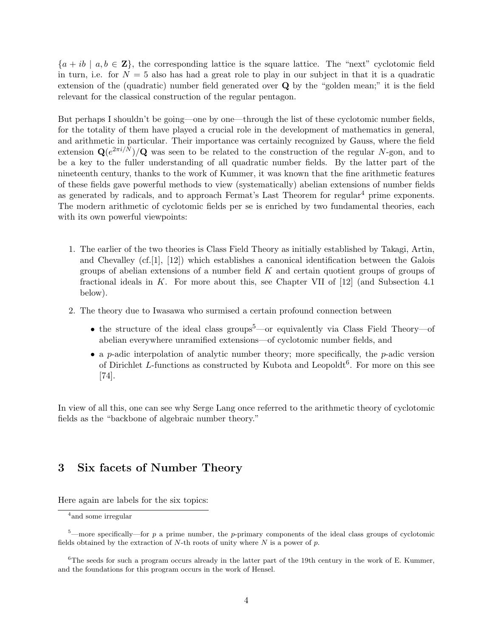${a + ib \mid a, b \in \mathbf{Z}}$ , the corresponding lattice is the square lattice. The "next" cyclotomic field in turn, i.e. for  $N = 5$  also has had a great role to play in our subject in that it is a quadratic extension of the (quadratic) number field generated over Q by the "golden mean;" it is the field relevant for the classical construction of the regular pentagon.

But perhaps I shouldn't be going—one by one—through the list of these cyclotomic number fields, for the totality of them have played a crucial role in the development of mathematics in general, and arithmetic in particular. Their importance was certainly recognized by Gauss, where the field extension  $\mathbf{Q}(e^{2\pi i/N})/\mathbf{Q}$  was seen to be related to the construction of the regular N-gon, and to be a key to the fuller understanding of all quadratic number fields. By the latter part of the nineteenth century, thanks to the work of Kummer, it was known that the fine arithmetic features of these fields gave powerful methods to view (systematically) abelian extensions of number fields as generated by radicals, and to approach Fermat's Last Theorem for regular<sup>4</sup> prime exponents. The modern arithmetic of cyclotomic fields per se is enriched by two fundamental theories, each with its own powerful viewpoints:

- 1. The earlier of the two theories is Class Field Theory as initially established by Takagi, Artin, and Chevalley  $(cf.[1], [12])$  which establishes a canonical identification between the Galois groups of abelian extensions of a number field  $K$  and certain quotient groups of groups of fractional ideals in K. For more about this, see Chapter VII of  $[12]$  (and Subsection 4.1) below).
- 2. The theory due to Iwasawa who surmised a certain profound connection between
	- the structure of the ideal class groups<sup>5</sup>—or equivalently via Class Field Theory—of abelian everywhere unramified extensions—of cyclotomic number fields, and
	- a p-adic interpolation of analytic number theory; more specifically, the p-adic version of Dirichlet L-functions as constructed by Kubota and Leopoldt<sup>6</sup>. For more on this see [74].

In view of all this, one can see why Serge Lang once referred to the arithmetic theory of cyclotomic fields as the "backbone of algebraic number theory."

### 3 Six facets of Number Theory

Here again are labels for the six topics:

<sup>4</sup> and some irregular

 $5$ —more specifically—for p a prime number, the p-primary components of the ideal class groups of cyclotomic fields obtained by the extraction of N-th roots of unity where  $N$  is a power of  $p$ .

<sup>&</sup>lt;sup>6</sup>The seeds for such a program occurs already in the latter part of the 19th century in the work of E. Kummer, and the foundations for this program occurs in the work of Hensel.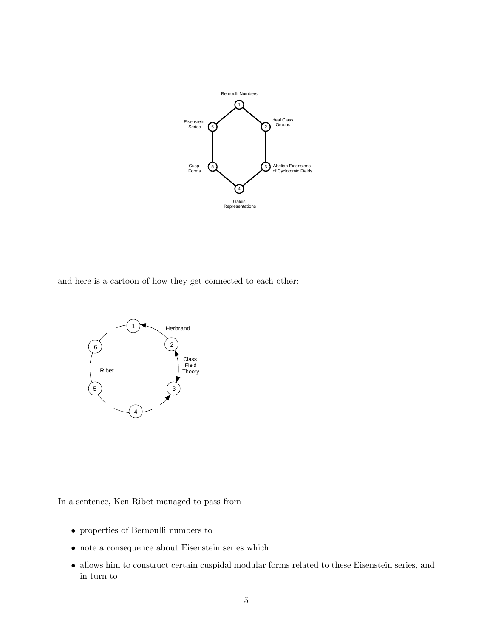

and here is a cartoon of how they get connected to each other:



In a sentence, Ken Ribet managed to pass from

- properties of Bernoulli numbers to
- note a consequence about Eisenstein series which
- allows him to construct certain cuspidal modular forms related to these Eisenstein series, and in turn to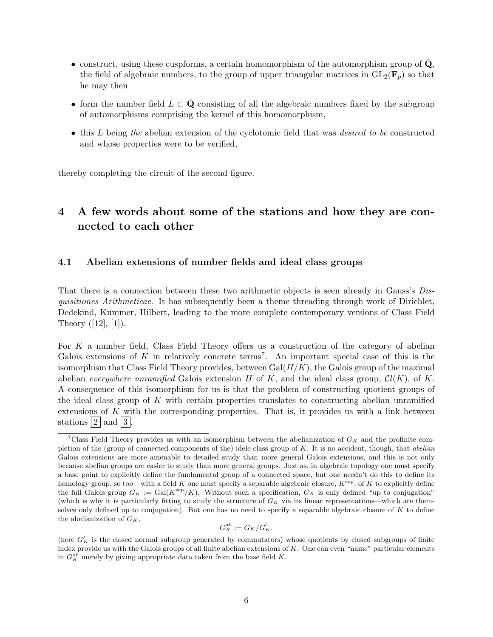- construct, using these cuspforms, a certain homomorphism of the automorphism group of  $\mathbf{Q}$ , the field of algebraic numbers, to the group of upper triangular matrices in  $GL_2(\mathbf{F}_p)$  so that he may then
- form the number field  $L \subset \mathbf{Q}$  consisting of all the algebraic numbers fixed by the subgroup of automorphisms comprising the kernel of this homomorphism,
- this L being the abelian extension of the cyclotomic field that was *desired to be* constructed and whose properties were to be verified,

thereby completing the circuit of the second figure.

## 4 A few words about some of the stations and how they are connected to each other

#### 4.1 Abelian extensions of number fields and ideal class groups

That there is a connection between these two arithmetic objects is seen already in Gauss's Disquisitiones Arithmeticae. It has subsequently been a theme threading through work of Dirichlet, Dedekind, Kummer, Hilbert, leading to the more complete contemporary versions of Class Field Theory  $([12], [1])$ .

For  $K$  a number field, Class Field Theory offers us a construction of the category of abelian Galois extensions of  $K$  in relatively concrete terms<sup>7</sup>. An important special case of this is the isomorphism that Class Field Theory provides, between  $Gal(H/K)$ , the Galois group of the maximal abelian everywhere unramified Galois extension H of K, and the ideal class group,  $Cl(K)$ , of K. A consequence of this isomorphism for us is that the problem of constructing quotient groups of the ideal class group of K with certain properties translates to constructing abelian unramified extensions of  $K$  with the corresponding properties. That is, it provides us with a link between stations  $2 \mid$  and  $|3|$ .

$$
G_K^{\rm ab} := G_K/G_K'.
$$

<sup>&</sup>lt;sup>7</sup>Class Field Theory provides us with an isomorphism between the abelianization of  $G_K$  and the profinite completion of the (group of connected components of the) idele class group of K. It is no accident, though, that abelian Galois extensions are more amenable to detailed study than more general Galois extensions, and this is not only because abelian groups are easier to study than more general groups. Just as, in algebraic topology one must specify a base point to explicitly define the fundamental group of a connected space, but one needn't do this to define its homology group, so too—with a field K one must specify a separable algebraic closure,  $K^{\text{sep}}$ , of K to explicitly define the full Galois group  $G_K := \text{Gal}(K^{\text{sep}}/K)$ . Without such a specification,  $G_K$  is only defined "up to conjugation" (which is why it is particularly fitting to study the structure of  $G_K$  via its linear representations—which are themselves only defined up to conjugation). But one has no need to specify a separable algebraic closure of K to define the abelianization of  $G_K$ ,

<sup>(</sup>here  $G'_{K}$  is the closed normal subgroup generated by commutators) whose quotients by closed subgroups of finite index provide us with the Galois groups of all finite abelian extensions of K. One can even "name" particular elements in  $G_K^{\text{ab}}$  merely by giving appropriate data taken from the base field K.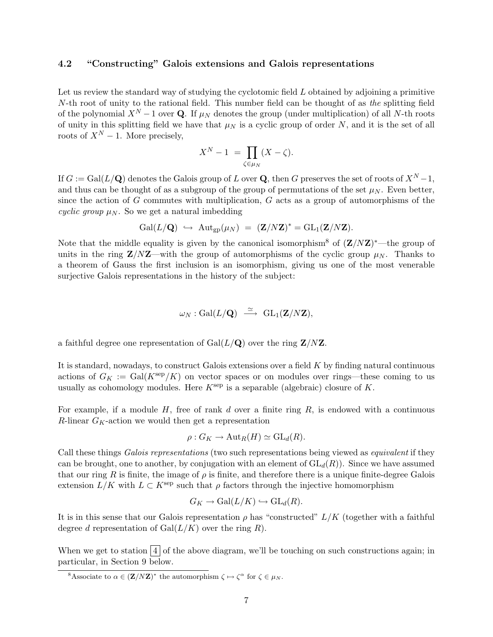### 4.2 "Constructing" Galois extensions and Galois representations

Let us review the standard way of studying the cyclotomic field L obtained by adjoining a primitive N-th root of unity to the rational field. This number field can be thought of as the splitting field of the polynomial  $X^N - 1$  over Q. If  $\mu_N$  denotes the group (under multiplication) of all N-th roots of unity in this splitting field we have that  $\mu_N$  is a cyclic group of order N, and it is the set of all roots of  $X^N - 1$ . More precisely,

$$
X^N - 1 = \prod_{\zeta \in \mu_N} (X - \zeta).
$$

If  $G := \text{Gal}(L/\mathbf{Q})$  denotes the Galois group of L over  $\mathbf{Q}$ , then G preserves the set of roots of  $X^N - 1$ , and thus can be thought of as a subgroup of the group of permutations of the set  $\mu_N$ . Even better, since the action of  $G$  commutes with multiplication,  $G$  acts as a group of automorphisms of the cyclic group  $\mu_N$ . So we get a natural imbedding

$$
\operatorname{Gal}(L/\mathbf{Q}) \ \hookrightarrow \ \operatorname{Aut}_{\rm gp}(\mu_N) \ = \ (\mathbf{Z}/N\mathbf{Z})^* = \operatorname{GL}_1(\mathbf{Z}/N\mathbf{Z}).
$$

Note that the middle equality is given by the canonical isomorphism<sup>8</sup> of  $(\mathbf{Z}/N\mathbf{Z})^*$ —the group of units in the ring  $\mathbb{Z}/N\mathbb{Z}$ —with the group of automorphisms of the cyclic group  $\mu_N$ . Thanks to a theorem of Gauss the first inclusion is an isomorphism, giving us one of the most venerable surjective Galois representations in the history of the subject:

$$
\omega_N : \mathrm{Gal}(L/\mathbf{Q}) \ \stackrel{\simeq}{\longrightarrow} \ \mathrm{GL}_1(\mathbf{Z}/N\mathbf{Z}),
$$

a faithful degree one representation of  $Gal(L/Q)$  over the ring  $\mathbf{Z}/N\mathbf{Z}$ .

It is standard, nowadays, to construct Galois extensions over a field K by finding natural continuous actions of  $G_K := \text{Gal}(K^{\text{sep}}/K)$  on vector spaces or on modules over rings—these coming to us usually as cohomology modules. Here  $K^{\text{sep}}$  is a separable (algebraic) closure of K.

For example, if a module  $H$ , free of rank d over a finite ring  $R$ , is endowed with a continuous R-linear  $G_K$ -action we would then get a representation

$$
\rho: G_K \to \mathrm{Aut}_R(H) \simeq \mathrm{GL}_d(R).
$$

Call these things *Galois representations* (two such representations being viewed as *equivalent* if they can be brought, one to another, by conjugation with an element of  $GL_d(R)$ ). Since we have assumed that our ring R is finite, the image of  $\rho$  is finite, and therefore there is a unique finite-degree Galois extension  $L/K$  with  $L \subset K^{\text{sep}}$  such that  $\rho$  factors through the injective homomorphism

$$
G_K \to \text{Gal}(L/K) \hookrightarrow \text{GL}_d(R).
$$

It is in this sense that our Galois representation  $\rho$  has "constructed"  $L/K$  (together with a faithful degree d representation of  $Gal(L/K)$  over the ring R).

When we get to station  $\boxed{4}$  of the above diagram, we'll be touching on such constructions again; in particular, in Section 9 below.

<sup>&</sup>lt;sup>8</sup>Associate to  $\alpha \in (\mathbf{Z}/N\mathbf{Z})^*$  the automorphism  $\zeta \mapsto \zeta^{\alpha}$  for  $\zeta \in \mu_N$ .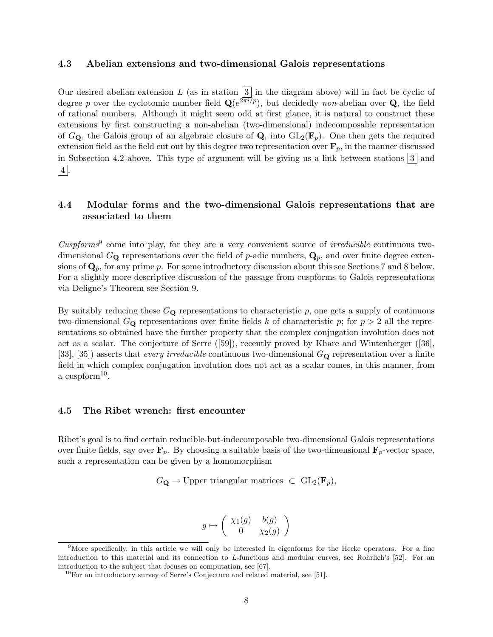#### 4.3 Abelian extensions and two-dimensional Galois representations

Our desired abelian extension L (as in station  $3 \mid$  in the diagram above) will in fact be cyclic of degree p over the cyclotomic number field  $\mathbf{Q}(e^{2\pi i/p})$ , but decidedly non-abelian over **Q**, the field of rational numbers. Although it might seem odd at first glance, it is natural to construct these extensions by first constructing a non-abelian (two-dimensional) indecomposable representation of  $G_{\mathbf{Q}}$ , the Galois group of an algebraic closure of  $\mathbf{Q}$ , into  $GL_2(\mathbf{F}_p)$ . One then gets the required extension field as the field cut out by this degree two representation over  $\mathbf{F}_p$ , in the manner discussed in Subsection 4.2 above. This type of argument will be giving us a link between stations  $|3|$  and  $|4|$ .

### 4.4 Modular forms and the two-dimensional Galois representations that are associated to them

 $Cuspforms<sup>9</sup>$  come into play, for they are a very convenient source of *irreducible* continuous twodimensional  $G_{\mathbf{Q}}$  representations over the field of p-adic numbers,  $\mathbf{Q}_p$ , and over finite degree extensions of  $\mathbf{Q}_p$ , for any prime p. For some introductory discussion about this see Sections 7 and 8 below. For a slightly more descriptive discussion of the passage from cuspforms to Galois representations via Deligne's Theorem see Section 9.

By suitably reducing these  $G_{\mathbf{Q}}$  representations to characteristic p, one gets a supply of continuous two-dimensional  $G_{\mathbf{Q}}$  representations over finite fields k of characteristic p; for  $p > 2$  all the representations so obtained have the further property that the complex conjugation involution does not act as a scalar. The conjecture of Serre ([59]), recently proved by Khare and Wintenberger ([36], [33], [35]) asserts that *every irreducible* continuous two-dimensional  $G_{\mathbf{Q}}$  representation over a finite field in which complex conjugation involution does not act as a scalar comes, in this manner, from a cuspform<sup>10</sup>.

#### 4.5 The Ribet wrench: first encounter

Ribet's goal is to find certain reducible-but-indecomposable two-dimensional Galois representations over finite fields, say over  $\mathbf{F}_p$ . By choosing a suitable basis of the two-dimensional  $\mathbf{F}_p$ -vector space, such a representation can be given by a homomorphism

$$
G_{\mathbf{Q}} \to \text{Upper triangular matrices } \subset \text{GL}_2(\mathbf{F}_p),
$$

$$
g \mapsto \left( \begin{array}{cc} \chi_1(g) & b(g) \\ 0 & \chi_2(g) \end{array} \right)
$$

 $9$ More specifically, in this article we will only be interested in eigenforms for the Hecke operators. For a fine introduction to this material and its connection to L-functions and modular curves, see Rohrlich's [52]. For an introduction to the subject that focuses on computation, see [67].

 $^{10}$ For an introductory survey of Serre's Conjecture and related material, see [51].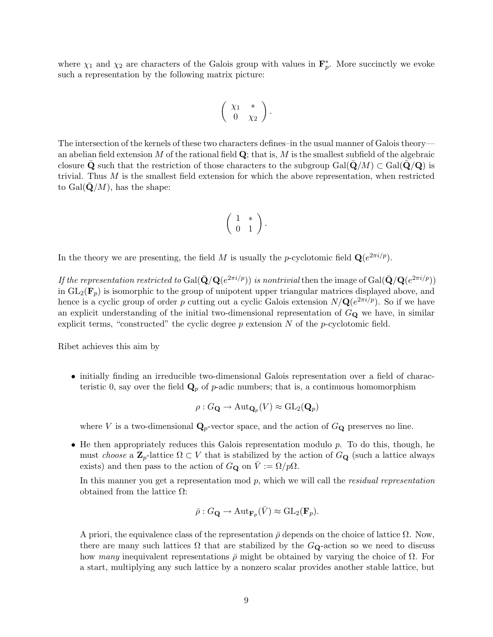where  $\chi_1$  and  $\chi_2$  are characters of the Galois group with values in  $\mathbf{F}_p^*$ . More succinctly we evoke such a representation by the following matrix picture:

$$
\left(\begin{array}{cc} \chi_1 & * \\ 0 & \chi_2 \end{array}\right).
$$

The intersection of the kernels of these two characters defines–in the usual manner of Galois theory an abelian field extension  $M$  of the rational field  $\bf Q$ ; that is,  $M$  is the smallest subfield of the algebraic closure Q such that the restriction of those characters to the subgroup Gal $(Q/M) \subset Gal(Q/Q)$  is trivial. Thus  $M$  is the smallest field extension for which the above representation, when restricted to  $Gal(\mathbf{Q}/M)$ , has the shape:

$$
\left(\begin{array}{cc} 1 & * \\ 0 & 1 \end{array}\right).
$$

In the theory we are presenting, the field M is usually the p-cyclotomic field  $\mathbf{Q}(e^{2\pi i/p})$ .

If the representation restricted to  $Gal(\bar{\bf Q}/{\bf Q}(e^{2\pi i/p}))$  is nontrivial then the image of  $Gal(\bar{\bf Q}/{\bf Q}(e^{2\pi i/p}))$ in  $GL_2(\mathbf{F}_p)$  is isomorphic to the group of unipotent upper triangular matrices displayed above, and hence is a cyclic group of order p cutting out a cyclic Galois extension  $N/\mathbf{Q}(e^{2\pi i/p})$ . So if we have an explicit understanding of the initial two-dimensional representation of  $G_{\mathbf{Q}}$  we have, in similar explicit terms, "constructed" the cyclic degree  $p$  extension  $N$  of the  $p$ -cyclotomic field.

Ribet achieves this aim by

• initially finding an irreducible two-dimensional Galois representation over a field of characteristic 0, say over the field  $\mathbf{Q}_p$  of p-adic numbers; that is, a continuous homomorphism

$$
\rho: G_{\mathbf{Q}} \to \mathrm{Aut}_{{\mathbf{Q}}_p}(V) \approx \mathrm{GL}_2({\mathbf{Q}}_p)
$$

where V is a two-dimensional  $\mathbf{Q}_p$ -vector space, and the action of  $G_{\mathbf{Q}}$  preserves no line.

• He then appropriately reduces this Galois representation modulo  $p$ . To do this, though, he must choose a  $\mathbf{Z}_p$ -lattice  $\Omega \subset V$  that is stabilized by the action of  $G_{\mathbf{Q}}$  (such a lattice always exists) and then pass to the action of  $G_{\mathbf{Q}}$  on  $V := \Omega/p\Omega$ .

In this manner you get a representation mod  $p$ , which we will call the *residual representation* obtained from the lattice  $Ω$ :

$$
\bar{\rho}: G_{\mathbf{Q}} \to \mathrm{Aut}_{\mathbf{F}_p}(\bar{V}) \approx \mathrm{GL}_2(\mathbf{F}_p).
$$

A priori, the equivalence class of the representation  $\bar{\rho}$  depends on the choice of lattice  $\Omega$ . Now, there are many such lattices  $\Omega$  that are stabilized by the  $G_{\mathbf{Q}}$ -action so we need to discuss how many inequivalent representations  $\bar{\rho}$  might be obtained by varying the choice of  $\Omega$ . For a start, multiplying any such lattice by a nonzero scalar provides another stable lattice, but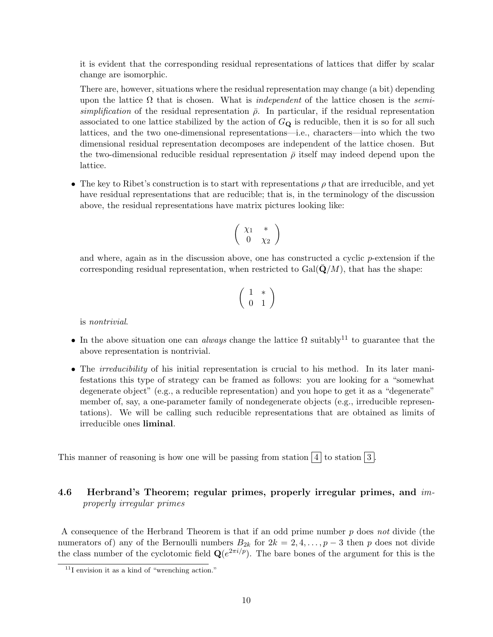it is evident that the corresponding residual representations of lattices that differ by scalar change are isomorphic.

There are, however, situations where the residual representation may change (a bit) depending upon the lattice  $\Omega$  that is chosen. What is *independent* of the lattice chosen is the *semi*simplification of the residual representation  $\bar{\rho}$ . In particular, if the residual representation associated to one lattice stabilized by the action of  $G_{\mathbf{Q}}$  is reducible, then it is so for all such lattices, and the two one-dimensional representations—i.e., characters—into which the two dimensional residual representation decomposes are independent of the lattice chosen. But the two-dimensional reducible residual representation  $\bar{\rho}$  itself may indeed depend upon the lattice.

• The key to Ribet's construction is to start with representations  $\rho$  that are irreducible, and yet have residual representations that are reducible; that is, in the terminology of the discussion above, the residual representations have matrix pictures looking like:

$$
\left(\begin{array}{cc} \chi_1 & * \\ 0 & \chi_2 \end{array}\right)
$$

and where, again as in the discussion above, one has constructed a cyclic p-extension if the corresponding residual representation, when restricted to  $Gal(Q/M)$ , that has the shape:

$$
\left(\begin{array}{cc} 1 & * \\ 0 & 1 \end{array}\right)
$$

is nontrivial.

- In the above situation one can *always* change the lattice  $\Omega$  suitably<sup>11</sup> to guarantee that the above representation is nontrivial.
- The *irreducibility* of his initial representation is crucial to his method. In its later manifestations this type of strategy can be framed as follows: you are looking for a "somewhat degenerate object" (e.g., a reducible representation) and you hope to get it as a "degenerate" member of, say, a one-parameter family of nondegenerate objects (e.g., irreducible representations). We will be calling such reducible representations that are obtained as limits of irreducible ones liminal.

This manner of reasoning is how one will be passing from station  $\boxed{4}$  to station  $\boxed{3}$ .

### 4.6 Herbrand's Theorem; regular primes, properly irregular primes, and *im*properly irregular primes

A consequence of the Herbrand Theorem is that if an odd prime number p does not divide (the numerators of) any of the Bernoulli numbers  $B_{2k}$  for  $2k = 2, 4, \ldots, p-3$  then p does not divide the class number of the cyclotomic field  $\mathbf{Q}(e^{2\pi i/p})$ . The bare bones of the argument for this is the

 $11$ I envision it as a kind of "wrenching action."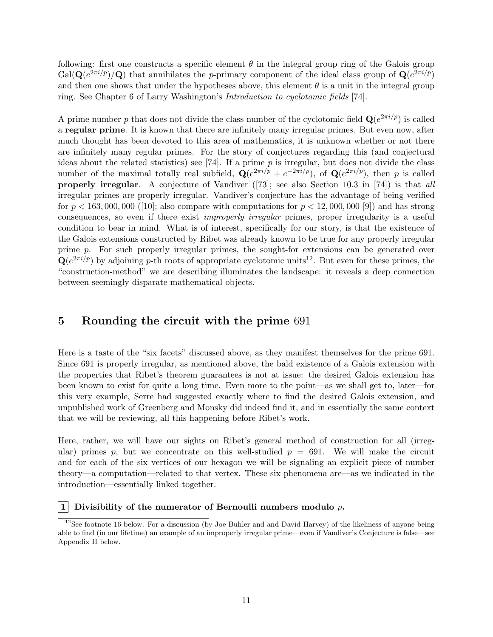following: first one constructs a specific element  $\theta$  in the integral group ring of the Galois group  $Gal(\mathbf{Q}(e^{2\pi i/p})/\mathbf{Q})$  that annihilates the p-primary component of the ideal class group of  $\mathbf{Q}(e^{2\pi i/p})$ and then one shows that under the hypotheses above, this element  $\theta$  is a unit in the integral group ring. See Chapter 6 of Larry Washington's Introduction to cyclotomic fields [74].

A prime number p that does not divide the class number of the cyclotomic field  $\mathbf{Q}(e^{2\pi i/p})$  is called a regular prime. It is known that there are infinitely many irregular primes. But even now, after much thought has been devoted to this area of mathematics, it is unknown whether or not there are infinitely many regular primes. For the story of conjectures regarding this (and conjectural ideas about the related statistics) see [74]. If a prime  $p$  is irregular, but does not divide the class number of the maximal totally real subfield,  $\mathbf{Q}(e^{2\pi i/p} + e^{-2\pi i/p})$ , of  $\mathbf{Q}(e^{2\pi i/p})$ , then p is called properly irregular. A conjecture of Vandiver ([73]; see also Section 10.3 in [74]) is that all irregular primes are properly irregular. Vandiver's conjecture has the advantage of being verified for  $p < 163,000,000$  ([10]; also compare with computations for  $p < 12,000,000$  [9]) and has strong consequences, so even if there exist improperly irregular primes, proper irregularity is a useful condition to bear in mind. What is of interest, specifically for our story, is that the existence of the Galois extensions constructed by Ribet was already known to be true for any properly irregular prime p. For such properly irregular primes, the sought-for extensions can be generated over  $\mathbf{Q}(e^{2\pi i/p})$  by adjoining p-th roots of appropriate cyclotomic units<sup>12</sup>. But even for these primes, the "construction-method" we are describing illuminates the landscape: it reveals a deep connection between seemingly disparate mathematical objects.

### 5 Rounding the circuit with the prime 691

Here is a taste of the "six facets" discussed above, as they manifest themselves for the prime 691. Since 691 is properly irregular, as mentioned above, the bald existence of a Galois extension with the properties that Ribet's theorem guarantees is not at issue: the desired Galois extension has been known to exist for quite a long time. Even more to the point—as we shall get to, later—for this very example, Serre had suggested exactly where to find the desired Galois extension, and unpublished work of Greenberg and Monsky did indeed find it, and in essentially the same context that we will be reviewing, all this happening before Ribet's work.

Here, rather, we will have our sights on Ribet's general method of construction for all (irregular) primes p, but we concentrate on this well-studied  $p = 691$ . We will make the circuit and for each of the six vertices of our hexagon we will be signaling an explicit piece of number theory—a computation—related to that vertex. These six phenomena are—as we indicated in the introduction—essentially linked together.

#### |1| Divisibility of the numerator of Bernoulli numbers modulo  $p$ .

 $12$ See footnote 16 below. For a discussion (by Joe Buhler and and David Harvey) of the likeliness of anyone being able to find (in our lifetime) an example of an improperly irregular prime—even if Vandiver's Conjecture is false—see Appendix II below.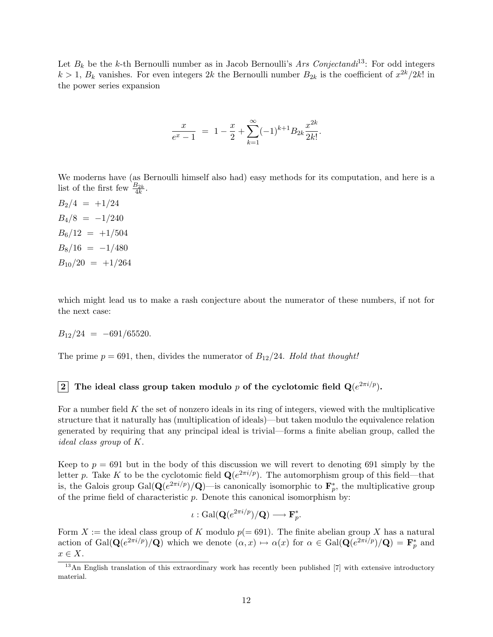Let  $B_k$  be the k-th Bernoulli number as in Jacob Bernoulli's Ars Conjectandi<sup>13</sup>: For odd integers  $k > 1$ ,  $B_k$  vanishes. For even integers 2k the Bernoulli number  $B_{2k}$  is the coefficient of  $x^{2k}/2k!$  in the power series expansion

$$
\frac{x}{e^x - 1} = 1 - \frac{x}{2} + \sum_{k=1}^{\infty} (-1)^{k+1} B_{2k} \frac{x^{2k}}{2k!}.
$$

We moderns have (as Bernoulli himself also had) easy methods for its computation, and here is a list of the first few  $\frac{B_{2k}}{4k}$ .

 $B_2/4 = +1/24$  $B_4/8 = -1/240$  $B_6/12 = +1/504$  $B_8/16 = -1/480$  $B_{10}/20 = +1/264$ 

which might lead us to make a rash conjecture about the numerator of these numbers, if not for the next case:

$$
B_{12}/24 = -691/65520.
$$

The prime  $p = 691$ , then, divides the numerator of  $B_{12}/24$ . Hold that thought!

### $2^{\mid}$  The ideal class group taken modulo  $p$  of the cyclotomic field  $\mathbf{Q}(e^{2\pi i/p}).$

For a number field  $K$  the set of nonzero ideals in its ring of integers, viewed with the multiplicative structure that it naturally has (multiplication of ideals)—but taken modulo the equivalence relation generated by requiring that any principal ideal is trivial—forms a finite abelian group, called the ideal class group of K.

Keep to  $p = 691$  but in the body of this discussion we will revert to denoting 691 simply by the letter p. Take K to be the cyclotomic field  $\mathbf{Q}(e^{2\pi i/p})$ . The automorphism group of this field—that is, the Galois group  $Gal(\mathbf{Q}(e^{2\pi i/p})/\mathbf{Q})$ —is canonically isomorphic to  $\mathbf{F}_p^*$ , the multiplicative group of the prime field of characteristic  $p$ . Denote this canonical isomorphism by:

$$
\iota: \mathrm{Gal}(\mathbf{Q}(e^{2\pi i/p})/\mathbf{Q}) \longrightarrow \mathbf{F}_p^*.
$$

Form X := the ideal class group of K modulo  $p(= 691)$ . The finite abelian group X has a natural action of Gal( $\mathbf{Q}(e^{2\pi i/p})/\mathbf{Q}$ ) which we denote  $(\alpha, x) \mapsto \alpha(x)$  for  $\alpha \in \text{Gal}(\mathbf{Q}(e^{2\pi i/p})/\mathbf{Q}) = \mathbf{F}_p^*$  and  $x \in X$ .

<sup>&</sup>lt;sup>13</sup>An English translation of this extraordinary work has recently been published [7] with extensive introductory material.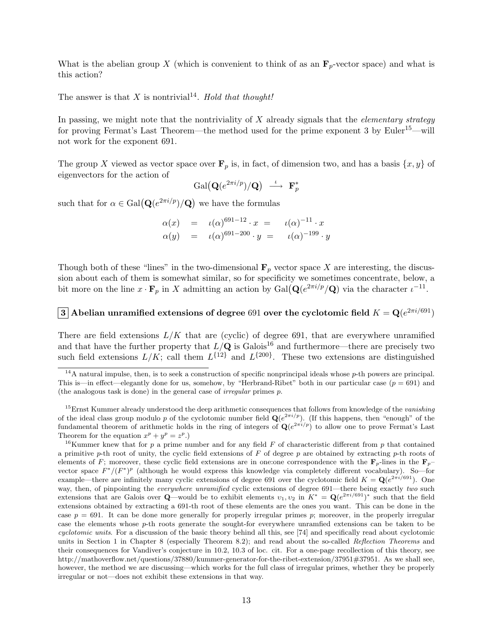What is the abelian group X (which is convenient to think of as an  $\mathbf{F}_p$ -vector space) and what is this action?

The answer is that X is nontrivial<sup>14</sup>. Hold that thought!

In passing, we might note that the nontriviality of  $X$  already signals that the *elementary strategy* for proving Fermat's Last Theorem—the method used for the prime exponent 3 by Euler<sup>15</sup>—will not work for the exponent 691.

The group X viewed as vector space over  $\mathbf{F}_p$  is, in fact, of dimension two, and has a basis  $\{x, y\}$  of eigenvectors for the action of

$$
\mathrm{Gal}\big(\mathbf{Q}(e^{2\pi i/p})/\mathbf{Q}\big) \ \stackrel{\iota}{\longrightarrow} \ \mathbf{F}_p^*
$$

such that for  $\alpha \in \text{Gal}(\mathbf{Q}(e^{2\pi i/p})/\mathbf{Q})$  we have the formulas

$$
\alpha(x) = \iota(\alpha)^{691-12} \cdot x = \iota(\alpha)^{-11} \cdot x \n\alpha(y) = \iota(\alpha)^{691-200} \cdot y = \iota(\alpha)^{-199} \cdot y
$$

Though both of these "lines" in the two-dimensional  $\mathbf{F}_p$  vector space X are interesting, the discussion about each of them is somewhat similar, so for specificity we sometimes concentrate, below, a bit more on the line  $x \cdot \mathbf{F}_p$  in X admitting an action by  $Gal(\mathbf{Q}(e^{2\pi i/p}/\mathbf{Q}))$  via the character  $\iota^{-11}$ .

### $\bf 3$  Abelian unramified extensions of degree  $691$  over the cyclotomic field  $K= {\bf Q}(e^{2\pi i/691})$

There are field extensions  $L/K$  that are (cyclic) of degree 691, that are everywhere unramified and that have the further property that  $L/\mathbf{Q}$  is Galois<sup>16</sup> and furthermore—there are precisely two such field extensions  $L/K$ ; call them  $L^{\{12\}}$  and  $L^{\{200\}}$ . These two extensions are distinguished

 $14A$  natural impulse, then, is to seek a construction of specific nonprincipal ideals whose p-th powers are principal. This is—in effect—elegantly done for us, somehow, by "Herbrand-Ribet" both in our particular case  $(p = 691)$  and (the analogous task is done) in the general case of irregular primes p.

<sup>&</sup>lt;sup>15</sup>Ernst Kummer already understood the deep arithmetic consequences that follows from knowledge of the vanishing of the ideal class group modulo p of the cyclotomic number field  $\mathbf{Q}(e^{2\pi i/p})$ . (If this happens, then "enough" of the fundamental theorem of arithmetic holds in the ring of integers of  $\mathbf{Q}(e^{2\pi i/p})$  to allow one to prove Fermat's Last Theorem for the equation  $x^p + y^p = z^p$ .

<sup>&</sup>lt;sup>16</sup>Kummer knew that for p a prime number and for any field F of characteristic different from p that contained a primitive p-th root of unity, the cyclic field extensions of F of degree p are obtained by extracting p-th roots of elements of F; moreover, these cyclic field extensions are in one:one correspondence with the  $\mathbf{F}_p$ -lines in the  $\mathbf{F}_p$ vector space  $F^*/(F^*)^p$  (although he would express this knowledge via completely different vocabulary). So—for example—there are infinitely many cyclic extensions of degree 691 over the cyclotomic field  $K = \mathbf{Q}(e^{2\pi i/691})$ . One way, then, of pinpointing the everywhere unramified cyclic extensions of degree 691—there being exactly two such extensions that are Galois over Q—would be to exhibit elements  $v_1, v_2$  in  $K^* = \mathbf{Q}(e^{2\pi i/691})^*$  such that the field extensions obtained by extracting a 691-th root of these elements are the ones you want. This can be done in the case  $p = 691$ . It can be done more generally for properly irregular primes p; moreover, in the properly irregular case the elements whose p-th roots generate the sought-for everywhere unramfied extensions can be taken to be cyclotomic units. For a discussion of the basic theory behind all this, see [74] and specifically read about cyclotomic units in Section 1 in Chapter 8 (especially Theorem 8.2); and read about the so-called Reflection Theorems and their consequences for Vandiver's conjecture in 10.2, 10.3 of loc. cit. For a one-page recollection of this theory, see http://mathoverflow.net/questions/37880/kummer-generator-for-the-ribet-extension/37951#37951. As we shall see, however, the method we are discussing—which works for the full class of irregular primes, whether they be properly irregular or not—does not exhibit these extensions in that way.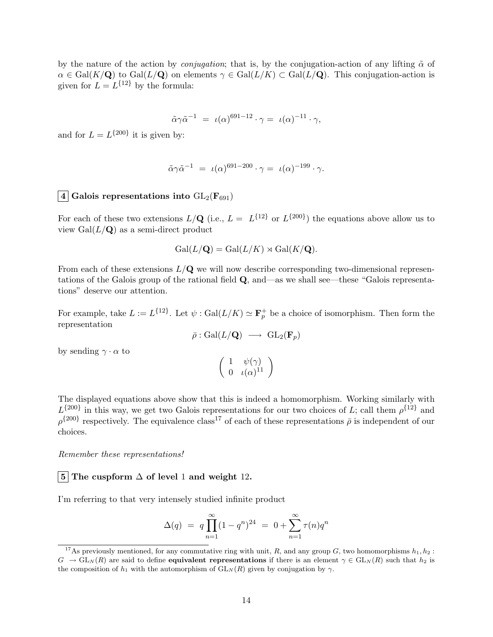by the nature of the action by *conjugation*; that is, by the conjugation-action of any lifting  $\tilde{\alpha}$  of  $\alpha \in \text{Gal}(K/\mathbf{Q})$  to  $\text{Gal}(L/\mathbf{Q})$  on elements  $\gamma \in \text{Gal}(L/K) \subset \text{Gal}(L/\mathbf{Q})$ . This conjugation-action is given for  $L = L^{\{12\}}$  by the formula:

$$
\tilde{\alpha}\gamma\tilde{\alpha}^{-1} = \iota(\alpha)^{691-12} \cdot \gamma = \iota(\alpha)^{-11} \cdot \gamma,
$$

and for  $L = L^{200}$  it is given by:

$$
\tilde{\alpha}\gamma\tilde{\alpha}^{-1} = \iota(\alpha)^{691-200} \cdot \gamma = \iota(\alpha)^{-199} \cdot \gamma.
$$

### $\boxed{4}$  Galois representations into  $GL_2(\mathbf{F}_{691})$

For each of these two extensions  $L/\mathbf{Q}$  (i.e.,  $L = L^{\{12\}}$  or  $L^{\{200\}}$ ) the equations above allow us to view  $Gal(L/\mathbf{Q})$  as a semi-direct product

$$
Gal(L/\mathbf{Q}) = Gal(L/K) \rtimes Gal(K/\mathbf{Q}).
$$

From each of these extensions  $L/Q$  we will now describe corresponding two-dimensional representations of the Galois group of the rational field Q, and—as we shall see—these "Galois representations" deserve our attention.

For example, take  $L := L^{\{12\}}$ . Let  $\psi : \text{Gal}(L/K) \simeq \mathbf{F}_p^+$  be a choice of isomorphism. Then form the representation

$$
\bar{\rho}: \mathrm{Gal}(L/\mathbf{Q}) \ \longrightarrow \ \mathrm{GL}_2(\mathbf{F}_p)
$$

by sending  $\gamma \cdot \alpha$  to

$$
\left(\begin{array}{cc} 1 & \psi(\gamma) \\ 0 & \iota(\alpha)^{11} \end{array}\right)
$$

The displayed equations above show that this is indeed a homomorphism. Working similarly with  $L^{\{200\}}$  in this way, we get two Galois representations for our two choices of L; call them  $\rho^{\{12\}}$  and  $\rho^{\{200\}}$  respectively. The equivalence class<sup>17</sup> of each of these representations  $\bar{\rho}$  is independent of our choices.

Remember these representations!

### $\vert 5 \vert$  The cuspform  $\Delta$  of level 1 and weight 12.

I'm referring to that very intensely studied infinite product

$$
\Delta(q) = q \prod_{n=1}^{\infty} (1 - q^n)^{24} = 0 + \sum_{n=1}^{\infty} \tau(n) q^n
$$

<sup>&</sup>lt;sup>17</sup>As previously mentioned, for any commutative ring with unit, R, and any group G, two homomorphisms  $h_1, h_2$ :  $G \to GL<sub>N</sub>(R)$  are said to define **equivalent representations** if there is an element  $\gamma \in GL<sub>N</sub>(R)$  such that  $h_2$  is the composition of  $h_1$  with the automorphism of  $GL_N(R)$  given by conjugation by  $\gamma$ .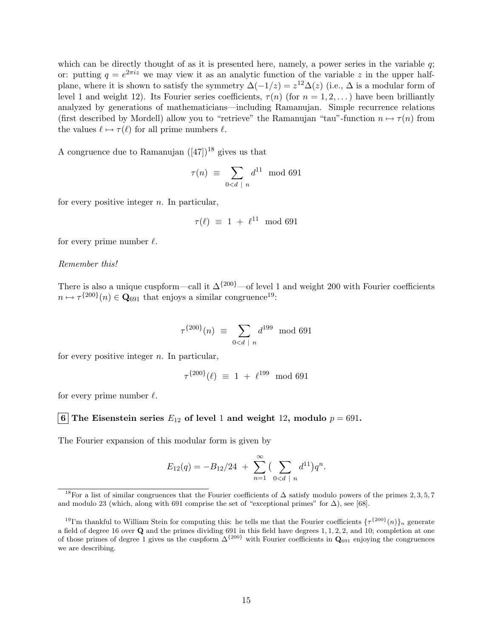which can be directly thought of as it is presented here, namely, a power series in the variable q; or: putting  $q = e^{2\pi i z}$  we may view it as an analytic function of the variable z in the upper halfplane, where it is shown to satisfy the symmetry  $\Delta(-1/z) = z^{12}\Delta(z)$  (i.e.,  $\Delta$  is a modular form of level 1 and weight 12). Its Fourier series coefficients,  $\tau(n)$  (for  $n = 1, 2, \ldots$ ) have been brilliantly analyzed by generations of mathematicians—including Ramanujan. Simple recurrence relations (first described by Mordell) allow you to "retrieve" the Ramanujan "tau"-function  $n \mapsto \tau(n)$  from the values  $\ell \mapsto \tau(\ell)$  for all prime numbers  $\ell$ .

A congruence due to Ramanujan  $([47])^{18}$  gives us that

$$
\tau(n) \equiv \sum_{0 < d \mid n} d^{11} \mod 691
$$

for every positive integer  $n$ . In particular,

$$
\tau(\ell) \equiv 1 + \ell^{11} \mod 691
$$

for every prime number  $\ell$ .

#### Remember this!

There is also a unique cuspform—call it  $\Delta^{200}$ —of level 1 and weight 200 with Fourier coefficients  $n \mapsto \tau^{\{200\}}(n) \in \mathbf{Q}_{691}$  that enjoys a similar congruence<sup>19</sup>:

$$
\tau^{\{200\}}(n) \equiv \sum_{0 < d \; | \; n} d^{199} \mod 691
$$

for every positive integer  $n$ . In particular,

$$
\tau^{\{200\}}(\ell) \ \equiv \ 1 \ + \ \ell^{199} \mod 691
$$

for every prime number  $\ell$ .

#### 6 The Eisenstein series  $E_{12}$  of level 1 and weight 12, modulo  $p = 691$ .

The Fourier expansion of this modular form is given by

$$
E_{12}(q) = -B_{12}/24 + \sum_{n=1}^{\infty} \left( \sum_{0 < d \mid n} d^{11} \right) q^n.
$$

<sup>&</sup>lt;sup>18</sup>For a list of similar congruences that the Fourier coefficients of  $\Delta$  satisfy modulo powers of the primes 2, 3, 5, 7 and modulo 23 (which, along with 691 comprise the set of "exceptional primes" for  $\Delta$ ), see [68].

<sup>&</sup>lt;sup>19</sup>I'm thankful to William Stein for computing this: he tells me that the Fourier coefficients  $\{\tau^{\{200\}}(n)\}_n$  generate a field of degree 16 over Q and the primes dividing 691 in this field have degrees 1, 1, 2, 2, and 10; completion at one of those primes of degree 1 gives us the cuspform  $\Delta^{\{200\}}$  with Fourier coefficients in  $Q_{691}$  enjoying the congruences we are describing.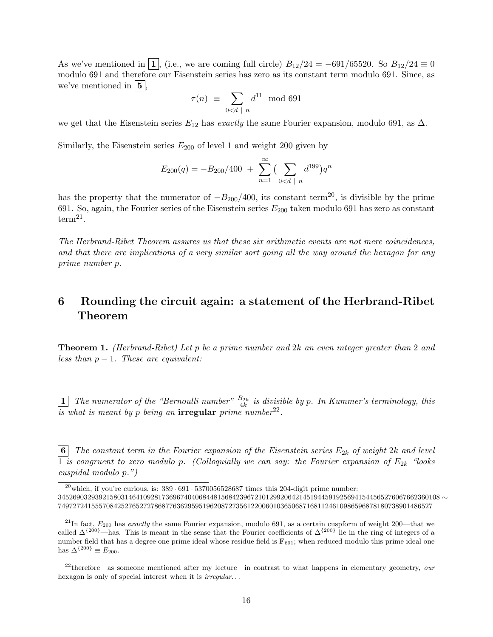As we've mentioned in  $\boxed{1}$ , (i.e., we are coming full circle)  $B_{12}/24 = -691/65520$ . So  $B_{12}/24 \equiv 0$ modulo 691 and therefore our Eisenstein series has zero as its constant term modulo 691. Since, as we've mentioned in  $\vert 5 \vert$ ,

$$
\tau(n) \equiv \sum_{0 < d \mid n} d^{11} \mod 691
$$

we get that the Eisenstein series  $E_{12}$  has exactly the same Fourier expansion, modulo 691, as  $\Delta$ .

Similarly, the Eisenstein series  $E_{200}$  of level 1 and weight 200 given by

$$
E_{200}(q) = -B_{200}/400 + \sum_{n=1}^{\infty} \left(\sum_{0 < d \mid n} d^{199}\right) q^n
$$

has the property that the numerator of  $-B_{200}/400$ , its constant term<sup>20</sup>, is divisible by the prime 691. So, again, the Fourier series of the Eisenstein series  $E_{200}$  taken modulo 691 has zero as constant  $term<sup>21</sup>$ .

The Herbrand-Ribet Theorem assures us that these six arithmetic events are not mere coincidences, and that there are implications of a very similar sort going all the way around the hexagon for any prime number p.

## 6 Rounding the circuit again: a statement of the Herbrand-Ribet Theorem

Theorem 1. (Herbrand-Ribet) Let p be a prime number and 2k an even integer greater than 2 and less than  $p-1$ . These are equivalent:

 $\boxed{1}$  The numerator of the "Bernoulli number"  $\frac{B_{2k}}{4k}$  is divisible by p. In Kummer's terminology, this is what is meant by p being an irregular prime number  $22$ .

**6** The constant term in the Fourier expansion of the Eisenstein series  $E_{2k}$  of weight 2k and level 1 is congruent to zero modulo p. (Colloquially we can say: the Fourier expansion of  $E_{2k}$  "looks" cuspidal modulo p.")

<sup>&</sup>lt;sup>20</sup>which, if you're curious, is:  $389 \cdot 691 \cdot 5370056528687$  times this 204-digit prime number: 3452690329392158031464109281736967404068448156842396721012992064214519445919256941544565276067662360108 ∼ 74972724155570842527652727868776362959519620872735612200601036506871681124610986596878180738901486527

 $^{21}$ In fact,  $E_{200}$  has exactly the same Fourier expansion, modulo 691, as a certain cuspform of weight 200—that we called  $\Delta^{\{200\}}$ —has. This is meant in the sense that the Fourier coefficients of  $\Delta^{\{200\}}$  lie in the ring of integers of a number field that has a degree one prime ideal whose residue field is  $\mathbf{F}_{691}$ ; when reduced modulo this prime ideal one has  $\Delta^{\{200\}} \equiv E_{200}$ .

 $^{22}$ therefore—as someone mentioned after my lecture—in contrast to what happens in elementary geometry, our hexagon is only of special interest when it is *irregular*...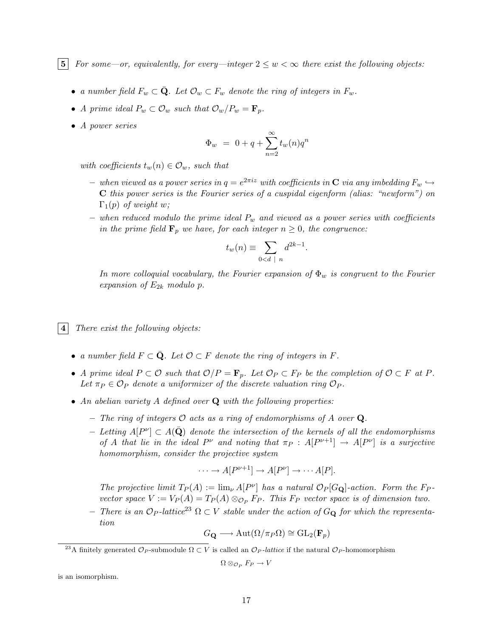5 For some—or, equivalently, for every—integer  $2 \leq w < \infty$  there exist the following objects:

- a number field  $F_w \subset \overline{\mathbf{Q}}$ . Let  $\mathcal{O}_w \subset F_w$  denote the ring of integers in  $F_w$ .
- A prime ideal  $P_w \subset \mathcal{O}_w$  such that  $\mathcal{O}_w/P_w = \mathbf{F}_p$ .
- A power series

$$
\Phi_w ~=~ 0+q+\sum_{n=2}^{\infty}t_w(n)q^n
$$

with coefficients  $t_w(n) \in \mathcal{O}_w$ , such that

- $-$  when viewed as a power series in  $q=e^{2\pi i z}$  with coefficients in  ${\bf C}$  via any imbedding  $F_w \hookrightarrow$ C this power series is the Fourier series of a cuspidal eigenform (alias: "newform") on  $\Gamma_1(p)$  of weight w;
- when reduced modulo the prime ideal  $P_w$  and viewed as a power series with coefficients in the prime field  $\mathbf{F}_p$  we have, for each integer  $n \geq 0$ , the congruence:

$$
t_w(n) \equiv \sum_{0 < d \mid n} d^{2k-1}.
$$

In more colloquial vocabulary, the Fourier expansion of  $\Phi_w$  is congruent to the Fourier expansion of  $E_{2k}$  modulo p.

 $|4|$  There exist the following objects:

- a number field  $F \subset \overline{Q}$ . Let  $\mathcal{O} \subset F$  denote the ring of integers in F.
- A prime ideal  $P \subset \mathcal{O}$  such that  $\mathcal{O}/P = \mathbf{F}_p$ . Let  $\mathcal{O}_P \subset F_P$  be the completion of  $\mathcal{O} \subset F$  at P. Let  $\pi_P \in \mathcal{O}_P$  denote a uniformizer of the discrete valuation ring  $\mathcal{O}_P$ .
- An abelian variety A defined over  $Q$  with the following properties:
	- The ring of integers  $\mathcal O$  acts as a ring of endomorphisms of A over Q.
	- − Letting  $A[P^{\nu}] \subset A(\bar{\bf Q})$  denote the intersection of the kernels of all the endomorphisms of A that lie in the ideal  $P^{\nu}$  and noting that  $\pi_P$  :  $A[P^{\nu+1}] \rightarrow A[P^{\nu}]$  is a surjective homomorphism, consider the projective system

$$
\cdots \to A[P^{\nu+1}] \to A[P^{\nu}] \to \cdots A[P].
$$

The projective limit  $T_P(A) := \lim_{\nu} A[P^{\nu}]$  has a natural  $\mathcal{O}_P[G_{\mathbf{Q}}]$ -action. Form the F<sub>P</sub>vector space  $V := V_P(A) = T_P(A) \otimes_{\mathcal{O}_P} F_P$ . This  $F_P$  vector space is of dimension two.

– There is an  $\mathcal{O}_P$ -lattice<sup>23</sup>  $\Omega \subset V$  stable under the action of  $G_Q$  for which the representation

$$
G_{\mathbf{Q}} \longrightarrow \mathrm{Aut}(\Omega/\pi_P\Omega) \cong \mathrm{GL}_2(\mathbf{F}_p)
$$

$$
\Omega\otimes_{\mathcal{O}_P} F_P\to V
$$

is an isomorphism.

<sup>&</sup>lt;sup>23</sup>A finitely generated  $\mathcal{O}_P$ -submodule  $\Omega \subset V$  is called an  $\mathcal{O}_P$ -lattice if the natural  $\mathcal{O}_P$ -homomorphism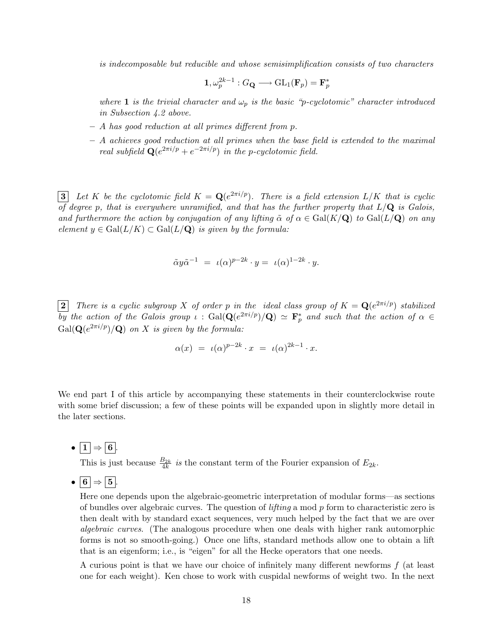is indecomposable but reducible and whose semisimplification consists of two characters

$$
\mathbf{1}, \omega_p^{2k-1}: G_{\mathbf{Q}} \longrightarrow \mathrm{GL}_1(\mathbf{F}_p) = \mathbf{F}_p^*
$$

where 1 is the trivial character and  $\omega_p$  is the basic "p-cyclotomic" character introduced in Subsection 4.2 above.

- A has good reduction at all primes different from p.
- A achieves good reduction at all primes when the base field is extended to the maximal real subfield  $\mathbf{Q}(e^{2\pi i/p}+e^{-2\pi i/p})$  in the p-cyclotomic field.

**3** Let K be the cyclotomic field  $K = \mathbf{Q}(e^{2\pi i/p})$ . There is a field extension  $L/K$  that is cyclic of degree p, that is everywhere unramified, and that has the further property that  $L/Q$  is Galois, and furthermore the action by conjugation of any lifting  $\tilde{\alpha}$  of  $\alpha \in \text{Gal}(K/\mathbf{Q})$  to  $\text{Gal}(L/\mathbf{Q})$  on any element  $y \in \text{Gal}(L/K) \subset \text{Gal}(L/\mathbf{Q})$  is given by the formula:

$$
\tilde{\alpha}y\tilde{\alpha}^{-1} = \iota(\alpha)^{p-2k} \cdot y = \iota(\alpha)^{1-2k} \cdot y.
$$

**2** There is a cyclic subgroup X of order p in the ideal class group of  $K = \mathbf{Q}(e^{2\pi i/p})$  stabilized  $\overline{by}$  the action of the Galois group  $\iota$ : Gal $(\mathbf{Q}(e^{2\pi i/p})/\mathbf{Q}) \simeq \mathbf{F}_p^*$  and such that the action of  $\alpha \in$  $Gal(\mathbf{Q}(e^{2\pi i/p})/\mathbf{Q})$  on X is given by the formula:

$$
\alpha(x) = \iota(\alpha)^{p-2k} \cdot x = \iota(\alpha)^{2k-1} \cdot x.
$$

We end part I of this article by accompanying these statements in their counterclockwise route with some brief discussion; a few of these points will be expanded upon in slightly more detail in the later sections.

•  $\boxed{1} \Rightarrow \boxed{6}$ .

This is just because  $\frac{B_{2k}}{4k}$  is the constant term of the Fourier expansion of  $E_{2k}$ .

 $\bullet$  6  $\Rightarrow$  5.

Here one depends upon the algebraic-geometric interpretation of modular forms—as sections of bundles over algebraic curves. The question of *lifting* a mod  $p$  form to characteristic zero is then dealt with by standard exact sequences, very much helped by the fact that we are over algebraic curves. (The analogous procedure when one deals with higher rank automorphic forms is not so smooth-going.) Once one lifts, standard methods allow one to obtain a lift that is an eigenform; i.e., is "eigen" for all the Hecke operators that one needs.

A curious point is that we have our choice of infinitely many different newforms  $f$  (at least one for each weight). Ken chose to work with cuspidal newforms of weight two. In the next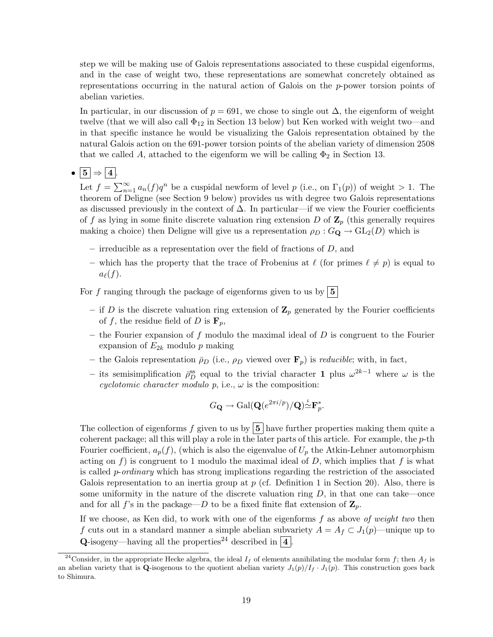step we will be making use of Galois representations associated to these cuspidal eigenforms, and in the case of weight two, these representations are somewhat concretely obtained as representations occurring in the natural action of Galois on the p-power torsion points of abelian varieties.

In particular, in our discussion of  $p = 691$ , we chose to single out  $\Delta$ , the eigenform of weight twelve (that we will also call  $\Phi_{12}$  in Section 13 below) but Ken worked with weight two—and in that specific instance he would be visualizing the Galois representation obtained by the natural Galois action on the 691-power torsion points of the abelian variety of dimension 2508 that we called A, attached to the eigenform we will be calling  $\Phi_2$  in Section 13.

# •  $\boxed{5} \Rightarrow \boxed{4}$ .

Let  $f = \sum_{n=1}^{\infty} a_n(f)q^n$  be a cuspidal newform of level p (i.e., on  $\Gamma_1(p)$ ) of weight > 1. The theorem of Deligne (see Section 9 below) provides us with degree two Galois representations as discussed previously in the context of  $\Delta$ . In particular—if we view the Fourier coefficients of f as lying in some finite discrete valuation ring extension D of  $\mathbb{Z}_p$  (this generally requires making a choice) then Deligne will give us a representation  $\rho_D : G_{\mathbf{Q}} \to GL_2(D)$  which is

- irreducible as a representation over the field of fractions of  $D$ , and
- which has the property that the trace of Frobenius at  $\ell$  (for primes  $\ell \neq p$ ) is equal to  $a_{\ell}(f).$

For f ranging through the package of eigenforms given to us by  $\boxed{5}$ 

- if D is the discrete valuation ring extension of  $\mathbb{Z}_p$  generated by the Fourier coefficients of f, the residue field of D is  $\mathbf{F}_p$ ,
- the Fourier expansion of  $f$  modulo the maximal ideal of  $D$  is congruent to the Fourier expansion of  $E_{2k}$  modulo p making
- the Galois representation  $\bar{\rho}_D$  (i.e.,  $\rho_D$  viewed over  $\mathbf{F}_p$ ) is *reducible*; with, in fact,
- $-$  its semisimplification  $\bar{ρ}_D^{ss}$  equal to the trivial character **1** plus  $ω^{2k-1}$  where  $ω$  is the cyclotomic character modulo  $p$ , i.e.,  $\omega$  is the composition:

$$
G_{\mathbf{Q}} \to \text{Gal}(\mathbf{Q}(e^{2\pi i/p})/\mathbf{Q}) \overset{\iota}{\simeq} \mathbf{F}_p^*.
$$

The collection of eigenforms f given to us by  $\vert 5 \vert$  have further properties making them quite a coherent package; all this will play a role in the later parts of this article. For example, the  $p$ -th Fourier coefficient,  $a_p(f)$ , (which is also the eigenvalue of  $U_p$  the Atkin-Lehner automorphism acting on f) is congruent to 1 modulo the maximal ideal of  $D$ , which implies that f is what is called p-ordinary which has strong implications regarding the restriction of the associated Galois representation to an inertia group at  $p$  (cf. Definition 1 in Section 20). Also, there is some uniformity in the nature of the discrete valuation ring  $D$ , in that one can take—once and for all f's in the package—D to be a fixed finite flat extension of  $\mathbf{Z}_p$ .

If we choose, as Ken did, to work with one of the eigenforms  $f$  as above of weight two then f cuts out in a standard manner a simple abelian subvariety  $A = A_f \subset J_1(p)$ —unique up to **Q**-isogeny—having all the properties<sup>24</sup> described in  $\boxed{4}$ 

<sup>&</sup>lt;sup>24</sup>Consider, in the appropriate Hecke algebra, the ideal  $I_f$  of elements annihilating the modular form f; then  $A_f$  is an abelian variety that is Q-isogenous to the quotient abelian variety  $J_1(p)/I_f \cdot J_1(p)$ . This construction goes back to Shimura.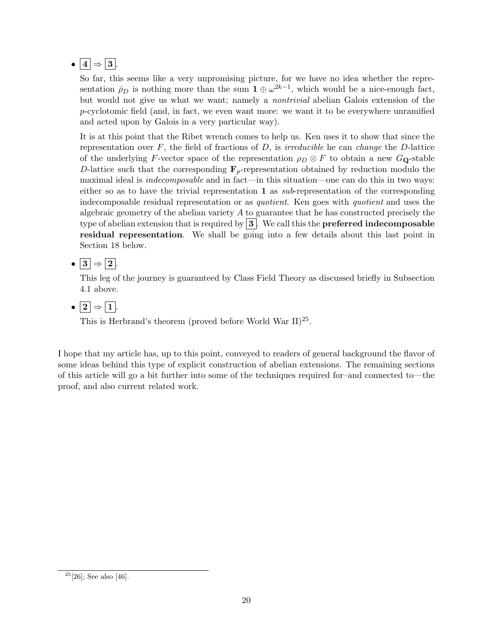# •  $\boxed{4} \Rightarrow \boxed{3}$ .

So far, this seems like a very unpromising picture, for we have no idea whether the representation  $\bar{\rho}_D$  is nothing more than the sum  $\mathbf{1} \oplus \omega^{2k-1}$ , which would be a nice-enough fact, but would not give us what we want; namely a nontrivial abelian Galois extension of the p-cyclotomic field (and, in fact, we even want more: we want it to be everywhere unramified and acted upon by Galois in a very particular way).

It is at this point that the Ribet wrench comes to help us. Ken uses it to show that since the representation over  $F$ , the field of fractions of  $D$ , is *irreducible* he can *change* the  $D$ -lattice of the underlying F-vector space of the representation  $\rho_D \otimes F$  to obtain a new  $G_Q$ -stable D-lattice such that the corresponding  $\mathbf{F}_p$ -representation obtained by reduction modulo the maximal ideal is indecomposable and in fact—in this situation—one can do this in two ways: either so as to have the trivial representation 1 as  $sub$ -representation of the corresponding indecomposable residual representation or as quotient. Ken goes with quotient and uses the algebraic geometry of the abelian variety  $A$  to guarantee that he has constructed precisely the type of abelian extension that is required by  $3$ . We call this the **preferred indecomposable** residual representation. We shall be going into a few details about this last point in Section 18 below.

•  $\boxed{3} \Rightarrow \boxed{2}$ .

This leg of the journey is guaranteed by Class Field Theory as discussed briefly in Subsection 4.1 above.

 $\bullet$   $\boxed{2} \Rightarrow \boxed{1}$ .

This is Herbrand's theorem (proved before World War  $II$ )<sup>25</sup>.

I hope that my article has, up to this point, conveyed to readers of general background the flavor of some ideas behind this type of explicit construction of abelian extensions. The remaining sections of this article will go a bit further into some of the techniques required for–and connected to—the proof, and also current related work.

 $25$ [26]; See also [46].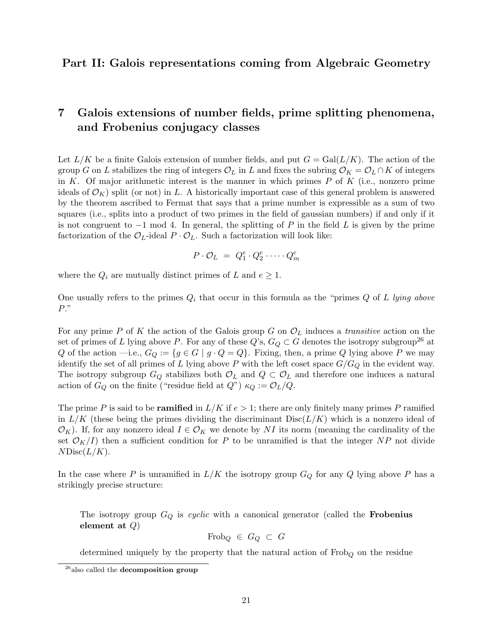### Part II: Galois representations coming from Algebraic Geometry

## 7 Galois extensions of number fields, prime splitting phenomena, and Frobenius conjugacy classes

Let  $L/K$  be a finite Galois extension of number fields, and put  $G = \text{Gal}(L/K)$ . The action of the group G on L stabilizes the ring of integers  $\mathcal{O}_L$  in L and fixes the subring  $\mathcal{O}_K = \mathcal{O}_L \cap K$  of integers in K. Of major arithmetic interest is the manner in which primes  $P$  of  $K$  (i.e., nonzero prime ideals of  $\mathcal{O}_K$ ) split (or not) in L. A historically important case of this general problem is answered by the theorem ascribed to Fermat that says that a prime number is expressible as a sum of two squares (i.e., splits into a product of two primes in the field of gaussian numbers) if and only if it is not congruent to  $-1$  mod 4. In general, the splitting of P in the field L is given by the prime factorization of the  $\mathcal{O}_L$ -ideal  $P \cdot \mathcal{O}_L$ . Such a factorization will look like:

$$
P \cdot \mathcal{O}_L = Q_1^e \cdot Q_2^e \cdot \cdots \cdot Q_m^e
$$

where the  $Q_i$  are mutually distinct primes of L and  $e \geq 1$ .

One usually refers to the primes  $Q_i$  that occur in this formula as the "primes  $Q$  of L lying above P."

For any prime P of K the action of the Galois group G on  $\mathcal{O}_L$  induces a *transitive* action on the set of primes of L lying above P. For any of these  $Q$ 's,  $G_Q \subset G$  denotes the isotropy subgroup<sup>26</sup> at Q of the action —i.e.,  $G_Q := \{g \in G \mid g \cdot Q = Q\}$ . Fixing, then, a prime Q lying above P we may identify the set of all primes of L lying above P with the left coset space  $G/G_Q$  in the evident way. The isotropy subgroup  $G_Q$  stabilizes both  $\mathcal{O}_L$  and  $Q \subset \mathcal{O}_L$  and therefore one induces a natural action of  $G_Q$  on the finite ("residue field at  $Q$ ")  $\kappa_Q := \mathcal{O}_L/Q$ .

The prime P is said to be **ramified** in  $L/K$  if  $e > 1$ ; there are only finitely many primes P ramified in  $L/K$  (these being the primes dividing the discriminant  $Disc(L/K)$  which is a nonzero ideal of  $\mathcal{O}_K$ ). If, for any nonzero ideal  $I \in \mathcal{O}_K$  we denote by NI its norm (meaning the cardinality of the set  $\mathcal{O}_K/I$  then a sufficient condition for P to be unramified is that the integer NP not divide  $NDisc(L/K)$ .

In the case where P is unramified in  $L/K$  the isotropy group  $G_Q$  for any Q lying above P has a strikingly precise structure:

The isotropy group  $G_Q$  is cyclic with a canonical generator (called the **Frobenius** element at  $Q$ )

$$
Frob_Q \in G_Q \subset G
$$

determined uniquely by the property that the natural action of  $Frob<sub>Q</sub>$  on the residue

 $^{26}$ also called the decomposition group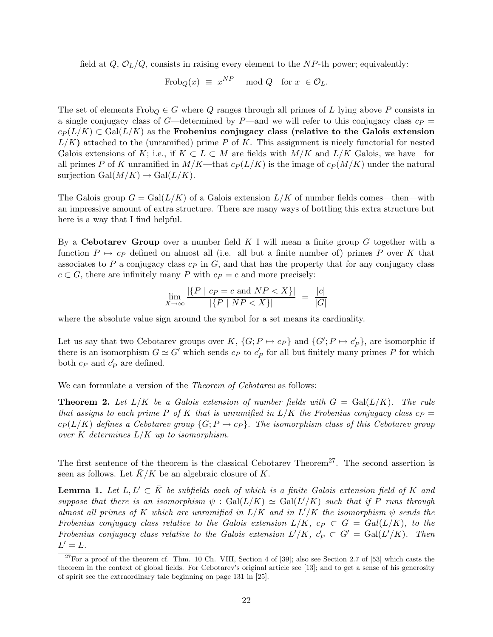field at  $Q, \mathcal{O}_L/Q$ , consists in raising every element to the NP-th power; equivalently:

$$
\operatorname{Frob}_Q(x) \equiv x^{NP} \mod Q \quad \text{for } x \in \mathcal{O}_L.
$$

The set of elements  $Frob_Q \in G$  where Q ranges through all primes of L lying above P consists in a single conjugacy class of G—determined by P—and we will refer to this conjugacy class  $c_P$  =  $c_P(L/K) \subset \text{Gal}(L/K)$  as the Frobenius conjugacy class (relative to the Galois extension  $L/K$ ) attached to the (unramified) prime P of K. This assignment is nicely functorial for nested Galois extensions of K; i.e., if  $K \subset L \subset M$  are fields with  $M/K$  and  $L/K$  Galois, we have—for all primes P of K unramified in  $M/K$ —that  $c_P (L/K)$  is the image of  $c_P (M/K)$  under the natural surjection  $Gal(M/K) \to Gal(L/K)$ .

The Galois group  $G = \text{Gal}(L/K)$  of a Galois extension  $L/K$  of number fields comes—then—with an impressive amount of extra structure. There are many ways of bottling this extra structure but here is a way that I find helpful.

By a **Cebotarev Group** over a number field K I will mean a finite group G together with a function  $P \mapsto c_P$  defined on almost all (i.e. all but a finite number of) primes P over K that associates to P a conjugacy class  $c_P$  in G, and that has the property that for any conjugacy class  $c \subset G$ , there are infinitely many P with  $c_P = c$  and more precisely:

$$
\lim_{X \to \infty} \frac{|\{P \mid c_P = c \text{ and } NP < X\}|}{|\{P \mid NP < X\}|} = \frac{|c|}{|G|}
$$

where the absolute value sign around the symbol for a set means its cardinality.

Let us say that two Cebotarev groups over K,  $\{G; P \mapsto c_P\}$  and  $\{G'; P \mapsto c'_P\}$ , are isomorphic if there is an isomorphism  $G \simeq G'$  which sends  $c_P$  to  $c_P'$  for all but finitely many primes P for which both  $c_P$  and  $c'_P$  are defined.

We can formulate a version of the *Theorem of Cebotarev* as follows:

**Theorem 2.** Let  $L/K$  be a Galois extension of number fields with  $G = \text{Gal}(L/K)$ . The rule that assigns to each prime P of K that is unramified in  $L/K$  the Frobenius conjugacy class  $c_P =$  $c_P(L/K)$  defines a Cebotarev group  $\{G; P \mapsto c_P\}$ . The isomorphism class of this Cebotarev group over K determines  $L/K$  up to isomorphism.

The first sentence of the theorem is the classical Cebotarev Theorem<sup>27</sup>. The second assertion is seen as follows. Let  $\bar{K}/K$  be an algebraic closure of K.

**Lemma 1.** Let  $L, L' \subset \overline{K}$  be subfields each of which is a finite Galois extension field of K and suppose that there is an isomorphism  $\psi$ : Gal $(L/K) \simeq$  Gal $(L'/K)$  such that if P runs through almost all primes of K which are unramified in  $L/K$  and in  $L'/K$  the isomorphism  $\psi$  sends the Frobenius conjugacy class relative to the Galois extension  $L/K$ ,  $c_P \subset G = \text{Gal}(L/K)$ , to the Frobenius conjugacy class relative to the Galois extension  $L'/K$ ,  $c'_{P} \subset G' = \text{Gal}(L'/K)$ . Then  $L'=L.$ 

 $27$  For a proof of the theorem cf. Thm. 10 Ch. VIII, Section 4 of [39]; also see Section 2.7 of [53] which casts the theorem in the context of global fields. For Cebotarev's original article see [13]; and to get a sense of his generosity of spirit see the extraordinary tale beginning on page 131 in [25].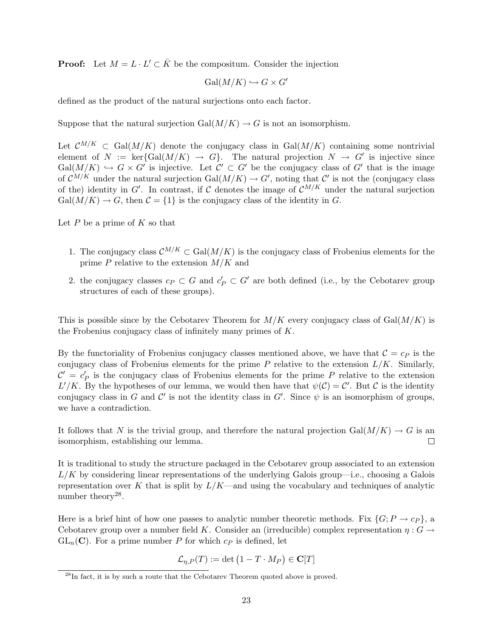**Proof:** Let  $M = L \cdot L' \subset \overline{K}$  be the compositum. Consider the injection

$$
\operatorname{Gal}(M/K) \hookrightarrow G \times G'
$$

defined as the product of the natural surjections onto each factor.

Suppose that the natural surjection Gal $(M/K) \to G$  is not an isomorphism.

Let  $\mathcal{C}^{M/K} \subset \text{Gal}(M/K)$  denote the conjugacy class in Gal $(M/K)$  containing some nontrivial element of  $N := \text{ker} \{ \text{Gal}(M/K) \to G \}.$  The natural projection  $N \to G'$  is injective since  $Gal(M/K) \hookrightarrow G \times G'$  is injective. Let  $C' \subset G'$  be the conjugacy class of  $G'$  that is the image of  $\mathcal{C}^{M/K}$  under the natural surjection Gal $(M/K) \to G'$ , noting that  $\mathcal{C}'$  is not the (conjugacy class of the) identity in G'. In contrast, if C denotes the image of  $\mathcal{C}^{M/K}$  under the natural surjection  $Gal(M/K) \to G$ , then  $\mathcal{C} = \{1\}$  is the conjugacy class of the identity in G.

Let  $P$  be a prime of  $K$  so that

- 1. The conjugacy class  $\mathcal{C}^{M/K} \subset \text{Gal}(M/K)$  is the conjugacy class of Frobenius elements for the prime  $P$  relative to the extension  $M/K$  and
- 2. the conjugacy classes  $c_P \subset G$  and  $c'_P \subset G'$  are both defined (i.e., by the Cebotarev group structures of each of these groups).

This is possible since by the Cebotarev Theorem for  $M/K$  every conjugacy class of Gal $(M/K)$  is the Frobenius conjugacy class of infinitely many primes of K.

By the functoriality of Frobenius conjugacy classes mentioned above, we have that  $C = c_p$  is the conjugacy class of Frobenius elements for the prime  $P$  relative to the extension  $L/K$ . Similarly,  $\mathcal{C}' = c_P'$  is the conjugacy class of Frobenius elements for the prime P relative to the extension L'/K. By the hypotheses of our lemma, we would then have that  $\psi(\mathcal{C}) = \mathcal{C}'$ . But C is the identity conjugacy class in G and C' is not the identity class in G'. Since  $\psi$  is an isomorphism of groups, we have a contradiction.

It follows that N is the trivial group, and therefore the natural projection Gal $(M/K) \to G$  is an isomorphism, establishing our lemma.  $\Box$ 

It is traditional to study the structure packaged in the Cebotarev group associated to an extension  $L/K$  by considering linear representations of the underlying Galois group—i.e., choosing a Galois representation over K that is split by  $L/K$ —and using the vocabulary and techniques of analytic number theory<sup>28</sup>.

Here is a brief hint of how one passes to analytic number theoretic methods. Fix  $\{G; P \to c_P\}$ , a Cebotarev group over a number field K. Consider an (irreducible) complex representation  $\eta: G \to$  $GL_n(\mathbf{C})$ . For a prime number P for which  $c_p$  is defined, let

$$
\mathcal{L}_{\eta,P}(T) := \det \left( 1 - T \cdot M_P \right) \in \mathbf{C}[T]
$$

<sup>&</sup>lt;sup>28</sup>In fact, it is by such a route that the Cebotarev Theorem quoted above is proved.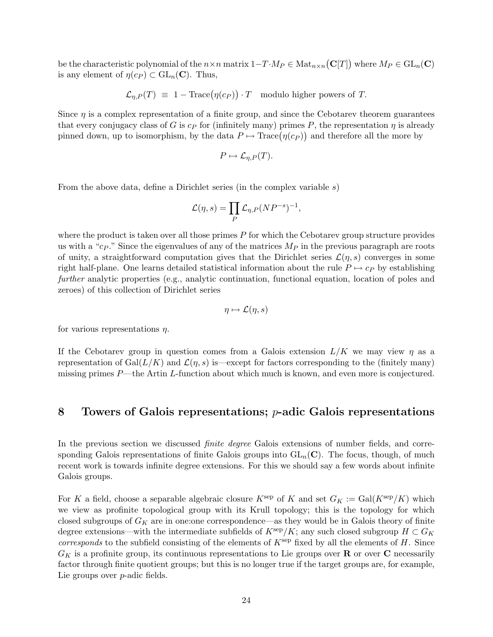be the characteristic polynomial of the  $n \times n$  matrix  $1 - T \cdot M_P \in Mat_{n \times n}(\mathbf{C}[T])$  where  $M_P \in \mathrm{GL}_n(\mathbf{C})$ is any element of  $\eta(c_P) \subset \text{GL}_n(\mathbb{C})$ . Thus,

$$
\mathcal{L}_{\eta,P}(T) \equiv 1 - \text{Trace}(\eta(c_P)) \cdot T
$$
 modulo higher powers of T.

Since  $\eta$  is a complex representation of a finite group, and since the Cebotarev theorem guarantees that every conjugacy class of G is  $c_P$  for (infinitely many) primes P, the representation  $\eta$  is already pinned down, up to isomorphism, by the data  $P \mapsto \text{Trace}(\eta(c_P))$  and therefore all the more by

$$
P \mapsto \mathcal{L}_{\eta, P}(T).
$$

From the above data, define a Dirichlet series (in the complex variable s)

$$
\mathcal{L}(\eta, s) = \prod_P \mathcal{L}_{\eta, P}(NP^{-s})^{-1},
$$

where the product is taken over all those primes  $P$  for which the Cebotarev group structure provides us with a "c<sub>P</sub>." Since the eigenvalues of any of the matrices  $M_P$  in the previous paragraph are roots of unity, a straightforward computation gives that the Dirichlet series  $\mathcal{L}(\eta, s)$  converges in some right half-plane. One learns detailed statistical information about the rule  $P \mapsto c_P$  by establishing further analytic properties (e.g., analytic continuation, functional equation, location of poles and zeroes) of this collection of Dirichlet series

$$
\eta \mapsto \mathcal{L}(\eta, s)
$$

for various representations  $\eta$ .

If the Cebotarev group in question comes from a Galois extension  $L/K$  we may view  $\eta$  as a representation of Gal $(L/K)$  and  $\mathcal{L}(\eta, s)$  is—except for factors corresponding to the (finitely many) missing primes  $P$ —the Artin L-function about which much is known, and even more is conjectured.

### 8 Towers of Galois representations;  $p$ -adic Galois representations

In the previous section we discussed *finite degree* Galois extensions of number fields, and corresponding Galois representations of finite Galois groups into  $GL_n(\mathbb{C})$ . The focus, though, of much recent work is towards infinite degree extensions. For this we should say a few words about infinite Galois groups.

For K a field, choose a separable algebraic closure  $K^{\text{sep}}$  of K and set  $G_K := \text{Gal}(K^{\text{sep}}/K)$  which we view as profinite topological group with its Krull topology; this is the topology for which closed subgroups of  $G_K$  are in one:one correspondence—as they would be in Galois theory of finite degree extensions—with the intermediate subfields of  $K<sup>sep</sup>/K$ ; any such closed subgroup  $H \subset G_K$ *corresponds* to the subfield consisting of the elements of  $K^{\text{sep}}$  fixed by all the elements of H. Since  $G_K$  is a profinite group, its continuous representations to Lie groups over **R** or over **C** necessarily factor through finite quotient groups; but this is no longer true if the target groups are, for example, Lie groups over *p*-adic fields.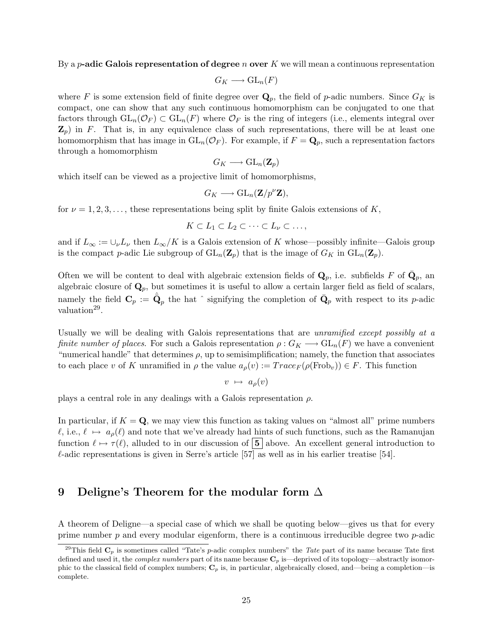By a *p*-adic Galois representation of degree *n* over K we will mean a continuous representation

$$
G_K \longrightarrow \mathrm{GL}_n(F)
$$

where F is some extension field of finite degree over  $\mathbf{Q}_p$ , the field of p-adic numbers. Since  $G_K$  is compact, one can show that any such continuous homomorphism can be conjugated to one that factors through  $GL_n(\mathcal{O}_F) \subset GL_n(F)$  where  $\mathcal{O}_F$  is the ring of integers (i.e., elements integral over  $\mathbf{Z}_p$ ) in F. That is, in any equivalence class of such representations, there will be at least one homomorphism that has image in  $GL_n(\mathcal{O}_F)$ . For example, if  $F = \mathbf{Q}_p$ , such a representation factors through a homomorphism

$$
G_K \longrightarrow \mathrm{GL}_n(\mathbf{Z}_p)
$$

which itself can be viewed as a projective limit of homomorphisms,

$$
G_K \longrightarrow \mathrm{GL}_n(\mathbf{Z}/p^{\nu}\mathbf{Z}),
$$

for  $\nu = 1, 2, 3, \ldots$ , these representations being split by finite Galois extensions of K,

$$
K\subset L_1\subset L_2\subset\cdots\subset L_\nu\subset\ldots,
$$

and if  $L_{\infty} := \cup_{\nu} L_{\nu}$  then  $L_{\infty}/K$  is a Galois extension of K whose—possibly infinite—Galois group is the compact p-adic Lie subgroup of  $GL_n(\mathbb{Z}_p)$  that is the image of  $G_K$  in  $GL_n(\mathbb{Z}_p)$ .

Often we will be content to deal with algebraic extension fields of  $\mathbf{Q}_p$ , i.e. subfields F of  $\bar{\mathbf{Q}}_p$ , an algebraic closure of  $\mathbf{Q}_p$ , but sometimes it is useful to allow a certain larger field as field of scalars, namely the field  $\mathbf{C}_p := \hat{\bar{\mathbf{Q}}}_p$  the hat  $\hat{\ }$  signifying the completion of  $\bar{\mathbf{Q}}_p$  with respect to its p-adic valuation<sup>29</sup>.

Usually we will be dealing with Galois representations that are *unramified except possibly at a* finite number of places. For such a Galois representation  $\rho: G_K \longrightarrow GL_n(F)$  we have a convenient "numerical handle" that determines  $\rho$ , up to semisimplification; namely, the function that associates to each place v of K unramified in  $\rho$  the value  $a_{\rho}(v) := Trace_F(\rho(\text{Frob}_v)) \in F$ . This function

$$
v \ \mapsto \ a_{\rho}(v)
$$

plays a central role in any dealings with a Galois representation  $\rho$ .

In particular, if  $K = Q$ , we may view this function as taking values on "almost all" prime numbers  $\ell$ , i.e.,  $\ell \mapsto a_{\rho}(\ell)$  and note that we've already had hints of such functions, such as the Ramanujan function  $\ell \mapsto \tau(\ell)$ , alluded to in our discussion of  $\vert 5 \vert$  above. An excellent general introduction to  $\ell$ -adic representations is given in Serre's article [57] as well as in his earlier treatise [54].

### 9 Deligne's Theorem for the modular form  $\Delta$

A theorem of Deligne—a special case of which we shall be quoting below—gives us that for every prime number  $p$  and every modular eigenform, there is a continuous irreducible degree two  $p$ -adic

<sup>&</sup>lt;sup>29</sup>This field  $C_p$  is sometimes called "Tate's p-adic complex numbers" the Tate part of its name because Tate first defined and used it, the *complex numbers* part of its name because  $\mathbf{C}_p$  is—deprived of its topology—abstractly isomorphic to the classical field of complex numbers;  $C_p$  is, in particular, algebraically closed, and—being a completion—is complete.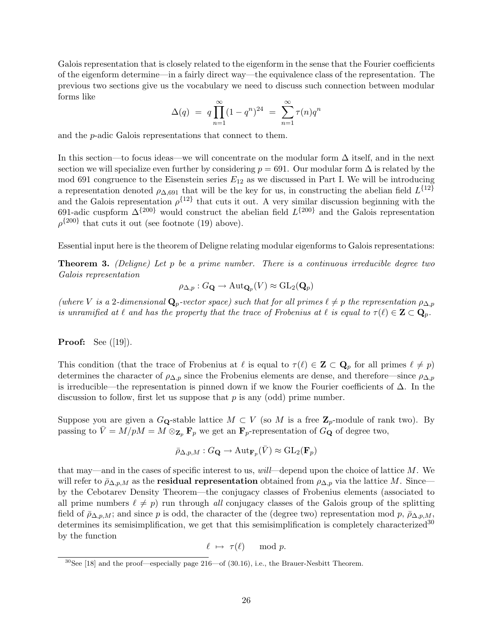Galois representation that is closely related to the eigenform in the sense that the Fourier coefficients of the eigenform determine—in a fairly direct way—the equivalence class of the representation. The previous two sections give us the vocabulary we need to discuss such connection between modular forms like

$$
\Delta(q) = q \prod_{n=1}^{\infty} (1 - q^n)^{24} = \sum_{n=1}^{\infty} \tau(n) q^n
$$

and the p-adic Galois representations that connect to them.

In this section—to focus ideas—we will concentrate on the modular form  $\Delta$  itself, and in the next section we will specialize even further by considering  $p = 691$ . Our modular form  $\Delta$  is related by the mod 691 congruence to the Eisenstein series  $E_{12}$  as we discussed in Part I. We will be introducing a representation denoted  $\rho_{\Delta,691}$  that will be the key for us, in constructing the abelian field  $L^{\{12\}}$ and the Galois representation  $\rho^{\{12\}}$  that cuts it out. A very similar discussion beginning with the 691-adic cuspform  $\Delta^{\{200\}}$  would construct the abelian field  $L^{\{200\}}$  and the Galois representation  $\rho^{\{200\}}$  that cuts it out (see footnote (19) above).

Essential input here is the theorem of Deligne relating modular eigenforms to Galois representations:

**Theorem 3.** (Deligne) Let p be a prime number. There is a continuous irreducible degree two Galois representation

$$
\rho_{\Delta,p}: G_{\mathbf{Q}} \to \mathrm{Aut}_{{\mathbf{Q}}_p}(V) \approx \mathrm{GL}_2({\mathbf{Q}}_p)
$$

(where V is a 2-dimensional  $\mathbf{Q}_p$ -vector space) such that for all primes  $\ell \neq p$  the representation  $\rho_{\Delta,p}$ is unramified at  $\ell$  and has the property that the trace of Frobenius at  $\ell$  is equal to  $\tau(\ell) \in \mathbf{Z} \subset \mathbf{Q}_p$ .

**Proof:** See  $([19])$ .

This condition (that the trace of Frobenius at  $\ell$  is equal to  $\tau (\ell) \in \mathbb{Z} \subset \mathbb{Q}_p$  for all primes  $\ell \neq p$ ) determines the character of  $\rho_{\Delta,p}$  since the Frobenius elements are dense, and therefore—since  $\rho_{\Delta,p}$ is irreducible—the representation is pinned down if we know the Fourier coefficients of  $\Delta$ . In the discussion to follow, first let us suppose that  $p$  is any (odd) prime number.

Suppose you are given a  $G_{\mathbf{Q}}$ -stable lattice  $M \subset V$  (so M is a free  $\mathbf{Z}_p$ -module of rank two). By passing to  $\bar{V} = M/pM = M \otimes_{\mathbf{Z}_p} \mathbf{F}_p$  we get an  $\mathbf{F}_p$ -representation of  $G_{\mathbf{Q}}$  of degree two,

$$
\bar{\rho}_{\Delta,p,M}: G_{\mathbf{Q}} \to \mathrm{Aut}_{\mathbf{F}_p}(\bar{V}) \approx \mathrm{GL}_2(\mathbf{F}_p)
$$

that may—and in the cases of specific interest to us,  $will$ —depend upon the choice of lattice  $M$ . We will refer to  $\bar{\rho}_{\Delta,p,M}$  as the **residual representation** obtained from  $\rho_{\Delta,p}$  via the lattice M. Since by the Cebotarev Density Theorem—the conjugacy classes of Frobenius elements (associated to all prime numbers  $\ell \neq p$ ) run through all conjugacy classes of the Galois group of the splitting field of  $\bar{\rho}_{\Delta,p,M}$ ; and since p is odd, the character of the (degree two) representation mod p,  $\bar{\rho}_{\Delta,p,M}$ , determines its semisimplification, we get that this semisimplification is completely characterized<sup>30</sup> by the function

$$
\ell \ \mapsto \ \tau(\ell) \quad \mod p.
$$

 $30$ See [18] and the proof—especially page 216—of (30.16), i.e., the Brauer-Nesbitt Theorem.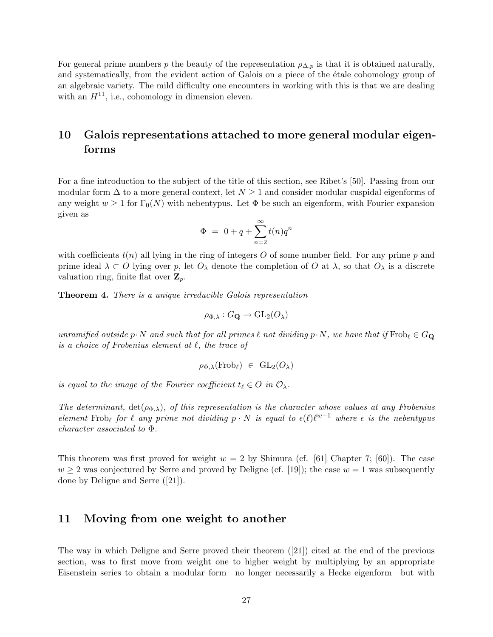For general prime numbers p the beauty of the representation  $\rho_{\Delta,p}$  is that it is obtained naturally, and systematically, from the evident action of Galois on a piece of the étale cohomology group of an algebraic variety. The mild difficulty one encounters in working with this is that we are dealing with an  $H^{11}$ , i.e., cohomology in dimension eleven.

## 10 Galois representations attached to more general modular eigenforms

For a fine introduction to the subject of the title of this section, see Ribet's [50]. Passing from our modular form  $\Delta$  to a more general context, let  $N \geq 1$  and consider modular cuspidal eigenforms of any weight  $w \ge 1$  for  $\Gamma_0(N)$  with nebentypus. Let  $\Phi$  be such an eigenform, with Fourier expansion given as

$$
\Phi = 0 + q + \sum_{n=2}^{\infty} t(n)q^n
$$

with coefficients  $t(n)$  all lying in the ring of integers O of some number field. For any prime p and prime ideal  $\lambda \subset O$  lying over p, let  $O_\lambda$  denote the completion of O at  $\lambda$ , so that  $O_\lambda$  is a discrete valuation ring, finite flat over  $\mathbf{Z}_p$ .

**Theorem 4.** There is a unique irreducible Galois representation

$$
\rho_{\Phi,\lambda}: G_{\mathbf{Q}} \to \mathrm{GL}_2(O_\lambda)
$$

unramified outside p $\cdot$ N and such that for all primes  $\ell$  not dividing p $\cdot$ N, we have that if  $Frob_{\ell} \in G_{\mathbf{Q}}$ is a choice of Frobenius element at  $\ell$ , the trace of

$$
\rho_{\Phi,\lambda}(\mathrm{Frob}_{\ell}) \ \in \ \mathrm{GL}_2(O_{\lambda})
$$

is equal to the image of the Fourier coefficient  $t_\ell \in O$  in  $\mathcal{O}_\lambda$ .

The determinant,  $det(\rho_{\Phi,\lambda})$ , of this representation is the character whose values at any Frobenius element Frob<sub>l</sub> for  $\ell$  any prime not dividing  $p \cdot N$  is equal to  $\epsilon(\ell) \ell^{w-1}$  where  $\epsilon$  is the nebentypus character associated to Φ.

This theorem was first proved for weight  $w = 2$  by Shimura (cf. [61] Chapter 7; [60]). The case  $w \geq 2$  was conjectured by Serre and proved by Deligne (cf. [19]); the case  $w = 1$  was subsequently done by Deligne and Serre ([21]).

### 11 Moving from one weight to another

The way in which Deligne and Serre proved their theorem ([21]) cited at the end of the previous section, was to first move from weight one to higher weight by multiplying by an appropriate Eisenstein series to obtain a modular form—no longer necessarily a Hecke eigenform—but with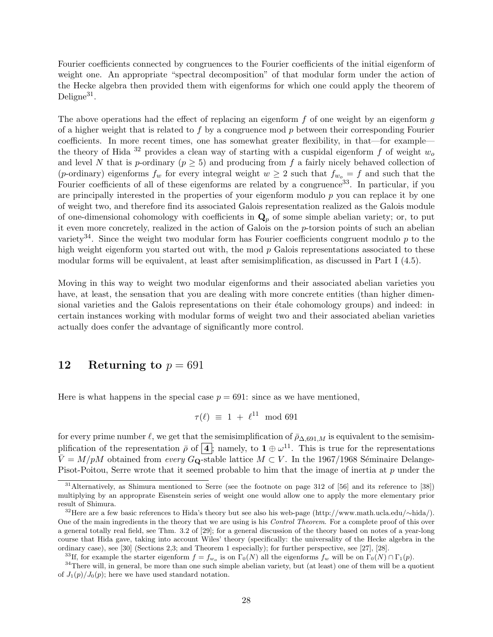Fourier coefficients connected by congruences to the Fourier coefficients of the initial eigenform of weight one. An appropriate "spectral decomposition" of that modular form under the action of the Hecke algebra then provided them with eigenforms for which one could apply the theorem of Deligne<sup>31</sup>.

The above operations had the effect of replacing an eigenform  $f$  of one weight by an eigenform  $g$ of a higher weight that is related to f by a congruence mod  $p$  between their corresponding Fourier coefficients. In more recent times, one has somewhat greater flexibility, in that—for example the theory of Hida <sup>32</sup> provides a clean way of starting with a cuspidal eigenform f of weight  $w<sub>o</sub>$ and level N that is p-ordinary ( $p \geq 5$ ) and producing from f a fairly nicely behaved collection of (p-ordinary) eigenforms  $f_w$  for every integral weight  $w \geq 2$  such that  $f_{w_o} = f$  and such that the Fourier coefficients of all of these eigenforms are related by a congruence<sup>33</sup>. In particular, if you are principally interested in the properties of your eigenform modulo  $p$  you can replace it by one of weight two, and therefore find its associated Galois representation realized as the Galois module of one-dimensional cohomology with coefficients in  $\mathbf{Q}_p$  of some simple abelian variety; or, to put it even more concretely, realized in the action of Galois on the p-torsion points of such an abelian variety<sup>34</sup>. Since the weight two modular form has Fourier coefficients congruent modulo  $p$  to the high weight eigenform you started out with, the mod  $p$  Galois representations associated to these modular forms will be equivalent, at least after semisimplification, as discussed in Part I (4.5).

Moving in this way to weight two modular eigenforms and their associated abelian varieties you have, at least, the sensation that you are dealing with more concrete entities (than higher dimensional varieties and the Galois representations on their étale cohomology groups) and indeed: in certain instances working with modular forms of weight two and their associated abelian varieties actually does confer the advantage of significantly more control.

### 12 Returning to  $p = 691$

Here is what happens in the special case  $p = 691$ : since as we have mentioned,

$$
\tau(\ell) \equiv 1 + \ell^{11} \mod 691
$$

for every prime number  $\ell$ , we get that the semisimplification of  $\bar{\rho}_{\Delta,691,M}$  is equivalent to the semisimplification of the representation  $\bar{\rho}$  of  $\boxed{4}$ ; namely, to  $1 \oplus \omega^{11}$ . This is true for the representations  $\bar{V} = M/pM$  obtained from every G<sub>Q</sub>-stable lattice  $M \subset V$ . In the 1967/1968 Séminaire Delange-Pisot-Poitou, Serre wrote that it seemed probable to him that the image of inertia at p under the

<sup>33</sup>If, for example the starter eigenform  $f = f_{w_o}$  is on  $\Gamma_0(N)$  all the eigenforms  $f_w$  will be on  $\Gamma_0(N) \cap \Gamma_1(p)$ .

<sup>31</sup>Alternatively, as Shimura mentioned to Serre (see the footnote on page 312 of [56] and its reference to [38]) multiplying by an approprate Eisenstein series of weight one would allow one to apply the more elementary prior result of Shimura.

<sup>32</sup>Here are a few basic references to Hida's theory but see also his web-page (http://www.math.ucla.edu/∼hida/). One of the main ingredients in the theory that we are using is his Control Theorem. For a complete proof of this over a general totally real field, see Thm. 3.2 of [29]; for a general discussion of the theory based on notes of a year-long course that Hida gave, taking into account Wiles' theory (specifically: the universality of the Hecke algebra in the ordinary case), see [30] (Sections 2,3; and Theorem 1 especially); for further perspective, see [27], [28].

 $34$ There will, in general, be more than one such simple abelian variety, but (at least) one of them will be a quotient of  $J_1(p)/J_0(p)$ ; here we have used standard notation.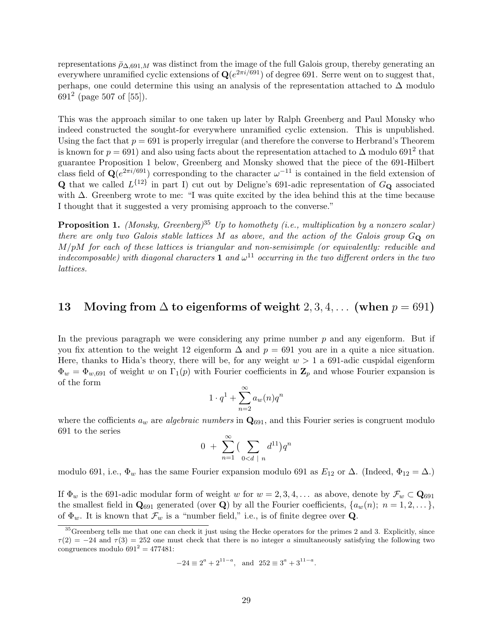representations  $\bar{\rho}_{\Delta,691,M}$  was distinct from the image of the full Galois group, thereby generating an everywhere unramified cyclic extensions of  $\mathbf{Q}(e^{2\pi i/691})$  of degree 691. Serre went on to suggest that, perhaps, one could determine this using an analysis of the representation attached to  $\Delta$  modulo  $691^2$  (page 507 of [55]).

This was the approach similar to one taken up later by Ralph Greenberg and Paul Monsky who indeed constructed the sought-for everywhere unramified cyclic extension. This is unpublished. Using the fact that  $p = 691$  is properly irregular (and therefore the converse to Herbrand's Theorem is known for  $p = 691$ ) and also using facts about the representation attached to  $\Delta$  modulo  $691^2$  that guarantee Proposition 1 below, Greenberg and Monsky showed that the piece of the 691-Hilbert class field of  $\mathbf{Q}(e^{2\pi i/691})$  corresponding to the character  $\omega^{-11}$  is contained in the field extension of **Q** that we called  $L^{\{12\}}$  in part I) cut out by Deligne's 691-adic representation of  $G_{\mathbf{Q}}$  associated with ∆. Greenberg wrote to me: "I was quite excited by the idea behind this at the time because I thought that it suggested a very promising approach to the converse."

**Proposition 1.** (Monsky, Greenberg)<sup>35</sup> Up to homothety (i.e., multiplication by a nonzero scalar) there are only two Galois stable lattices M as above, and the action of the Galois group  $G_Q$  on  $M/pM$  for each of these lattices is triangular and non-semisimple (or equivalently: reducible and indecomposable) with diagonal characters 1 and  $\omega^{11}$  occurring in the two different orders in the two lattices.

## 13 Moving from  $\Delta$  to eigenforms of weight 2, 3, 4, ... (when  $p = 691$ )

In the previous paragraph we were considering any prime number  $p$  and any eigenform. But if you fix attention to the weight 12 eigenform  $\Delta$  and  $p = 691$  you are in a quite a nice situation. Here, thanks to Hida's theory, there will be, for any weight  $w > 1$  a 691-adic cuspidal eigenform  $\Phi_w = \Phi_{w,691}$  of weight w on  $\Gamma_1(p)$  with Fourier coefficients in  $\mathbb{Z}_p$  and whose Fourier expansion is of the form

$$
1 \cdot q^1 + \sum_{n=2}^{\infty} a_w(n) q^n
$$

where the cofficients  $a_w$  are *algebraic numbers* in  $\mathbf{Q}_{691}$ , and this Fourier series is congruent modulo 691 to the series

$$
0 + \sum_{n=1}^{\infty} \left( \sum_{0 < d \, | \, n} d^{11} \right) q^n
$$

modulo 691, i.e.,  $\Phi_w$  has the same Fourier expansion modulo 691 as  $E_{12}$  or  $\Delta$ . (Indeed,  $\Phi_{12} = \Delta$ .)

If  $\Phi_w$  is the 691-adic modular form of weight w for  $w = 2, 3, 4, \ldots$  as above, denote by  $\mathcal{F}_w \subset \mathbf{Q}_{691}$ the smallest field in  $\mathbf{Q}_{691}$  generated (over  $\mathbf{Q}$ ) by all the Fourier coefficients,  $\{a_w(n); n = 1, 2, ...\}$ , of  $\Phi_w$ . It is known that  $\mathcal{F}_w$  is a "number field," i.e., is of finite degree over **Q**.

$$
-24 \equiv 2^a + 2^{11-a}
$$
, and  $252 \equiv 3^a + 3^{11-a}$ .

 $35G$ reenberg tells me that one can check it just using the Hecke operators for the primes 2 and 3. Explicitly, since  $\tau(2) = -24$  and  $\tau(3) = 252$  one must check that there is no integer a simultaneously satisfying the following two congruences modulo  $691^2 = 477481$ :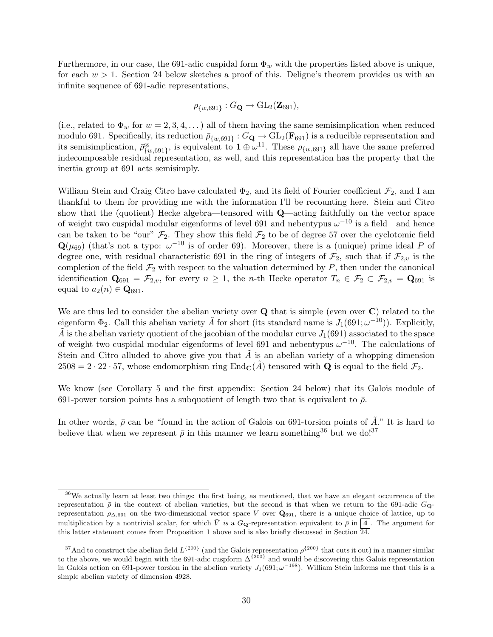Furthermore, in our case, the 691-adic cuspidal form  $\Phi_w$  with the properties listed above is unique, for each  $w > 1$ . Section 24 below sketches a proof of this. Deligne's theorem provides us with an infinite sequence of 691-adic representations,

$$
\rho_{\{w,691\}}: G_{\mathbf{Q}} \to \mathrm{GL}_2(\mathbf{Z}_{691}),
$$

(i.e., related to  $\Phi_w$  for  $w = 2, 3, 4, \ldots$ ) all of them having the same semisimplication when reduced modulo 691. Specifically, its reduction  $\bar{\rho}_{\{w,691\}}: G_{\bf{Q}} \to GL_2(\bf{F}_{691})$  is a reducible representation and its semisimplication,  $\bar{\rho}_{\{w,691\}}^{\text{ss}}$ , is equivalent to  $1 \oplus \omega^{11}$ . These  $\rho_{\{w,691\}}$  all have the same preferred indecomposable residual representation, as well, and this representation has the property that the inertia group at 691 acts semisimply.

William Stein and Craig Citro have calculated  $\Phi_2$ , and its field of Fourier coefficient  $\mathcal{F}_2$ , and I am thankful to them for providing me with the information I'll be recounting here. Stein and Citro show that the (quotient) Hecke algebra—tensored with Q—acting faithfully on the vector space of weight two cuspidal modular eigenforms of level 691 and nebentypus  $\omega^{-10}$  is a field—and hence can be taken to be "our"  $\mathcal{F}_2$ . They show this field  $\mathcal{F}_2$  to be of degree 57 over the cyclotomic field  $\mathbf{Q}(\mu_{69})$  (that's not a typo:  $\omega^{-10}$  is of order 69). Moreover, there is a (unique) prime ideal P of degree one, with residual characteristic 691 in the ring of integers of  $\mathcal{F}_2$ , such that if  $\mathcal{F}_{2,v}$  is the completion of the field  $\mathcal{F}_2$  with respect to the valuation determined by  $P$ , then under the canonical identification  $\mathbf{Q}_{691} = \mathcal{F}_{2,v}$ , for every  $n \geq 1$ , the *n*-th Hecke operator  $T_n \in \mathcal{F}_2 \subset \mathcal{F}_{2,v} = \mathbf{Q}_{691}$  is equal to  $a_2(n) \in \mathbf{Q}_{691}$ .

We are thus led to consider the abelian variety over Q that is simple (even over C) related to the eigenform  $\Phi_2$ . Call this abelian variety  $\tilde{A}$  for short (its standard name is  $J_1(691; \omega^{-10})$ ). Explicitly,  $\tilde{A}$  is the abelian variety quotient of the jacobian of the modular curve  $J_1(691)$  associated to the space of weight two cuspidal modular eigenforms of level 691 and nebentypus  $\omega^{-10}$ . The calculations of Stein and Citro alluded to above give you that  $\tilde{A}$  is an abelian variety of a whopping dimension  $2508 = 2 \cdot 22 \cdot 57$ , whose endomorphism ring End<sub>C</sub>(A) tensored with **Q** is equal to the field  $\mathcal{F}_2$ .

We know (see Corollary 5 and the first appendix: Section 24 below) that its Galois module of 691-power torsion points has a subquotient of length two that is equivalent to  $\bar{\rho}$ .

In other words,  $\bar{\rho}$  can be "found in the action of Galois on 691-torsion points of  $\tilde{A}$ ." It is hard to believe that when we represent  $\bar{\rho}$  in this manner we learn something<sup>36</sup> but we do!<sup>37</sup>

<sup>&</sup>lt;sup>36</sup>We actually learn at least two things: the first being, as mentioned, that we have an elegant occurrence of the representation  $\bar{\rho}$  in the context of abelian varieties, but the second is that when we return to the 691-adic  $G_{\text{Q}}$ representation  $\rho_{\Delta,691}$  on the two-dimensional vector space V over  $\mathbf{Q}_{691}$ , there is a unique choice of lattice, up to multiplication by a nontrivial scalar, for which  $\overline{V}$  is a  $G_{\mathbf{Q}}$ -representation equivalent to  $\overline{\rho}$  in  $\mathbf{q}$ . The argument for this latter statement comes from Proposition 1 above and is also briefly discussed in Section 24.

<sup>&</sup>lt;sup>37</sup>And to construct the abelian field  $L^{\{200\}}$  (and the Galois representation  $\rho^{\{200\}}$  that cuts it out) in a manner similar to the above, we would begin with the 691-adic cuspform  $\Delta^{\{200\}}$  and would be discovering this Galois representation in Galois action on 691-power torsion in the abelian variety  $J_1(691; \omega^{-198})$ . William Stein informs me that this is a simple abelian variety of dimension 4928.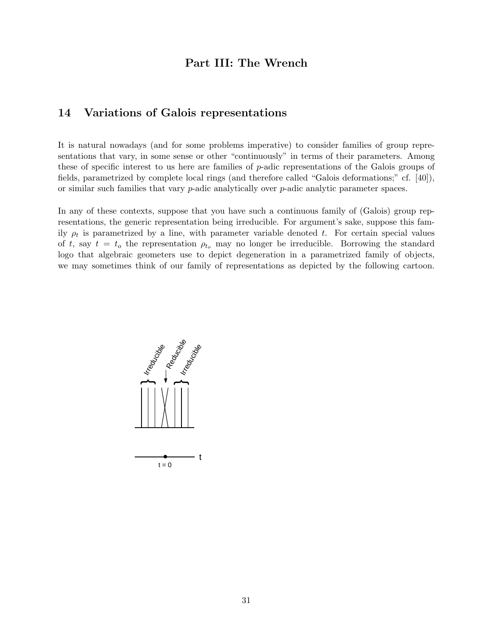## Part III: The Wrench

### 14 Variations of Galois representations

It is natural nowadays (and for some problems imperative) to consider families of group representations that vary, in some sense or other "continuously" in terms of their parameters. Among these of specific interest to us here are families of p-adic representations of the Galois groups of fields, parametrized by complete local rings (and therefore called "Galois deformations;" cf. [40]), or similar such families that vary p-adic analytically over p-adic analytic parameter spaces.

In any of these contexts, suppose that you have such a continuous family of (Galois) group representations, the generic representation being irreducible. For argument's sake, suppose this family  $\rho_t$  is parametrized by a line, with parameter variable denoted t. For certain special values of t, say  $t = t_0$  the representation  $\rho_{t_0}$  may no longer be irreducible. Borrowing the standard logo that algebraic geometers use to depict degeneration in a parametrized family of objects, we may sometimes think of our family of representations as depicted by the following cartoon.

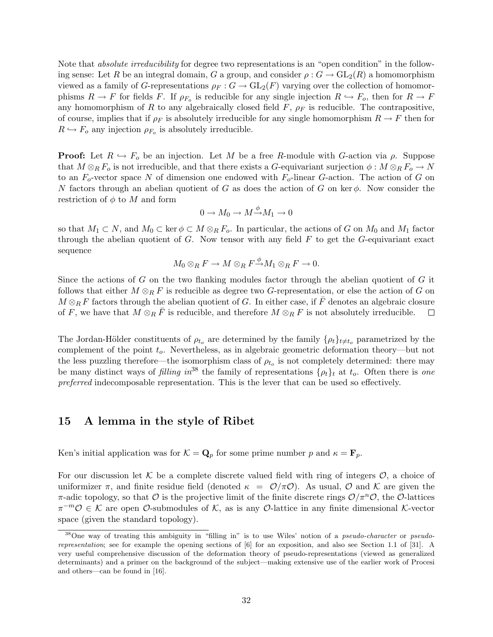Note that *absolute irreducibility* for degree two representations is an "open condition" in the following sense: Let R be an integral domain, G a group, and consider  $\rho: G \to GL_2(R)$  a homomorphism viewed as a family of G-representations  $\rho_F : G \to GL_2(F)$  varying over the collection of homomorphisms  $R \to F$  for fields F. If  $\rho_{F_o}$  is reducible for any single injection  $R \hookrightarrow F_o$ , then for  $R \to F_o$ any homomorphism of R to any algebraically closed field  $F$ ,  $\rho_F$  is reducible. The contrapositive, of course, implies that if  $\rho_F$  is absolutely irreducible for any single homomorphism  $R \to F$  then for  $R \hookrightarrow F_o$  any injection  $\rho_{F_o}$  is absolutely irreducible.

**Proof:** Let  $R \hookrightarrow F_o$  be an injection. Let M be a free R-module with G-action via  $\rho$ . Suppose that  $M \otimes_R F_o$  is not irreducible, and that there exists a G-equivariant surjection  $\phi : M \otimes_R F_o \to N$ to an  $F_o$ -vector space N of dimension one endowed with  $F_o$ -linear G-action. The action of G on N factors through an abelian quotient of G as does the action of G on ker  $\phi$ . Now consider the restriction of  $\phi$  to M and form

$$
0\to M_0\to M\overset{\phi}\to M_1\to 0
$$

so that  $M_1 \subset N$ , and  $M_0 \subset \text{ker } \phi \subset M \otimes_R F_o$ . In particular, the actions of G on  $M_0$  and  $M_1$  factor through the abelian quotient of  $G$ . Now tensor with any field  $F$  to get the  $G$ -equivariant exact sequence

$$
M_0\otimes_R F\to M\otimes_R F {\overset {\phi} \to} M_1\otimes_R F\to 0.
$$

Since the actions of G on the two flanking modules factor through the abelian quotient of G it follows that either  $M \otimes_R F$  is reducible as degree two G-representation, or else the action of G on  $M \otimes_R F$  factors through the abelian quotient of G. In either case, if  $\overline{F}$  denotes an algebraic closure of F, we have that  $M \otimes_R \overline{F}$  is reducible, and therefore  $M \otimes_R F$  is not absolutely irreducible.  $\Box$ 

The Jordan-Hölder constituents of  $\rho_{t_o}$  are determined by the family  $\{\rho_t\}_{t\neq t_o}$  parametrized by the complement of the point  $t_o$ . Nevertheless, as in algebraic geometric deformation theory—but not the less puzzling therefore—the isomorphism class of  $\rho_{t_o}$  is not completely determined: there may be many distinct ways of filling  $in^{38}$  the family of representations  $\{\rho_t\}_t$  at  $t_o$ . Often there is one preferred indecomposable representation. This is the lever that can be used so effectively.

### 15 A lemma in the style of Ribet

Ken's initial application was for  $\mathcal{K} = \mathbf{Q}_p$  for some prime number p and  $\kappa = \mathbf{F}_p$ .

For our discussion let K be a complete discrete valued field with ring of integers  $\mathcal{O}$ , a choice of uniformizer  $\pi$ , and finite residue field (denoted  $\kappa = \mathcal{O}/\pi\mathcal{O}$ ). As usual,  $\mathcal{O}$  and  $\mathcal{K}$  are given the  $\pi$ -adic topology, so that O is the projective limit of the finite discrete rings  $\mathcal{O}/\pi^n\mathcal{O}$ , the O-lattices  $\pi^{-m}\mathcal{O} \in \mathcal{K}$  are open  $\mathcal{O}$ -submodules of  $\mathcal{K}$ , as is any  $\mathcal{O}$ -lattice in any finite dimensional  $\mathcal{K}$ -vector space (given the standard topology).

<sup>&</sup>lt;sup>38</sup>One way of treating this ambiguity in "filling in" is to use Wiles' notion of a *pseudo-character* or *pseudo*representation; see for example the opening sections of [6] for an exposition, and also see Section 1.1 of [31]. A very useful comprehensive discussion of the deformation theory of pseudo-representations (viewed as generalized determinants) and a primer on the background of the subject—making extensive use of the earlier work of Procesi and others—can be found in [16].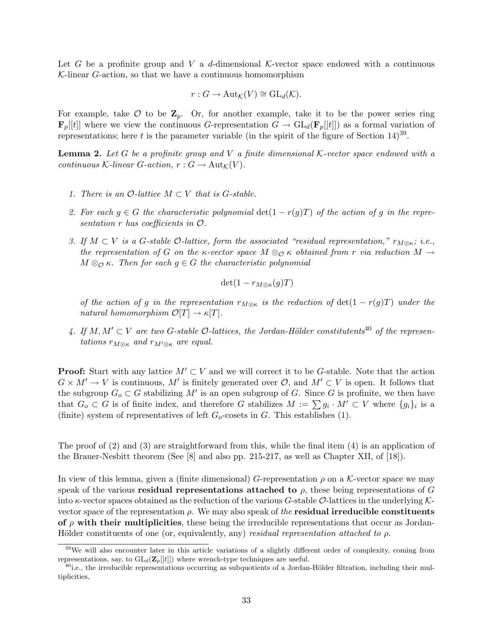Let G be a profinite group and V a d-dimensional K-vector space endowed with a continuous  $K$ -linear  $G$ -action, so that we have a continuous homomorphism

$$
r: G \to \mathrm{Aut}_{\mathcal{K}}(V) \cong \mathrm{GL}_d(\mathcal{K}).
$$

For example, take  $\mathcal O$  to be  $\mathbf Z_p$ . Or, for another example, take it to be the power series ring  $\mathbf{F}_p[[t]]$  where we view the continuous G-representation  $G \to \mathrm{GL}_d(\mathbf{F}_p[[t]])$  as a formal variation of representations; here t is the parameter variable (in the spirit of the figure of Section  $14)^{39}$ .

**Lemma 2.** Let G be a profinite group and V a finite dimensional K-vector space endowed with a continuous K-linear G-action,  $r: G \to \text{Aut}_{\mathcal{K}}(V)$ .

- 1. There is an  $\mathcal{O}\text{-}lattice M \subset V$  that is G-stable.
- 2. For each  $g \in G$  the characteristic polynomial  $\det(1 r(g)T)$  of the action of g in the representation r has coefficients in O.
- 3. If  $M \subset V$  is a G-stable O-lattice, form the associated "residual representation,"  $r_{M \otimes \kappa}$ ; i.e., the representation of G on the  $\kappa$ -vector space  $M \otimes_{\mathcal{O}} \kappa$  obtained from r via reduction  $M \to$  $M \otimes_{\mathcal{O}} \kappa$ . Then for each  $g \in G$  the characteristic polynomial

$$
\det(1 - r_{M \otimes \kappa}(g)T)
$$

of the action of g in the representation  $r_{M\otimes \kappa}$  is the reduction of  $\det(1 - r(g)T)$  under the natural homomorphism  $\mathcal{O}[T] \to \kappa[T]$ .

4. If  $M, M' \subset V$  are two G-stable  $\mathcal{O}\text{-}lattices$ , the Jordan-Hölder constitutents<sup>40</sup> of the representations  $r_{M\otimes \kappa}$  and  $r_{M'\otimes \kappa}$  are equal.

**Proof:** Start with any lattice  $M' \subset V$  and we will correct it to be G-stable. Note that the action  $G \times M' \to V$  is continuous, M' is finitely generated over  $\mathcal{O}$ , and  $M' \subset V$  is open. It follows that the subgroup  $G_o \subset G$  stabilizing M' is an open subgroup of G. Since G is profinite, we then have that  $G_o \subset G$  is of finite index, and therefore G stabilizes  $M := \sum g_i \cdot M' \subset V$  where  $\{g_i\}_i$  is a (finite) system of representatives of left  $G<sub>o</sub>$ -cosets in G. This establishes (1).

The proof of  $(2)$  and  $(3)$  are straightforward from this, while the final item  $(4)$  is an application of the Brauer-Nesbitt theorem (See [8] and also pp. 215-217, as well as Chapter XII, of [18]).

In view of this lemma, given a (finite dimensional) G-representation  $\rho$  on a K-vector space we may speak of the various **residual representations attached to**  $\rho$ , these being representations of G into  $\kappa$ -vector spaces obtained as the reduction of the various G-stable O-lattices in the underlying Kvector space of the representation  $\rho$ . We may also speak of the **residual irreducible constituents** of  $\rho$  with their multiplicities, these being the irreducible representations that occur as Jordan-Hölder constituents of one (or, equivalently, any) residual representation attached to  $\rho$ .

<sup>&</sup>lt;sup>39</sup>We will also encounter later in this article variations of a slightly different order of complexity, coming from representations, say, to  $GL_d(\mathbf{Z}_p[[t]])$  where wrench-type techniques are useful.

 $^{40}$ i.e., the irreducible representations occurring as subquotients of a Jordan-Hölder filtration, including their multiplicities,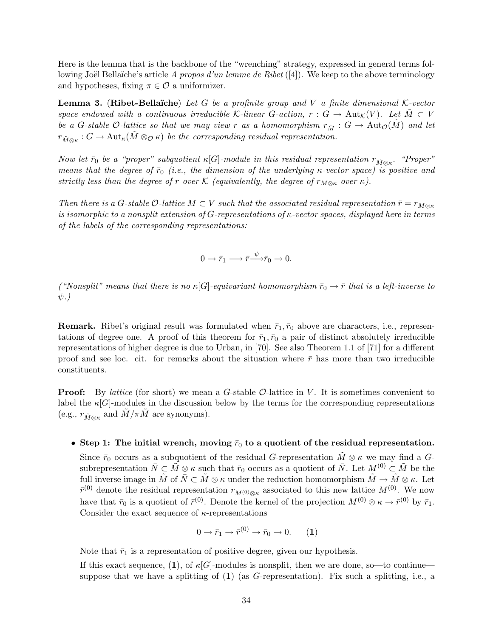Here is the lemma that is the backbone of the "wrenching" strategy, expressed in general terms following Joël Bellaïche's article A propos d'un lemme de Ribet  $([4])$ . We keep to the above terminology and hypotheses, fixing  $\pi \in \mathcal{O}$  a uniformizer.

**Lemma 3.** (Ribet-Bellaïche) Let G be a profinite group and V a finite dimensional K-vector space endowed with a continuous irreducible K-linear G-action,  $r : G \to Aut_{\mathcal{K}}(V)$ . Let  $M \subset V$ be a G-stable O-lattice so that we may view r as a homomorphism  $r_{\tilde{M}} : G \to \text{Aut}_\mathcal{O}(M)$  and let  $r_{\tilde{M}\otimes \kappa}: G\to \text{Aut}_{\kappa}(\tilde{M}\otimes_{\mathcal{O}}\kappa)$  be the corresponding residual representation.

Now let  $\bar{r}_0$  be a "proper" subquotient  $\kappa[G]$ -module in this residual representation  $r_{\tilde{M}\otimes\kappa}$ . "Proper" means that the degree of  $\bar{r}_0$  (i.e., the dimension of the underlying  $\kappa$ -vector space) is positive and strictly less than the degree of r over K (equivalently, the degree of  $r_{M\otimes \kappa}$  over  $\kappa$ ).

Then there is a G-stable  $\mathcal{O}\text{-}lattice M \subset V$  such that the associated residual representation  $\bar{r} = r_{M\otimes\kappa}$ is isomorphic to a nonsplit extension of G-representations of  $\kappa$ -vector spaces, displayed here in terms of the labels of the corresponding representations:

$$
0 \to \bar{r}_1 \longrightarrow \bar{r} \longrightarrow^{\psi} \bar{r}_0 \to 0.
$$

("Nonsplit" means that there is no  $\kappa[G]$ -equivariant homomorphism  $\bar{r}_0 \to \bar{r}$  that is a left-inverse to  $\psi$ .)

**Remark.** Ribet's original result was formulated when  $\bar{r}_1, \bar{r}_0$  above are characters, i.e., representations of degree one. A proof of this theorem for  $\bar{r}_1, \bar{r}_0$  a pair of distinct absolutely irreducible representations of higher degree is due to Urban, in [70]. See also Theorem 1.1 of [71] for a different proof and see loc. cit. for remarks about the situation where  $\bar{r}$  has more than two irreducible constituents.

**Proof:** By lattice (for short) we mean a G-stable  $\mathcal{O}$ -lattice in V. It is sometimes convenient to label the  $\kappa[G]$ -modules in the discussion below by the terms for the corresponding representations (e.g.,  $r_{\tilde{M}\otimes \kappa}$  and  $\tilde{M}/\pi \tilde{M}$  are synonyms).

#### • Step 1: The initial wrench, moving  $\bar{r}_0$  to a quotient of the residual representation.

Since  $\bar{r}_0$  occurs as a subquotient of the residual G-representation  $\tilde{M} \otimes \kappa$  we may find a Gsubrepresentation  $\overline{N} \subset \tilde{M} \otimes \kappa$  such that  $\overline{r}_0$  occurs as a quotient of  $\overline{N}$ . Let  $M^{(0)} \subset \tilde{M}$  be the full inverse image in  $\tilde{M}$  of  $\bar{N} \subset \tilde{M} \otimes \kappa$  under the reduction homomorphism  $\tilde{M} \to \tilde{M} \otimes \kappa$ . Let  $\bar{r}^{(0)}$  denote the residual representation  $r_{M^{(0)}\otimes\kappa}$  associated to this new lattice  $M^{(0)}$ . We now have that  $\bar{r}_0$  is a quotient of  $\bar{r}^{(0)}$ . Denote the kernel of the projection  $M^{(0)} \otimes \kappa \to \bar{r}^{(0)}$  by  $\bar{r}_1$ . Consider the exact sequence of  $\kappa$ -representations

$$
0 \to \bar{r}_1 \to \bar{r}^{(0)} \to \bar{r}_0 \to 0. \qquad (1)
$$

Note that  $\bar{r}_1$  is a representation of positive degree, given our hypothesis.

If this exact sequence, (1), of  $\kappa[G]$ -modules is nonsplit, then we are done, so—to continue suppose that we have a splitting of  $(1)$  (as G-representation). Fix such a splitting, i.e., a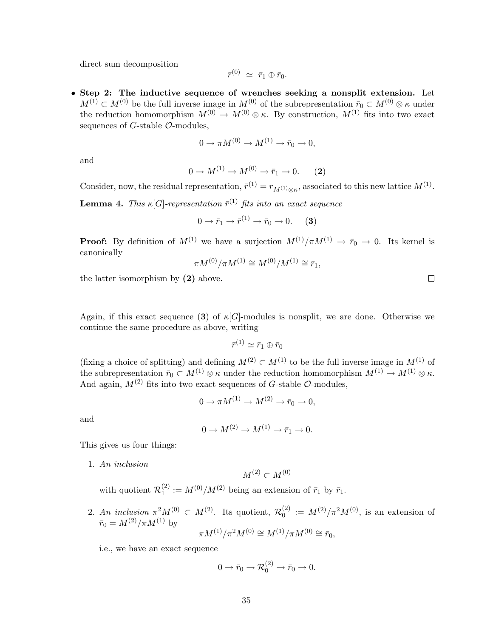direct sum decomposition

$$
\bar{r}^{(0)} \ \simeq \ \bar{r}_1 \oplus \bar{r}_0.
$$

• Step 2: The inductive sequence of wrenches seeking a nonsplit extension. Let  $M^{(1)} \subset M^{(0)}$  be the full inverse image in  $M^{(0)}$  of the subrepresentation  $\bar{r}_0 \subset M^{(0)} \otimes \kappa$  under the reduction homomorphism  $M^{(0)} \to M^{(0)} \otimes \kappa$ . By construction,  $M^{(1)}$  fits into two exact sequences of  $G$ -stable  $\mathcal{O}$ -modules.

$$
0 \to \pi M^{(0)} \to M^{(1)} \to \bar{r}_0 \to 0,
$$

and

$$
0 \to M^{(1)} \to M^{(0)} \to \bar{r}_1 \to 0. \tag{2}
$$

Consider, now, the residual representation,  $\bar{r}^{(1)} = r_{M^{(1)}\otimes\kappa}$ , associated to this new lattice  $M^{(1)}$ .

**Lemma 4.** This  $\kappa[G]$ -representation  $\bar{r}^{(1)}$  fits into an exact sequence

$$
0 \to \bar{r}_1 \to \bar{r}^{(1)} \to \bar{r}_0 \to 0. \tag{3}
$$

**Proof:** By definition of  $M^{(1)}$  we have a surjection  $M^{(1)}/\pi M^{(1)} \rightarrow \bar{r}_0 \rightarrow 0$ . Its kernel is canonically

$$
\pi M^{(0)}/\pi M^{(1)} \cong M^{(0)}/M^{(1)} \cong \bar{r}_1,
$$

the latter isomorphism by (2) above.

Again, if this exact sequence (3) of  $\kappa[G]$ -modules is nonsplit, we are done. Otherwise we continue the same procedure as above, writing

$$
\bar{r}^{(1)} \simeq \bar{r}_1 \oplus \bar{r}_0
$$

(fixing a choice of splitting) and defining  $M^{(2)} \subset M^{(1)}$  to be the full inverse image in  $M^{(1)}$  of the subrepresentation  $\bar{r}_0 \subset M^{(1)} \otimes \kappa$  under the reduction homomorphism  $M^{(1)} \to M^{(1)} \otimes \kappa$ . And again,  $M^{(2)}$  fits into two exact sequences of G-stable  $\mathcal{O}$ -modules,

$$
0 \to \pi M^{(1)} \to M^{(2)} \to \bar{r}_0 \to 0,
$$

and

$$
0 \to M^{(2)} \to M^{(1)} \to \bar{r}_1 \to 0.
$$

This gives us four things:

1. An inclusion

$$
M^{(2)}\subset M^{(0)}
$$

with quotient  $\mathcal{R}_1^{(2)}$  $t_1^{(2)} := M^{(0)}/M^{(2)}$  being an extension of  $\bar{r}_1$  by  $\bar{r}_1$ .

2. An inclusion  $\pi^2 M^{(0)} \subset M^{(2)}$ . Its quotient,  $\mathcal{R}_0^{(2)}$  $0^{(2)} := M^{(2)}/\pi^2 M^{(0)}$ , is an extension of  $\bar{r}_0 = M^{(2)}/\pi M^{(1)}$  by  $\pi M^{(1)}/\pi^2 M^{(0)} \cong M^{(1)}/\pi M^{(0)} \cong \bar{r}_0,$ 

i.e., we have an exact sequence

$$
0 \to \bar{r}_0 \to \mathcal{R}_0^{(2)} \to \bar{r}_0 \to 0.
$$

 $\Box$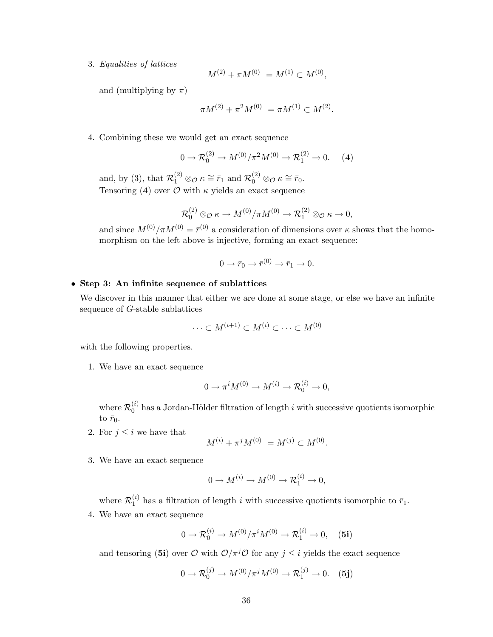3. Equalities of lattices

$$
M^{(2)} + \pi M^{(0)} = M^{(1)} \subset M^{(0)},
$$

and (multiplying by  $\pi$ )

$$
\pi M^{(2)} + \pi^2 M^{(0)} = \pi M^{(1)} \subset M^{(2)}.
$$

4. Combining these we would get an exact sequence

$$
0 \to \mathcal{R}_0^{(2)} \to M^{(0)}/\pi^2 M^{(0)} \to \mathcal{R}_1^{(2)} \to 0. \quad (4)
$$

and, by (3), that  $\mathcal{R}_1^{(2)} \otimes_{\mathcal{O}} \kappa \cong \bar{r}_1$  and  $\mathcal{R}_0^{(2)} \otimes_{\mathcal{O}} \kappa \cong \bar{r}_0$ . Tensoring (4) over  $\mathcal O$  with  $\kappa$  yields an exact sequence

$$
\mathcal{R}_0^{(2)} \otimes_{\mathcal{O}} \kappa \to M^{(0)}/\pi M^{(0)} \to \mathcal{R}_1^{(2)} \otimes_{\mathcal{O}} \kappa \to 0,
$$

and since  $M^{(0)}/\pi M^{(0)} = \bar{r}^{(0)}$  a consideration of dimensions over  $\kappa$  shows that the homomorphism on the left above is injective, forming an exact sequence:

$$
0 \to \bar{r}_0 \to \bar{r}^{(0)} \to \bar{r}_1 \to 0.
$$

#### • Step 3: An infinite sequence of sublattices

We discover in this manner that either we are done at some stage, or else we have an infinite sequence of G-stable sublattices

$$
\cdots \subset M^{(i+1)} \subset M^{(i)} \subset \cdots \subset M^{(0)}
$$

with the following properties.

1. We have an exact sequence

$$
0 \to \pi^i M^{(0)} \to M^{(i)} \to \mathcal{R}_0^{(i)} \to 0,
$$

where  $\mathcal{R}_0^{(i)}$  $\binom{0}{0}$  has a Jordan-Hölder filtration of length i with successive quotients isomorphic to  $\bar{r}_0$ .

2. For  $j \leq i$  we have that

$$
M^{(i)} + \pi^j M^{(0)} = M^{(j)} \subset M^{(0)}.
$$

3. We have an exact sequence

$$
0 \to M^{(i)} \to M^{(0)} \to \mathcal{R}_1^{(i)} \to 0,
$$

where  $\mathcal{R}_1^{(i)}$  $\frac{1}{1}$  has a filtration of length i with successive quotients isomorphic to  $\bar{r}_1$ . 4. We have an exact sequence

$$
0 \to \mathcal{R}_0^{(i)} \to M^{(0)}/\pi^i M^{(0)} \to \mathcal{R}_1^{(i)} \to 0, \quad (5i)
$$

and tensoring (5i) over  $\mathcal{O}$  with  $\mathcal{O}/\pi^j\mathcal{O}$  for any  $j \leq i$  yields the exact sequence

$$
0 \to \mathcal{R}_0^{(j)} \to M^{(0)}/\pi^j M^{(0)} \to \mathcal{R}_1^{(j)} \to 0. \quad (5j)
$$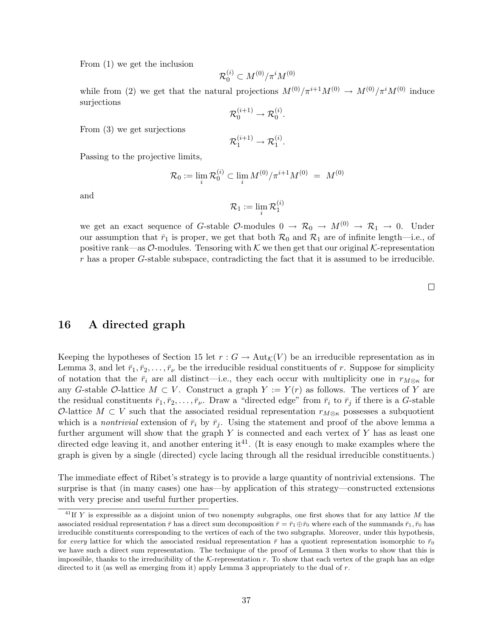From (1) we get the inclusion

$$
\mathcal R_0^{(i)}\subset M^{(0)}/\pi^iM^{(0)}
$$

while from (2) we get that the natural projections  $M^{(0)}/\pi^{i+1}M^{(0)} \to M^{(0)}/\pi^{i}M^{(0)}$  induce surjections

$$
\mathcal{R}_0^{(i+1)} \to \mathcal{R}_0^{(i)}.
$$

From (3) we get surjections

$$
\mathcal{R}_1^{(i+1)} \to \mathcal{R}_1^{(i)}.
$$

Passing to the projective limits,

$$
\mathcal{R}_0 := \lim_i \mathcal{R}_0^{(i)} \subset \lim_i M^{(0)} / \pi^{i+1} M^{(0)} = M^{(0)}
$$

and

$$
\mathcal{R}_1 := \lim_i \mathcal{R}_1^{(i)}
$$

we get an exact sequence of G-stable  $\mathcal{O}\text{-modules } 0 \to \mathcal{R}_0 \to M^{(0)} \to \mathcal{R}_1 \to 0$ . Under our assumption that  $\bar{r}_1$  is proper, we get that both  $\mathcal{R}_0$  and  $\mathcal{R}_1$  are of infinite length—i.e., of positive rank—as  $\mathcal{O}\text{-modules}$ . Tensoring with K we then get that our original K-representation r has a proper G-stable subspace, contradicting the fact that it is assumed to be irreducible.

 $\Box$ 

### 16 A directed graph

Keeping the hypotheses of Section 15 let  $r: G \to \text{Aut}_{\mathcal{K}}(V)$  be an irreducible representation as in Lemma 3, and let  $\bar{r}_1, \bar{r}_2, \ldots, \bar{r}_\nu$  be the irreducible residual constituents of r. Suppose for simplicity of notation that the  $\bar{r}_i$  are all distinct—i.e., they each occur with multiplicity one in  $r_{M\otimes\kappa}$  for any G-stable O-lattice  $M \subset V$ . Construct a graph  $Y := Y(r)$  as follows. The vertices of Y are the residual constituents  $\bar{r}_1, \bar{r}_2, \ldots, \bar{r}_\nu$ . Draw a "directed edge" from  $\bar{r}_i$  to  $\bar{r}_j$  if there is a G-stable O-lattice  $M \subset V$  such that the associated residual representation  $r_{M\otimes\kappa}$  possesses a subquotient which is a nontrivial extension of  $\bar{r}_i$  by  $\bar{r}_j$ . Using the statement and proof of the above lemma a further argument will show that the graph  $Y$  is connected and each vertex of  $Y$  has as least one directed edge leaving it, and another entering it<sup>41</sup>. (It is easy enough to make examples where the graph is given by a single (directed) cycle lacing through all the residual irreducible constituents.)

The immediate effect of Ribet's strategy is to provide a large quantity of nontrivial extensions. The surprise is that (in many cases) one has—by application of this strategy—constructed extensions with very precise and useful further properties.

<sup>&</sup>lt;sup>41</sup>If Y is expressible as a disjoint union of two nonempty subgraphs, one first shows that for any lattice M the associated residual representation  $\bar{r}$  has a direct sum decomposition  $\bar{r} = \bar{r}_1 \oplus \bar{r}_0$  where each of the summands  $\bar{r}_1, \bar{r}_0$  has irreducible constituents corresponding to the vertices of each of the two subgraphs. Moreover, under this hypothesis, for every lattice for which the associated residual representation  $\bar{r}$  has a quotient representation isomorphic to  $\bar{r}_0$ we have such a direct sum representation. The technique of the proof of Lemma 3 then works to show that this is impossible, thanks to the irreducibility of the  $K$ -representation  $r$ . To show that each vertex of the graph has an edge directed to it (as well as emerging from it) apply Lemma 3 appropriately to the dual of  $r$ .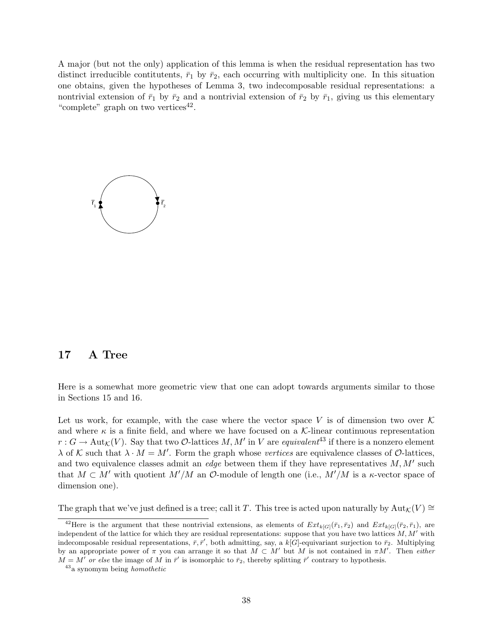A major (but not the only) application of this lemma is when the residual representation has two distinct irreducible contitutents,  $\bar{r}_1$  by  $\bar{r}_2$ , each occurring with multiplicity one. In this situation one obtains, given the hypotheses of Lemma 3, two indecomposable residual representations: a nontrivial extension of  $\bar{r}_1$  by  $\bar{r}_2$  and a nontrivial extension of  $\bar{r}_2$  by  $\bar{r}_1$ , giving us this elementary "complete" graph on two vertices $42$ .



### 17 A Tree

Here is a somewhat more geometric view that one can adopt towards arguments similar to those in Sections 15 and 16.

Let us work, for example, with the case where the vector space V is of dimension two over  $\mathcal K$ and where  $\kappa$  is a finite field, and where we have focused on a  $\mathcal{K}\text{-linear}$  continuous representation  $r: G \to \text{Aut}_{\mathcal{K}}(V)$ . Say that two  $\mathcal{O}\text{-lattices } M, M'$  in V are equivalent<sup>43</sup> if there is a nonzero element  $\lambda$  of K such that  $\lambda \cdot M = M'$ . Form the graph whose vertices are equivalence classes of O-lattices, and two equivalence classes admit an *edge* between them if they have representatives  $M, M'$  such that  $M \subset M'$  with quotient  $M'/M$  an  $\mathcal{O}$ -module of length one (i.e.,  $M'/M$  is a  $\kappa$ -vector space of dimension one).

The graph that we've just defined is a tree; call it T. This tree is acted upon naturally by  $Aut_{\mathcal{K}}(V) \cong$ 

<sup>&</sup>lt;sup>42</sup>Here is the argument that these nontrivial extensions, as elements of  $Ext_{k[G]}(\bar{r}_1, \bar{r}_2)$  and  $Ext_{k[G]}(\bar{r}_2, \bar{r}_1)$ , are independent of the lattice for which they are residual representations: suppose that you have two lattices  $M, M'$  with indecomposable residual representations,  $\bar{r}, \bar{r}'$ , both admitting, say, a k[G]-equivariant surjection to  $\bar{r}_2$ . Multiplying by an appropriate power of  $\pi$  you can arrange it so that  $M \subset M'$  but M is not contained in  $\pi M'$ . Then either  $M = M'$  or else the image of M in  $\bar{r}'$  is isomorphic to  $\bar{r}_2$ , thereby splitting  $\bar{r}'$  contrary to hypothesis.

<sup>43</sup>a synomym being homothetic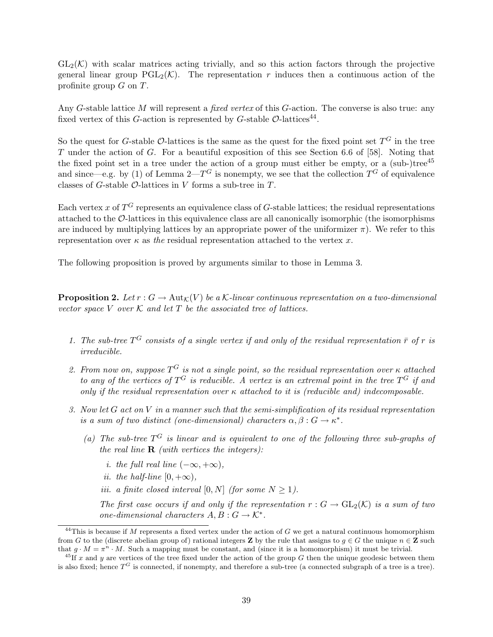$GL_2(\mathcal{K})$  with scalar matrices acting trivially, and so this action factors through the projective general linear group  $PGL_2(\mathcal{K})$ . The representation r induces then a continuous action of the profinite group  $G$  on  $T$ .

Any G-stable lattice M will represent a fixed vertex of this G-action. The converse is also true: any fixed vertex of this G-action is represented by G-stable  $\mathcal{O}\text{-lattices}^{44}$ .

So the quest for G-stable O-lattices is the same as the quest for the fixed point set  $T^G$  in the tree T under the action of G. For a beautiful exposition of this see Section 6.6 of [58]. Noting that the fixed point set in a tree under the action of a group must either be empty, or a (sub-)tree<sup>45</sup> and since—e.g. by (1) of Lemma 2— $T^G$  is nonempty, we see that the collection  $T^G$  of equivalence classes of G-stable  $\mathcal{O}$ -lattices in V forms a sub-tree in T.

Each vertex x of  $T^G$  represents an equivalence class of G-stable lattices; the residual representations attached to the O-lattices in this equivalence class are all canonically isomorphic (the isomorphisms are induced by multiplying lattices by an appropriate power of the uniformizer  $\pi$ ). We refer to this representation over  $\kappa$  as the residual representation attached to the vertex x.

The following proposition is proved by arguments similar to those in Lemma 3.

**Proposition 2.** Let  $r : G \to \text{Aut}_{\mathcal{K}}(V)$  be a K-linear continuous representation on a two-dimensional vector space V over  $K$  and let T be the associated tree of lattices.

- 1. The sub-tree  $T^G$  consists of a single vertex if and only of the residual representation  $\bar{r}$  of r is irreducible.
- 2. From now on, suppose  $T^G$  is not a single point, so the residual representation over  $\kappa$  attached to any of the vertices of  $T^G$  is reducible. A vertex is an extremal point in the tree  $T^G$  if and only if the residual representation over  $\kappa$  attached to it is (reducible and) indecomposable.
- 3. Now let G act on V in a manner such that the semi-simplification of its residual representation is a sum of two distinct (one-dimensional) characters  $\alpha, \beta : G \to \kappa^*$ .
	- (a) The sub-tree  $T^G$  is linear and is equivalent to one of the following three sub-graphs of the real line  $\bf{R}$  (with vertices the integers):
		- i. the full real line  $(-\infty, +\infty)$ ,
		- ii. the half-line  $[0, +\infty)$ ,
		- iii. a finite closed interval [0, N] (for some  $N \geq 1$ ).

The first case occurs if and only if the representation  $r: G \to GL_2(\mathcal{K})$  is a sum of two one-dimensional characters  $A, B : G \to \mathcal{K}^*$ .

<sup>&</sup>lt;sup>44</sup>This is because if M represents a fixed vertex under the action of G we get a natural continuous homomorphism from G to the (discrete abelian group of) rational integers **Z** by the rule that assigns to  $g \in G$  the unique  $n \in \mathbb{Z}$  such that  $g \cdot M = \pi^n \cdot M$ . Such a mapping must be constant, and (since it is a homomorphism) it must be trivial.

 $^{45}$ If x and y are vertices of the tree fixed under the action of the group G then the unique geodesic between them is also fixed; hence  $T<sup>G</sup>$  is connected, if nonempty, and therefore a sub-tree (a connected subgraph of a tree is a tree).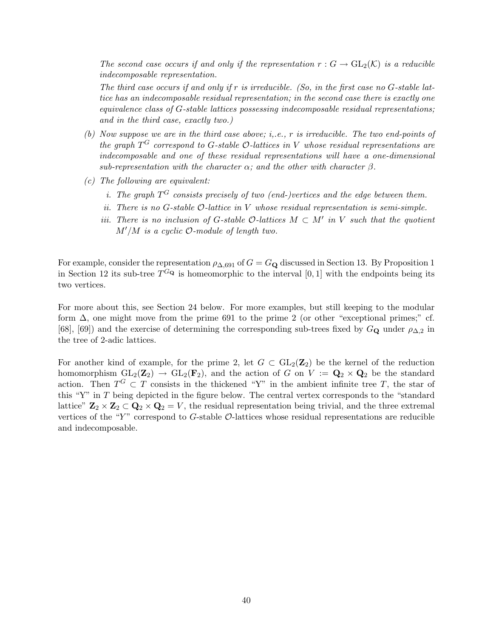The second case occurs if and only if the representation  $r: G \to GL_2(\mathcal{K})$  is a reducible indecomposable representation.

The third case occurs if and only if r is irreducible. (So, in the first case no  $G$ -stable lattice has an indecomposable residual representation; in the second case there is exactly one equivalence class of G-stable lattices possessing indecomposable residual representations; and in the third case, exactly two.)

- (b) Now suppose we are in the third case above; i,.e., r is irreducible. The two end-points of the graph  $T^G$  correspond to G-stable  $\mathcal{O}\text{-}lattices$  in V whose residual representations are indecomposable and one of these residual representations will have a one-dimensional sub-representation with the character  $\alpha$ ; and the other with character  $\beta$ .
- (c) The following are equivalent:
	- *i.* The graph  $T^G$  consists precisely of two (end-)vertices and the edge between them.
	- ii. There is no  $G$ -stable  $\mathcal O$ -lattice in  $V$  whose residual representation is semi-simple.
	- iii. There is no inclusion of G-stable  $\mathcal{O}\text{-}lattices M \subset M'$  in V such that the quotient  $M'/M$  is a cyclic  $\mathcal{O}\text{-module of length two.}$

For example, consider the representation  $\rho_{\Delta,691}$  of  $G = G_{\mathbf{Q}}$  discussed in Section 13. By Proposition 1 in Section 12 its sub-tree  $T^{G_{\mathbf{Q}}}$  is homeomorphic to the interval [0, 1] with the endpoints being its two vertices.

For more about this, see Section 24 below. For more examples, but still keeping to the modular form  $\Delta$ , one might move from the prime 691 to the prime 2 (or other "exceptional primes;" cf. [68], [69]) and the exercise of determining the corresponding sub-trees fixed by  $G_{\mathbf{Q}}$  under  $\rho_{\Delta,2}$  in the tree of 2-adic lattices.

For another kind of example, for the prime 2, let  $G \subset GL_2(\mathbb{Z}_2)$  be the kernel of the reduction homomorphism  $GL_2(\mathbb{Z}_2) \to GL_2(\mathbf{F}_2)$ , and the action of G on  $V := \mathbf{Q}_2 \times \mathbf{Q}_2$  be the standard action. Then  $T^G \subset T$  consists in the thickened "Y" in the ambient infinite tree T, the star of this "Y" in T being depicted in the figure below. The central vertex corresponds to the "standard lattice"  $\mathbf{Z}_2 \times \mathbf{Z}_2 \subset \mathbf{Q}_2 \times \mathbf{Q}_2 = V$ , the residual representation being trivial, and the three extremal vertices of the "Y" correspond to G-stable  $\mathcal{O}\text{-}$ lattices whose residual representations are reducible and indecomposable.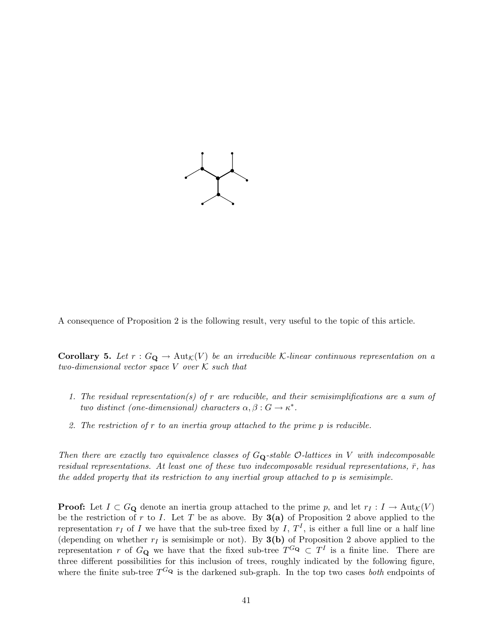

A consequence of Proposition 2 is the following result, very useful to the topic of this article.

**Corollary 5.** Let  $r: G_{\mathbf{Q}} \to \text{Aut}_{\mathcal{K}}(V)$  be an irreducible K-linear continuous representation on a two-dimensional vector space  $V$  over  $K$  such that

- 1. The residual representation(s) of r are reducible, and their semisimplifications are a sum of two distinct (one-dimensional) characters  $\alpha, \beta : G \to \kappa^*$ .
- 2. The restriction of r to an inertia group attached to the prime p is reducible.

Then there are exactly two equivalence classes of  $G_{\mathbf{Q}}$ -stable  $\mathcal{O}\text{-}lattices$  in V with indecomposable residual representations. At least one of these two indecomposable residual representations,  $\bar{r}$ , has the added property that its restriction to any inertial group attached to p is semisimple.

**Proof:** Let  $I \subset G_{\mathbf{Q}}$  denote an inertia group attached to the prime p, and let  $r_I : I \to \text{Aut}_{\mathcal{K}}(V)$ be the restriction of r to I. Let T be as above. By  $3(a)$  of Proposition 2 above applied to the representation  $r_I$  of I we have that the sub-tree fixed by I,  $T^I$ , is either a full line or a half line (depending on whether  $r_I$  is semisimple or not). By **3(b)** of Proposition 2 above applied to the representation r of  $G_{\mathbf{Q}}$  we have that the fixed sub-tree  $T^{G_{\mathbf{Q}}}\subset T^{I}$  is a finite line. There are three different possibilities for this inclusion of trees, roughly indicated by the following figure, where the finite sub-tree  $T^{G_{\mathbf{Q}}}$  is the darkened sub-graph. In the top two cases *both* endpoints of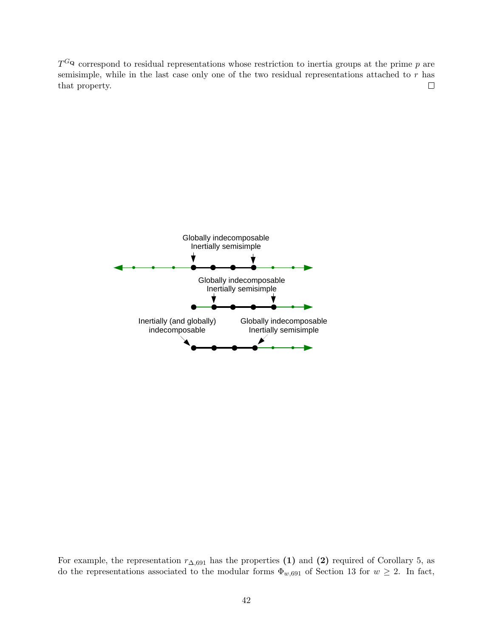$T^{G_{\mathbf{Q}}}$  correspond to residual representations whose restriction to inertia groups at the prime p are semisimple, while in the last case only one of the two residual representations attached to r has  $\Box$ that property.



For example, the representation  $r_{\Delta,691}$  has the properties (1) and (2) required of Corollary 5, as do the representations associated to the modular forms  $\Phi_{w,691}$  of Section 13 for  $w \geq 2$ . In fact,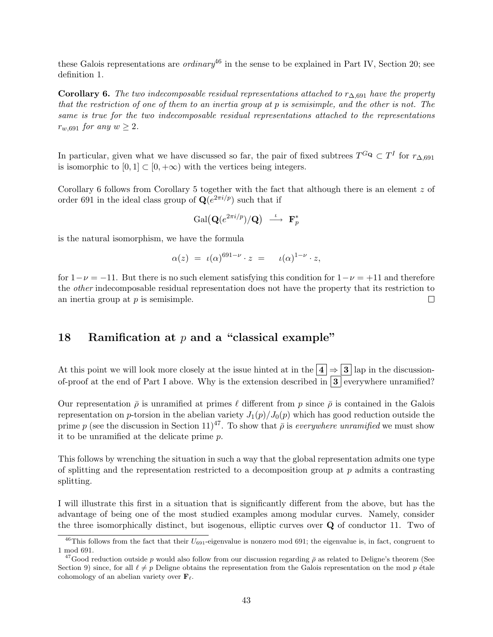these Galois representations are *ordinary*<sup>46</sup> in the sense to be explained in Part IV, Section 20; see definition 1.

**Corollary 6.** The two indecomposable residual representations attached to  $r_{\Delta,691}$  have the property that the restriction of one of them to an inertia group at p is semisimple, and the other is not. The same is true for the two indecomposable residual representations attached to the representations  $r_{w,691}$  for any  $w \geq 2$ .

In particular, given what we have discussed so far, the pair of fixed subtrees  $T^{G_{\mathbf{Q}}}\subset T^{I}$  for  $r_{\Delta,691}$ is isomorphic to  $[0, 1] \subset [0, +\infty)$  with the vertices being integers.

Corollary 6 follows from Corollary 5 together with the fact that although there is an element  $z$  of order 691 in the ideal class group of  $\mathbf{Q}(e^{2\pi i/p})$  such that if

$$
\mathrm{Gal}\big(\mathbf{Q}(e^{2\pi i/p})/\mathbf{Q}\big) \ \stackrel{\iota}{\longrightarrow} \ \mathbf{F}_p^*
$$

is the natural isomorphism, we have the formula

$$
\alpha(z) = \iota(\alpha)^{691-\nu} \cdot z = \iota(\alpha)^{1-\nu} \cdot z,
$$

for  $1-\nu = -11$ . But there is no such element satisfying this condition for  $1-\nu = +11$  and therefore the other indecomposable residual representation does not have the property that its restriction to an inertia group at  $p$  is semisimple.  $\Box$ 

### 18 Ramification at  $p$  and a "classical example"

At this point we will look more closely at the issue hinted at in the  $\boxed{4} \Rightarrow \boxed{3}$  lap in the discussionof-proof at the end of Part I above. Why is the extension described in  $\boxed{3}$  everywhere unramified?

Our representation  $\bar{\rho}$  is unramified at primes  $\ell$  different from p since  $\bar{\rho}$  is contained in the Galois representation on p-torsion in the abelian variety  $J_1(p)/J_0(p)$  which has good reduction outside the prime p (see the discussion in Section 11)<sup>47</sup>. To show that  $\bar{\rho}$  is everywhere unramified we must show it to be unramified at the delicate prime p.

This follows by wrenching the situation in such a way that the global representation admits one type of splitting and the representation restricted to a decomposition group at  $p$  admits a contrasting splitting.

I will illustrate this first in a situation that is significantly different from the above, but has the advantage of being one of the most studied examples among modular curves. Namely, consider the three isomorphically distinct, but isogenous, elliptic curves over Q of conductor 11. Two of

<sup>&</sup>lt;sup>46</sup>This follows from the fact that their  $U_{691}$ -eigenvalue is nonzero mod 691; the eigenvalue is, in fact, congruent to 1 mod 691.

<sup>&</sup>lt;sup>47</sup>Good reduction outside p would also follow from our discussion regarding  $\bar{\rho}$  as related to Deligne's theorem (See Section 9) since, for all  $\ell \neq p$  Deligne obtains the representation from the Galois representation on the mod p étale cohomology of an abelian variety over  $\mathbf{F}_{\ell}$ .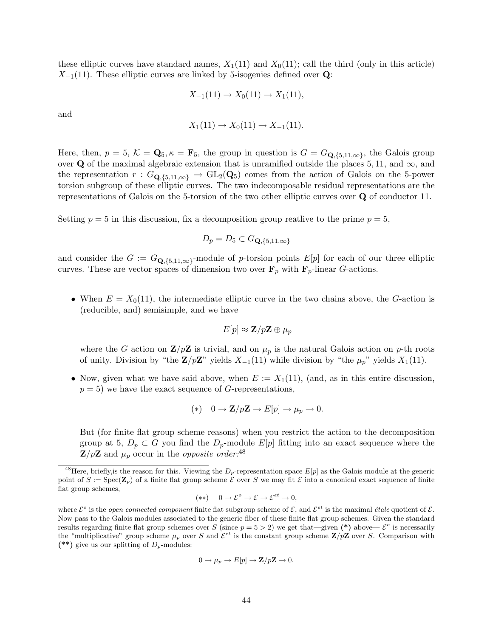these elliptic curves have standard names,  $X_1(11)$  and  $X_0(11)$ ; call the third (only in this article)  $X_{-1}(11)$ . These elliptic curves are linked by 5-isogenies defined over **Q**:

$$
X_{-1}(11) \to X_0(11) \to X_1(11),
$$

and

$$
X_1(11) \to X_0(11) \to X_{-1}(11).
$$

Here, then,  $p = 5$ ,  $\mathcal{K} = \mathbf{Q}_5$ ,  $\kappa = \mathbf{F}_5$ , the group in question is  $G = G_{\mathbf{Q}, \{5,11,\infty\}}$ , the Galois group over Q of the maximal algebraic extension that is unramified outside the places 5, 11, and  $\infty$ , and the representation  $r : G_{\mathbf{Q}, \{5,11,\infty\}} \to GL_2(\mathbf{Q}_5)$  comes from the action of Galois on the 5-power torsion subgroup of these elliptic curves. The two indecomposable residual representations are the representations of Galois on the 5-torsion of the two other elliptic curves over Q of conductor 11.

Setting  $p = 5$  in this discussion, fix a decomposition group reatlive to the prime  $p = 5$ ,

$$
D_p = D_5 \subset G_{\mathbf{Q}, \{5, 11, \infty\}}
$$

and consider the  $G := G_{\mathbf{Q}, \{5,11,\infty\}}$ -module of p-torsion points  $E[p]$  for each of our three elliptic curves. These are vector spaces of dimension two over  $\mathbf{F}_p$  with  $\mathbf{F}_p$ -linear G-actions.

• When  $E = X_0(11)$ , the intermediate elliptic curve in the two chains above, the G-action is (reducible, and) semisimple, and we have

$$
E[p] \approx \mathbf{Z}/p\mathbf{Z} \oplus \mu_p
$$

where the G action on  $\mathbf{Z}/p\mathbf{Z}$  is trivial, and on  $\mu_p$  is the natural Galois action on p-th roots of unity. Division by "the  $\mathbf{Z}/p\mathbf{Z}$ " yields  $X_{-1}(11)$  while division by "the  $\mu_p$ " yields  $X_1(11)$ .

• Now, given what we have said above, when  $E := X_1(11)$ , (and, as in this entire discussion,  $p = 5$ ) we have the exact sequence of G-representations,

(\*) 
$$
0 \rightarrow \mathbb{Z}/p\mathbb{Z} \rightarrow E[p] \rightarrow \mu_p \rightarrow 0.
$$

But (for finite flat group scheme reasons) when you restrict the action to the decomposition group at 5,  $D_p \subset G$  you find the  $D_p$ -module  $E[p]$  fitting into an exact sequence where the  $\mathbf{Z}/p\mathbf{Z}$  and  $\mu_p$  occur in the *opposite order*:<sup>48</sup>

$$
(**) \quad 0 \to \mathcal{E}^{\circ} \to \mathcal{E} \to \mathcal{E}^{et} \to 0,
$$

$$
0 \to \mu_p \to E[p] \to \mathbf{Z}/p\mathbf{Z} \to 0.
$$

<sup>&</sup>lt;sup>48</sup>Here, briefly, is the reason for this. Viewing the  $D_p$ -representation space  $E[p]$  as the Galois module at the generic point of  $S := \text{Spec}(\mathbf{Z}_p)$  of a finite flat group scheme  $\mathcal E$  over S we may fit  $\mathcal E$  into a canonical exact sequence of finite flat group schemes,

where  $\mathcal{E}^o$  is the *open connected component* finite flat subgroup scheme of  $\mathcal{E}$ , and  $\mathcal{E}^{et}$  is the maximal *étale* quotient of  $\mathcal{E}$ . Now pass to the Galois modules associated to the generic fiber of these finite flat group schemes. Given the standard results regarding finite flat group schemes over S (since  $p = 5 > 2$ ) we get that—given (\*) above—  $\mathcal{E}^o$  is necessarily the "multiplicative" group scheme  $\mu_p$  over S and  $\mathcal{E}^{et}$  is the constant group scheme  $\mathbf{Z}/p\mathbf{Z}$  over S. Comparison with (\*\*) give us our splitting of  $D_p$ -modules: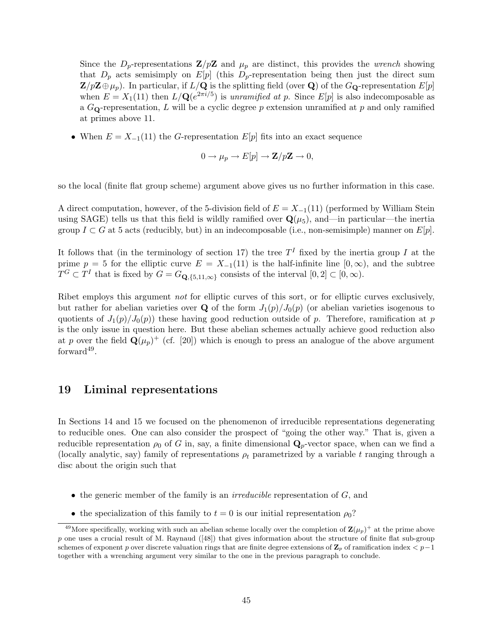Since the  $D_p$ -representations  $\mathbf{Z}/p\mathbf{Z}$  and  $\mu_p$  are distinct, this provides the *wrench* showing that  $D_p$  acts semisimply on  $E[p]$  (this  $D_p$ -representation being then just the direct sum  $\mathbf{Z}/p\mathbf{Z}\oplus\mu_p$ ). In particular, if  $L/\mathbf{Q}$  is the splitting field (over **Q**) of the  $G_{\mathbf{Q}}$ -representation  $E[p]$ when  $E = X_1(11)$  then  $L/\mathbf{Q}(e^{2\pi i/5})$  is unramified at p. Since  $E[p]$  is also indecomposable as a  $G_{\mathbf{Q}}$ -representation, L will be a cyclic degree p extension unramified at p and only ramified at primes above 11.

• When  $E = X_{-1}(11)$  the G-representation  $E[p]$  fits into an exact sequence

$$
0 \to \mu_p \to E[p] \to \mathbf{Z}/p\mathbf{Z} \to 0,
$$

so the local (finite flat group scheme) argument above gives us no further information in this case.

A direct computation, however, of the 5-division field of  $E = X_{-1}(11)$  (performed by William Stein using SAGE) tells us that this field is wildly ramified over  $\mathbf{Q}(\mu_5)$ , and—in particular—the inertia group  $I \subset G$  at 5 acts (reducibly, but) in an indecomposable (i.e., non-semisimple) manner on  $E[p]$ .

It follows that (in the terminology of section 17) the tree  $T<sup>I</sup>$  fixed by the inertia group I at the prime  $p = 5$  for the elliptic curve  $E = X_{-1}(11)$  is the half-infinite line  $[0, \infty)$ , and the subtree  $T^G \subset T^I$  that is fixed by  $G = G_{\mathbf{Q}, \{5, 11, \infty\}}$  consists of the interval  $[0, 2] \subset [0, \infty)$ .

Ribet employs this argument not for elliptic curves of this sort, or for elliptic curves exclusively, but rather for abelian varieties over **Q** of the form  $J_1(p)/J_0(p)$  (or abelian varieties isogenous to quotients of  $J_1(p)/J_0(p)$  these having good reduction outside of p. Therefore, ramification at p is the only issue in question here. But these abelian schemes actually achieve good reduction also at p over the field  $\mathbf{Q}(\mu_p)^+$  (cf. [20]) which is enough to press an analogue of the above argument  $forward<sup>49</sup>$ .

### 19 Liminal representations

In Sections 14 and 15 we focused on the phenomenon of irreducible representations degenerating to reducible ones. One can also consider the prospect of "going the other way." That is, given a reducible representation  $\rho_0$  of G in, say, a finite dimensional  $\mathbf{Q}_p$ -vector space, when can we find a (locally analytic, say) family of representations  $\rho_t$  parametrized by a variable t ranging through a disc about the origin such that

- $\bullet$  the generic member of the family is an *irreducible* representation of  $G$ , and
- the specialization of this family to  $t = 0$  is our initial representation  $\rho_0$ ?

<sup>&</sup>lt;sup>49</sup>More specifically, working with such an abelian scheme locally over the completion of  $\mathbf{Z}(\mu_p)^+$  at the prime above  $p$  one uses a crucial result of M. Raynaud  $(48)$  that gives information about the structure of finite flat sub-group schemes of exponent p over discrete valuation rings that are finite degree extensions of  $\mathbb{Z}_p$  of ramification index  $\lt p-1$ together with a wrenching argument very similar to the one in the previous paragraph to conclude.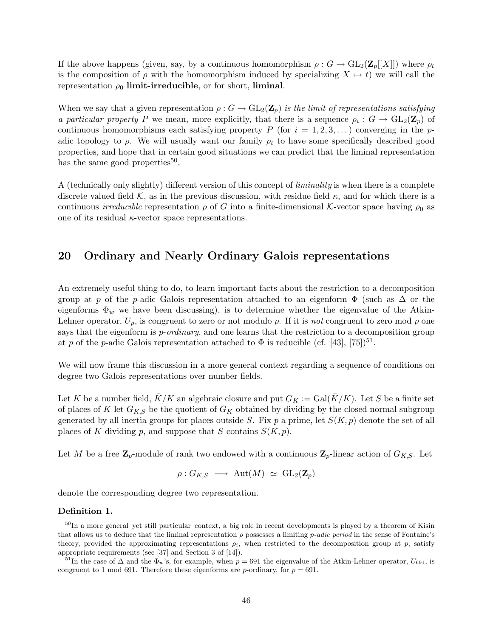If the above happens (given, say, by a continuous homomorphism  $\rho: G \to GL_2(\mathbf{Z}_p[[X]])$  where  $\rho_t$ is the composition of  $\rho$  with the homomorphism induced by specializing  $X \mapsto t$ ) we will call the representation  $\rho_0$  limit-irreducible, or for short, liminal.

When we say that a given representation  $\rho: G \to GL_2(\mathbb{Z}_p)$  is the limit of representations satisfying a particular property P we mean, more explicitly, that there is a sequence  $\rho_i : G \to GL_2(\mathbb{Z}_p)$  of continuous homomorphisms each satisfying property P (for  $i = 1, 2, 3, \ldots$ ) converging in the padic topology to  $\rho$ . We will usually want our family  $\rho_t$  to have some specifically described good properties, and hope that in certain good situations we can predict that the liminal representation has the same good properties<sup>50</sup>.

A (technically only slightly) different version of this concept of liminality is when there is a complete discrete valued field K, as in the previous discussion, with residue field  $\kappa$ , and for which there is a continuous *irreducible* representation  $\rho$  of G into a finite-dimensional K-vector space having  $\rho_0$  as one of its residual  $\kappa$ -vector space representations.

### 20 Ordinary and Nearly Ordinary Galois representations

An extremely useful thing to do, to learn important facts about the restriction to a decomposition group at p of the p-adic Galois representation attached to an eigenform  $\Phi$  (such as  $\Delta$  or the eigenforms  $\Phi_w$  we have been discussing), is to determine whether the eigenvalue of the Atkin-Lehner operator,  $U_p$ , is congruent to zero or not modulo p. If it is not congruent to zero mod p one says that the eigenform is *p-ordinary*, and one learns that the restriction to a decomposition group at p of the p-adic Galois representation attached to  $\Phi$  is reducible (cf. [43], [75])<sup>51</sup>.

We will now frame this discussion in a more general context regarding a sequence of conditions on degree two Galois representations over number fields.

Let K be a number field,  $\bar{K}/K$  an algebraic closure and put  $G_K := \text{Gal}(\bar{K}/K)$ . Let S be a finite set of places of K let  $G_{K,S}$  be the quotient of  $G_K$  obtained by dividing by the closed normal subgroup generated by all inertia groups for places outside S. Fix p a prime, let  $S(K, p)$  denote the set of all places of K dividing p, and suppose that S contains  $S(K, p)$ .

Let M be a free  $\mathbf{Z}_p$ -module of rank two endowed with a continuous  $\mathbf{Z}_p$ -linear action of  $G_{K,S}$ . Let

$$
\rho: G_{K,S} \longrightarrow \text{Aut}(M) \simeq \text{GL}_2(\mathbf{Z}_p)
$$

denote the corresponding degree two representation.

#### Definition 1.

 $50$ In a more general–yet still particular–context, a big role in recent developments is played by a theorem of Kisin that allows us to deduce that the liminal representation  $\rho$  possesses a limiting  $p\text{-}adic\ period$  in the sense of Fontaine's theory, provided the approximating representations  $\rho_i$ , when restricted to the decomposition group at p, satisfy appropriate requirements (see [37] and Section 3 of [14]).

<sup>&</sup>lt;sup>51</sup>In the case of  $\Delta$  and the  $\Phi_w$ 's, for example, when  $p = 691$  the eigenvalue of the Atkin-Lehner operator,  $U_{691}$ , is congruent to 1 mod 691. Therefore these eigenforms are p-ordinary, for  $p = 691$ .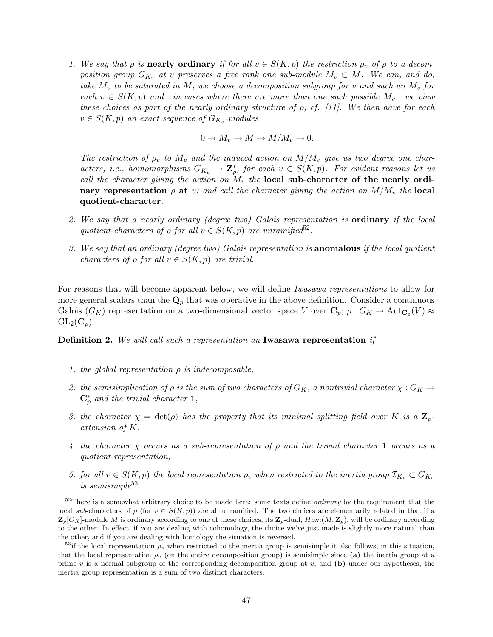1. We say that  $\rho$  is **nearly ordinary** if for all  $v \in S(K, p)$  the restriction  $\rho_v$  of  $\rho$  to a decomposition group  $G_{K_v}$  at v preserves a free rank one sub-module  $M_v \subset M$ . We can, and do, take  $M_v$  to be saturated in M; we choose a decomposition subgroup for v and such an  $M_v$  for each  $v \in S(K, p)$  and—in cases where there are more than one such possible  $M_v$ —we view these choices as part of the nearly ordinary structure of  $\rho$ ; cf. [11]. We then have for each  $v \in S(K, p)$  an exact sequence of  $G_{K_v}$ -modules

$$
0 \to M_v \to M \to M/M_v \to 0.
$$

The restriction of  $\rho_v$  to  $M_v$  and the induced action on  $M/M_v$  give us two degree one characters, i.e., homomorphisms  $G_{K_v} \to \mathbb{Z}_p^*$ , for each  $v \in S(K, p)$ . For evident reasons let us call the character giving the action on  $M_v$  the local sub-character of the nearly ordinary representation  $\rho$  at v; and call the character giving the action on  $M/M_v$  the local quotient-character.

- 2. We say that a nearly ordinary (degree two) Galois representation is **ordinary** if the local quotient-characters of  $\rho$  for all  $v \in S(K, p)$  are unramified<sup>52</sup>.
- 3. We say that an ordinary (degree two) Galois representation is anomalous if the local quotient characters of  $\rho$  for all  $v \in S(K, p)$  are trivial.

For reasons that will become apparent below, we will define Iwasawa representations to allow for more general scalars than the  $\mathbf{Q}_p$  that was operative in the above definition. Consider a continuous Galois  $(G_K)$  representation on a two-dimensional vector space V over  $\mathbf{C}_p$ ;  $\rho: G_K \to \text{Aut}_{\mathbf{C}_p}(V) \approx$  $GL_2(\mathbf{C}_n).$ 

Definition 2. We will call such a representation an Iwasawa representation if

- 1. the global representation  $\rho$  is indecomposable,
- 2. the semisimplication of  $\rho$  is the sum of two characters of  $G_K$ , a nontrivial character  $\chi: G_K \to$  $\mathbf{C}_p^*$  and the trivial character 1,
- 3. the character  $\chi = \det(\rho)$  has the property that its minimal splitting field over K is a  $\mathbb{Z}_p$ extension of K.
- 4. the character  $\chi$  occurs as a sub-representation of  $\rho$  and the trivial character 1 occurs as a quotient-representation,
- 5. for all  $v \in S(K, p)$  the local representation  $\rho_v$  when restricted to the inertia group  $\mathcal{I}_{K_v} \subset G_{K_v}$ is semisimple<sup>53</sup>.

<sup>&</sup>lt;sup>52</sup>There is a somewhat arbitrary choice to be made here: some texts define *ordinary* by the requirement that the local sub-characters of  $\rho$  (for  $v \in S(K, p)$ ) are all unramified. The two choices are elementarily related in that if a  $\mathbf{Z}_p[G_K]$ -module M is ordinary according to one of these choices, its  $\mathbf{Z}_p$ -dual,  $Hom(M, \mathbf{Z}_p)$ , will be ordinary according to the other. In effect, if you are dealing with cohomology, the choice we've just made is slightly more natural than the other, and if you are dealing with homology the situation is reversed.

<sup>&</sup>lt;sup>53</sup>if the local representation  $\rho_v$  when restricted to the inertia group is semisimple it also follows, in this situation, that the local representation  $\rho_v$  (on the entire decomposition group) is semisimple since (a) the inertia group at a prime v is a normal subgroup of the corresponding decomposition group at v, and (b) under our hypotheses, the inertia group representation is a sum of two distinct characters.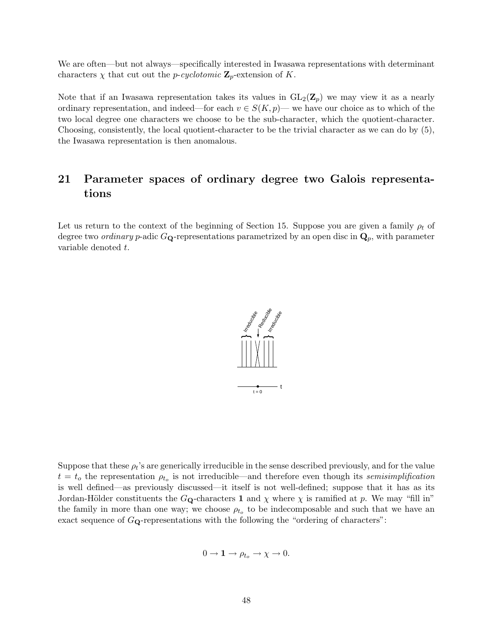We are often—but not always—specifically interested in Iwasawa representations with determinant characters  $\chi$  that cut out the *p-cyclotomic*  $\mathbf{Z}_p$ -extension of K.

Note that if an Iwasawa representation takes its values in  $GL_2(\mathbb{Z}_p)$  we may view it as a nearly ordinary representation, and indeed—for each  $v \in S(K, p)$ — we have our choice as to which of the two local degree one characters we choose to be the sub-character, which the quotient-character. Choosing, consistently, the local quotient-character to be the trivial character as we can do by (5), the Iwasawa representation is then anomalous.

## 21 Parameter spaces of ordinary degree two Galois representations

Let us return to the context of the beginning of Section 15. Suppose you are given a family  $\rho_t$  of degree two *ordinary* p-adic  $G_{\mathbf{Q}}$ -representations parametrized by an open disc in  $\mathbf{Q}_p$ , with parameter variable denoted t.



Suppose that these  $\rho_t$ 's are generically irreducible in the sense described previously, and for the value  $t = t_o$  the representation  $\rho_{t_o}$  is not irreducible—and therefore even though its semisimplification is well defined—as previously discussed—it itself is not well-defined; suppose that it has as its Jordan-Hölder constituents the  $G_{\mathbf{Q}}$ -characters 1 and  $\chi$  where  $\chi$  is ramified at p. We may "fill in" the family in more than one way; we choose  $\rho_{t_o}$  to be indecomposable and such that we have an exact sequence of  $G_{\mathbf{Q}}$ -representations with the following the "ordering of characters":

$$
0 \to \mathbf{1} \to \rho_{t_o} \to \chi \to 0.
$$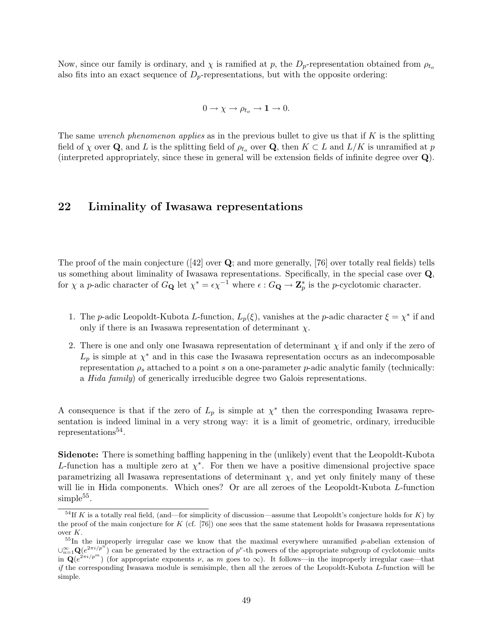Now, since our family is ordinary, and  $\chi$  is ramified at p, the  $D_p$ -representation obtained from  $\rho_{t_o}$ also fits into an exact sequence of  $D_p$ -representations, but with the opposite ordering:

$$
0 \to \chi \to \rho_{t_o} \to \mathbf{1} \to 0.
$$

The same wrench phenomenon applies as in the previous bullet to give us that if  $K$  is the splitting field of  $\chi$  over Q, and L is the splitting field of  $\rho_{t_o}$  over Q, then  $K \subset L$  and  $L/K$  is unramified at p (interpreted appropriately, since these in general will be extension fields of infinite degree over Q).

### 22 Liminality of Iwasawa representations

The proof of the main conjecture  $(42)$  over  $\mathbf Q$ ; and more generally, [76] over totally real fields) tells us something about liminality of Iwasawa representations. Specifically, in the special case over Q, for  $\chi$  a *p*-adic character of  $G_{\mathbf{Q}}$  let  $\chi^* = \epsilon \chi^{-1}$  where  $\epsilon : G_{\mathbf{Q}} \to \mathbf{Z}_p^*$  is the *p*-cyclotomic character.

- 1. The p-adic Leopoldt-Kubota L-function,  $L_p(\xi)$ , vanishes at the p-adic character  $\xi = \chi^*$  if and only if there is an Iwasawa representation of determinant  $\chi$ .
- 2. There is one and only one Iwasawa representation of determinant  $\chi$  if and only if the zero of  $L_p$  is simple at  $\chi^*$  and in this case the Iwasawa representation occurs as an indecomposable representation  $\rho_s$  attached to a point s on a one-parameter p-adic analytic family (technically: a Hida family) of generically irreducible degree two Galois representations.

A consequence is that if the zero of  $L_p$  is simple at  $\chi^*$  then the corresponding Iwasawa representation is indeed liminal in a very strong way: it is a limit of geometric, ordinary, irreducible representations<sup>54</sup>.

Sidenote: There is something baffling happening in the (unlikely) event that the Leopoldt-Kubota L-function has a multiple zero at  $\chi^*$ . For then we have a positive dimensional projective space parametrizing all Iwasawa representations of determinant  $\chi$ , and yet only finitely many of these will lie in Hida components. Which ones? Or are all zeroes of the Leopoldt-Kubota L-function  $simple^{55}$ .

 $^{54}$ If K is a totally real field, (and—for simplicity of discussion—assume that Leopoldt's conjecture holds for K) by the proof of the main conjecture for  $K$  (cf. [76]) one sees that the same statement holds for Iwasawa representations over  $\cal K.$ 

 $55\text{In}$  the improperly irregular case we know that the maximal everywhere unramified p-abelian extension of  $\cup_{n=1}^{\infty} \mathbf{Q}(e^{2\pi i/p^n})$  can be generated by the extraction of p'-th powers of the appropriate subgroup of cyclotomic units  $\ln \mathbf{Q}(e^{2\pi i/p^m})$  (for appropriate exponents  $\nu$ , as m goes to  $\infty$ ). It follows—in the improperly irregular case—that  $if$  the corresponding Iwasawa module is semisimple, then all the zeroes of the Leopoldt-Kubota L-function will be simple.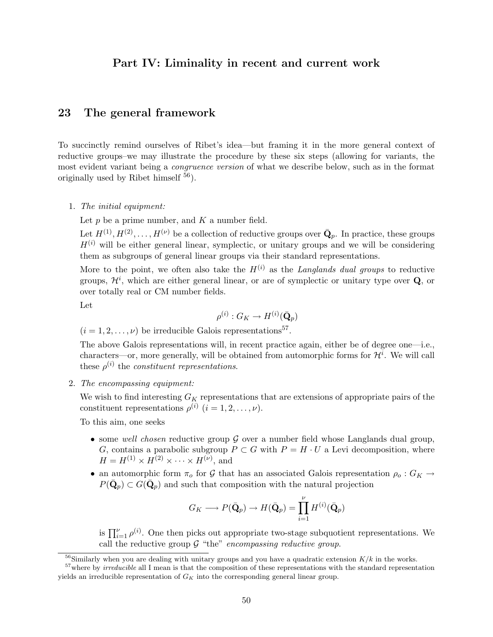### Part IV: Liminality in recent and current work

### 23 The general framework

To succinctly remind ourselves of Ribet's idea—but framing it in the more general context of reductive groups–we may illustrate the procedure by these six steps (allowing for variants, the most evident variant being a congruence version of what we describe below, such as in the format originally used by Ribet himself  $^{56}$ ).

#### 1. The initial equipment:

Let  $p$  be a prime number, and  $K$  a number field.

Let  $H^{(1)}, H^{(2)}, \ldots, H^{(\nu)}$  be a collection of reductive groups over  $\bar{\mathbf{Q}}_p$ . In practice, these groups  $H^{(i)}$  will be either general linear, symplectic, or unitary groups and we will be considering them as subgroups of general linear groups via their standard representations.

More to the point, we often also take the  $H^{(i)}$  as the Langlands dual groups to reductive groups,  $\mathcal{H}^i$ , which are either general linear, or are of symplectic or unitary type over  $\mathbf{Q}$ , or over totally real or CM number fields.

Let

$$
\rho^{(i)}:G_K\to H^{(i)}(\bar{\mathbf{Q}}_p)
$$

 $(i = 1, 2, \ldots, \nu)$  be irreducible Galois representations<sup>57</sup>.

The above Galois representations will, in recent practice again, either be of degree one—i.e., characters—or, more generally, will be obtained from automorphic forms for  $\mathcal{H}^i$ . We will call these  $\rho^{(i)}$  the constituent representations.

2. The encompassing equipment:

We wish to find interesting  $G_K$  representations that are extensions of appropriate pairs of the constituent representations  $\rho^{(i)}$   $(i = 1, 2, \dots, \nu)$ .

To this aim, one seeks

- some well chosen reductive group  $G$  over a number field whose Langlands dual group, G, contains a parabolic subgroup  $P \subset G$  with  $P = H \cdot U$  a Levi decomposition, where  $H = H^{(1)} \times H^{(2)} \times \cdots \times H^{(\nu)}$ , and
- an automorphic form  $\pi_0$  for G that has an associated Galois representation  $\rho_0: G_K \to$  $P(\bar{\mathbf{Q}}_p) \subset G(\bar{\mathbf{Q}}_p)$  and such that composition with the natural projection

$$
G_K \longrightarrow P(\bar{\mathbf{Q}}_p) \longrightarrow H(\bar{\mathbf{Q}}_p) = \prod_{i=1}^{\nu} H^{(i)}(\bar{\mathbf{Q}}_p)
$$

is  $\prod_{i=1}^{\nu} \rho^{(i)}$ . One then picks out appropriate two-stage subquotient representations. We call the reductive group  $G$  "the" encompassing reductive group.

 $^{56}$ Similarly when you are dealing with unitary groups and you have a quadratic extension  $K/k$  in the works.

 $57$  where by *irreducible* all I mean is that the composition of these representations with the standard representation yields an irreducible representation of  $G_K$  into the corresponding general linear group.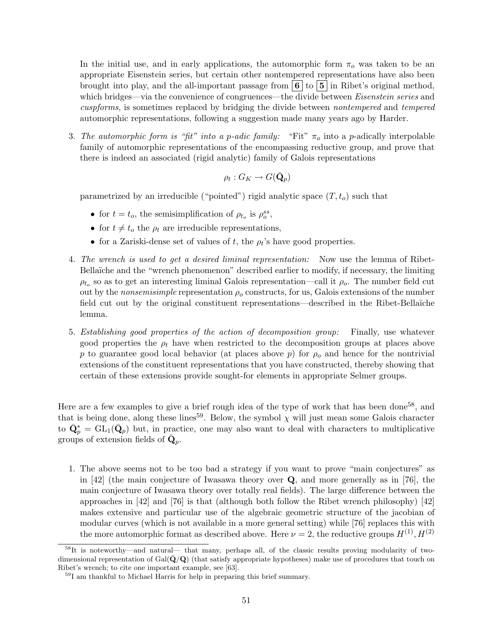In the initial use, and in early applications, the automorphic form  $\pi_o$  was taken to be an appropriate Eisenstein series, but certain other nontempered representations have also been brought into play, and the all-important passage from  $\vert 6 \vert$  to  $\vert 5 \vert$  in Ribet's original method, which bridges—via the convenience of congruences—the divide between *Eisenstein series* and cuspforms, is sometimes replaced by bridging the divide between nontempered and tempered automorphic representations, following a suggestion made many years ago by Harder.

3. The automorphic form is "fit" into a p-adic family: "Fit"  $\pi_o$  into a p-adically interpolable family of automorphic representations of the encompassing reductive group, and prove that there is indeed an associated (rigid analytic) family of Galois representations

$$
\rho_t:G_K\to G(\bar{\mathbf{Q}}_p)
$$

parametrized by an irreducible ("pointed") rigid analytic space  $(T, t_o)$  such that

- for  $t = t_o$ , the semisimplification of  $\rho_{t_o}$  is  $\rho_o^{ss}$ ,
- for  $t \neq t_o$  the  $\rho_t$  are irreducible representations,
- for a Zariski-dense set of values of t, the  $\rho_t$ 's have good properties.
- 4. The wrench is used to get a desired liminal representation: Now use the lemma of Ribet-Bellaïche and the "wrench phenomenon" described earlier to modify, if necessary, the limiting  $\rho_{t_o}$  so as to get an interesting liminal Galois representation—call it  $\rho_o$ . The number field cut out by the *nonsemisimple* representation  $\rho_o$  constructs, for us, Galois extensions of the number field cut out by the original constituent representations—described in the Ribet-Bellaïche lemma.
- 5. Establishing good properties of the action of decomposition group: Finally, use whatever good properties the  $\rho_t$  have when restricted to the decomposition groups at places above p to guarantee good local behavior (at places above p) for  $\rho_o$  and hence for the nontrivial extensions of the constituent representations that you have constructed, thereby showing that certain of these extensions provide sought-for elements in appropriate Selmer groups.

Here are a few examples to give a brief rough idea of the type of work that has been done<sup>58</sup>, and that is being done, along these lines<sup>59</sup>. Below, the symbol  $\chi$  will just mean some Galois character to  $\bar{\mathbf{Q}}_p^* = \bar{\mathrm{GL}}_1(\bar{\mathbf{Q}}_p)$  but, in practice, one may also want to deal with characters to multiplicative groups of extension fields of  $\bar{\mathbf{Q}}_p$ .

1. The above seems not to be too bad a strategy if you want to prove "main conjectures" as in [42] (the main conjecture of Iwasawa theory over Q, and more generally as in [76], the main conjecture of Iwasawa theory over totally real fields). The large difference between the approaches in [42] and [76] is that (although both follow the Ribet wrench philosophy) [42] makes extensive and particular use of the algebraic geometric structure of the jacobian of modular curves (which is not available in a more general setting) while [76] replaces this with the more automorphic format as described above. Here  $\nu = 2$ , the reductive groups  $H^{(1)}$ ,  $H^{(2)}$ 

<sup>58</sup>It is noteworthy—and natural— that many, perhaps all, of the classic results proving modularity of twodimensional representation of Gal( $\bar{Q}/Q$ ) (that satisfy appropriate hypotheses) make use of procedures that touch on Ribet's wrench; to cite one important example, see [63].

<sup>59</sup>I am thankful to Michael Harris for help in preparing this brief summary.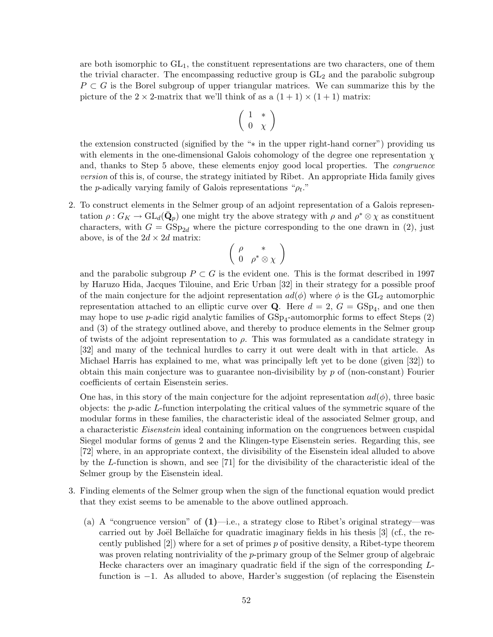are both isomorphic to  $GL_1$ , the constituent representations are two characters, one of them the trivial character. The encompassing reductive group is  $GL_2$  and the parabolic subgroup  $P \subset G$  is the Borel subgroup of upper triangular matrices. We can summarize this by the picture of the  $2 \times 2$ -matrix that we'll think of as a  $(1 + 1) \times (1 + 1)$  matrix:

$$
\left(\begin{array}{cc} 1 & * \\ 0 & \chi \end{array}\right)
$$

the extension constructed (signified by the "∗ in the upper right-hand corner") providing us with elements in the one-dimensional Galois cohomology of the degree one representation  $\chi$ and, thanks to Step 5 above, these elements enjoy good local properties. The congruence version of this is, of course, the strategy initiated by Ribet. An appropriate Hida family gives the *p*-adically varying family of Galois representations " $\rho_t$ ."

2. To construct elements in the Selmer group of an adjoint representation of a Galois representation  $\rho: G_K \to \text{GL}_d(\bar{\mathbf{Q}}_p)$  one might try the above strategy with  $\rho$  and  $\rho^* \otimes \chi$  as constituent characters, with  $G = GSp_{2d}$  where the picture corresponding to the one drawn in (2), just above, is of the  $2d \times 2d$  matrix:

$$
\left(\begin{array}{cc} \rho & * \\ 0 & \rho^* \otimes \chi \end{array}\right)
$$

and the parabolic subgroup  $P \subset G$  is the evident one. This is the format described in 1997 by Haruzo Hida, Jacques Tilouine, and Eric Urban [32] in their strategy for a possible proof of the main conjecture for the adjoint representation  $ad(\phi)$  where  $\phi$  is the GL<sub>2</sub> automorphic representation attached to an elliptic curve over **Q**. Here  $d = 2$ ,  $G = GSp<sub>4</sub>$ , and one then may hope to use *p*-adic rigid analytic families of  $GSp<sub>4</sub>$ -automorphic forms to effect Steps  $(2)$ and (3) of the strategy outlined above, and thereby to produce elements in the Selmer group of twists of the adjoint representation to  $\rho$ . This was formulated as a candidate strategy in [32] and many of the technical hurdles to carry it out were dealt with in that article. As Michael Harris has explained to me, what was principally left yet to be done (given [32]) to obtain this main conjecture was to guarantee non-divisibility by  $p$  of (non-constant) Fourier coefficients of certain Eisenstein series.

One has, in this story of the main conjecture for the adjoint representation  $ad(\phi)$ , three basic objects: the  $p$ -adic  $L$ -function interpolating the critical values of the symmetric square of the modular forms in these families, the characteristic ideal of the associated Selmer group, and a characteristic Eisenstein ideal containing information on the congruences between cuspidal Siegel modular forms of genus 2 and the Klingen-type Eisenstein series. Regarding this, see [72] where, in an appropriate context, the divisibility of the Eisenstein ideal alluded to above by the L-function is shown, and see [71] for the divisibility of the characteristic ideal of the Selmer group by the Eisenstein ideal.

- 3. Finding elements of the Selmer group when the sign of the functional equation would predict that they exist seems to be amenable to the above outlined approach.
	- (a) A "congruence version" of  $(1)$ —i.e., a strategy close to Ribet's original strategy—was carried out by Joël Bellaïche for quadratic imaginary fields in his thesis  $\lbrack 3 \rbrack$  (cf., the recently published  $[2]$ ) where for a set of primes p of positive density, a Ribet-type theorem was proven relating nontriviality of the p-primary group of the Selmer group of algebraic Hecke characters over an imaginary quadratic field if the sign of the corresponding Lfunction is −1. As alluded to above, Harder's suggestion (of replacing the Eisenstein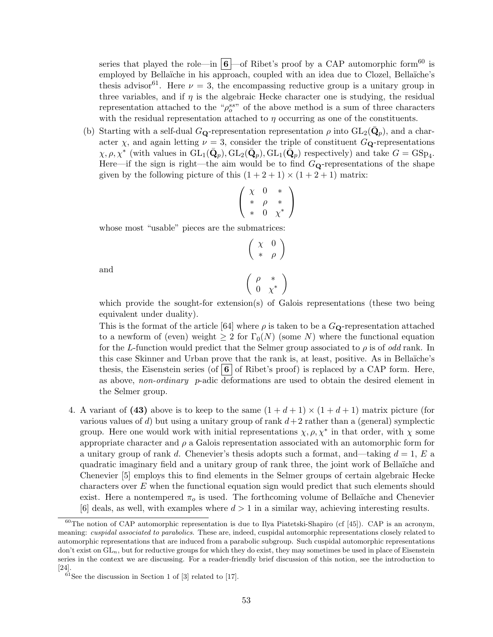series that played the role—in  $\boxed{6}$ —of Ribet's proof by a CAP automorphic form<sup>60</sup> is employed by Bellaïche in his approach, coupled with an idea due to Clozel, Bellaïche's thesis advisor<sup>61</sup>. Here  $\nu = 3$ , the encompassing reductive group is a unitary group in three variables, and if  $\eta$  is the algebraic Hecke character one is studying, the residual representation attached to the " $\rho_o^{ss}$ " of the above method is a sum of three characters with the residual representation attached to  $\eta$  occurring as one of the constituents.

(b) Starting with a self-dual  $G_{\mathbf{Q}}$ -representation representation  $\rho$  into  $GL_2(\bar{\mathbf{Q}}_p)$ , and a character  $\chi$ , and again letting  $\nu = 3$ , consider the triple of constituent  $G_{\mathbf{Q}}$ -representations  $\chi, \rho, \chi^*$  (with values in  $GL_1(\bar{\mathbf{Q}}_p)$ ,  $GL_2(\bar{\mathbf{Q}}_p)$ ,  $GL_1(\bar{\mathbf{Q}}_p)$  respectively) and take  $G = GSp_4$ . Here—if the sign is right—the aim would be to find  $G_{\mathbf{Q}}$ -representations of the shape given by the following picture of this  $(1+2+1) \times (1+2+1)$  matrix:

$$
\left(\begin{array}{ccc} \chi & 0 & * \\ * & \rho & * \\ * & 0 & \chi^* \end{array}\right)
$$

whose most "usable" pieces are the submatrices:

$$
\begin{pmatrix}\n\chi & 0 \\
* & \rho\n\end{pmatrix}
$$
\n
$$
\begin{pmatrix}\n\rho & * \\
0 & \chi^*\n\end{pmatrix}
$$

and

which provide the sought-for extension(s) of Galois representations (these two being equivalent under duality).

This is the format of the article [64] where  $\rho$  is taken to be a  $G_{\mathbf{Q}}$ -representation attached to a newform of (even) weight  $\geq 2$  for  $\Gamma_0(N)$  (some N) where the functional equation for the L-function would predict that the Selmer group associated to  $\rho$  is of odd rank. In this case Skinner and Urban prove that the rank is, at least, positive. As in Bellaïche's thesis, the Eisenstein series (of  $\bf{6}$  of Ribet's proof) is replaced by a CAP form. Here, as above, non-ordinary p-adic deformations are used to obtain the desired element in the Selmer group.

4. A variant of (43) above is to keep to the same  $(1 + d + 1) \times (1 + d + 1)$  matrix picture (for various values of d) but using a unitary group of rank  $d+2$  rather than a (general) symplectic group. Here one would work with initial representations  $\chi, \rho, \chi^*$  in that order, with  $\chi$  some appropriate character and  $\rho$  a Galois representation associated with an automorphic form for a unitary group of rank d. Chenevier's thesis adopts such a format, and—taking  $d = 1$ , E a quadratic imaginary field and a unitary group of rank three, the joint work of Bellaïche and Chenevier [5] employs this to find elements in the Selmer groups of certain algebraic Hecke characters over  $E$  when the functional equation sign would predict that such elements should exist. Here a nontempered  $\pi_o$  is used. The forthcoming volume of Bellaïche and Chenevier [6] deals, as well, with examples where  $d > 1$  in a similar way, achieving interesting results.

 $60$ The notion of CAP automorphic representation is due to Ilya Piatetski-Shapiro (cf [45]). CAP is an acronym, meaning: *cuspidal associated to parabolics*. These are, indeed, cuspidal automorphic representations closely related to automorphic representations that are induced from a parabolic subgroup. Such cuspidal automorphic representations don't exist on  $GL_n$ , but for reductive groups for which they do exist, they may sometimes be used in place of Eisenstein series in the context we are discussing. For a reader-friendly brief discussion of this notion, see the introduction to [24].

 $61$ See the discussion in Section 1 of [3] related to [17].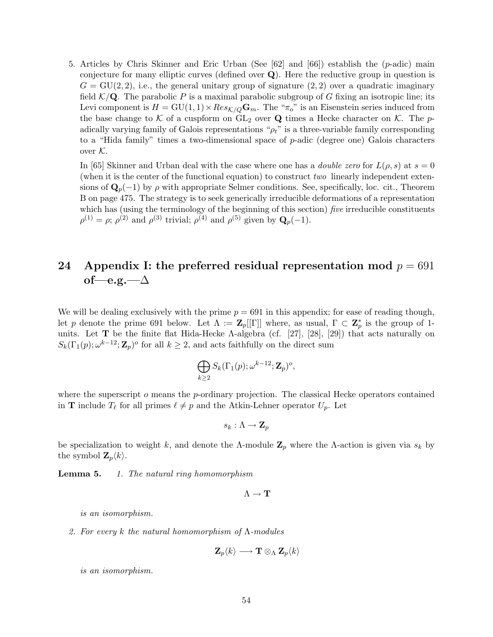5. Articles by Chris Skinner and Eric Urban (See  $[62]$  and  $[66]$ ) establish the (*p*-adic) main conjecture for many elliptic curves (defined over Q). Here the reductive group in question is  $G = \text{GU}(2, 2)$ , i.e., the general unitary group of signature  $(2, 2)$  over a quadratic imaginary field  $K/\mathbf{Q}$ . The parabolic P is a maximal parabolic subgroup of G fixing an isotropic line; its Levi component is  $H = GU(1, 1) \times Res_{K/Q} \mathbf{G}_m$ . The " $\pi_o$ " is an Eisenstein series induced from the base change to  $K$  of a cuspform on  $GL_2$  over  $Q$  times a Hecke character on  $K$ . The padically varying family of Galois representations " $\rho_t$ " is a three-variable family corresponding to a "Hida family" times a two-dimensional space of p-adic (degree one) Galois characters over  $K$ .

In [65] Skinner and Urban deal with the case where one has a *double zero* for  $L(\rho, s)$  at  $s = 0$ (when it is the center of the functional equation) to construct two linearly independent extensions of  $\mathbf{Q}_p(-1)$  by  $\rho$  with appropriate Selmer conditions. See, specifically, loc. cit., Theorem B on page 475. The strategy is to seek generically irreducible deformations of a representation which has (using the terminology of the beginning of this section) five irreducible constituents  $\rho^{(1)} = \rho$ ;  $\rho^{(2)}$  and  $\rho^{(3)}$  trivial;  $\rho^{(4)}$  and  $\rho^{(5)}$  given by  $\mathbf{Q}_p(-1)$ .

## 24 Appendix I: the preferred residual representation mod  $p = 691$ of—e.g.—∆

We will be dealing exclusively with the prime  $p = 691$  in this appendix; for ease of reading though, let p denote the prime 691 below. Let  $\Lambda := \mathbf{Z}_p[[\Gamma]]$  where, as usual,  $\Gamma \subset \mathbf{Z}_p^*$  is the group of 1units. Let T be the finite flat Hida-Hecke Λ-algebra (cf. [27], [28], [29]) that acts naturally on  $S_k(\Gamma_1(p);\omega^{k-12};\mathbf{Z}_p)^o$  for all  $k\geq 2$ , and acts faithfully on the direct sum

$$
\bigoplus_{k\geq 2} S_k(\Gamma_1(p);\omega^{k-12};{\bf Z}_p)^o,
$$

where the superscript  $o$  means the p-ordinary projection. The classical Hecke operators contained in **T** include  $T_\ell$  for all primes  $\ell \neq p$  and the Atkin-Lehner operator  $U_p$ . Let

$$
s_k:\Lambda\to\mathbf{Z}_p
$$

be specialization to weight k, and denote the Λ-module  $\mathbf{Z}_p$  where the Λ-action is given via  $s_k$  by the symbol  $\mathbf{Z}_p\langle k\rangle$ .

**Lemma 5.** 1. The natural ring homomorphism

 $\Lambda \rightarrow T$ 

is an isomorphism.

2. For every k the natural homomorphism of  $\Lambda$ -modules

$$
\mathbf{Z}_{p}\langle k\rangle \longrightarrow \mathbf{T}\otimes_{\Lambda}\mathbf{Z}_{p}\langle k\rangle
$$

is an isomorphism.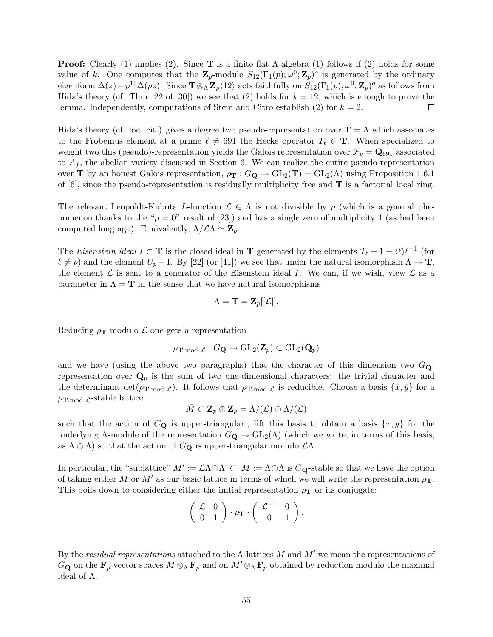**Proof:** Clearly (1) implies (2). Since **T** is a finite flat  $\Lambda$ -algebra (1) follows if (2) holds for some value of k. One computes that the  $\mathbf{Z}_p$ -module  $S_{12}(\Gamma_1(p);\omega^0;\mathbf{Z}_p)^o$  is generated by the ordinary eigenform  $\Delta(z)-p^{11}\Delta(pz)$ . Since  $\mathbf{T}\otimes_{\Lambda}\mathbf{Z}_{p}\langle12\rangle$  acts faithfully on  $S_{12}(\Gamma_1(p);\omega^0;\mathbf{Z}_{p})^o$  as follows from Hida's theory (cf. Thm. 22 of [30]) we see that (2) holds for  $k = 12$ , which is enough to prove the lemma. Independently, computations of Stein and Citro establish (2) for  $k = 2$ .  $\Box$ 

Hida's theory (cf. loc. cit.) gives a degree two pseudo-representation over  $\mathbf{T} = \Lambda$  which associates to the Frobenius element at a prime  $\ell \neq 691$  the Hecke operator  $T_\ell \in \mathbf{T}$ . When specialized to weight two this (pseudo)-representation yields the Galois representation over  $\mathcal{F}_v = \mathbf{Q}_{691}$  associated to  $A_f$ , the abelian variety discussed in Section 6. We can realize the entire pseudo-representation over **T** by an honest Galois representation,  $\rho_{\mathbf{T}} : G_{\mathbf{Q}} \to GL_2(\mathbf{T}) = GL_2(\Lambda)$  using Proposition 1.6.1 of  $[6]$ , since the pseudo-representation is residually multiplicity free and  $\bf{T}$  is a factorial local ring.

The relevant Leopoldt-Kubota L-function  $\mathcal{L} \in \Lambda$  is not divisible by p (which is a general phenomenon thanks to the " $\mu = 0$ " result of [23]) and has a single zero of multiplicity 1 (as had been computed long ago). Equivalently,  $\Lambda/\mathcal{L}\Lambda \simeq \mathbf{Z}_p$ .

The Eisenstein ideal  $I \subset \mathbf{T}$  is the closed ideal in  $\mathbf{T}$  generated by the elements  $T_\ell - 1 - \langle \ell \rangle \ell^{-1}$  (for  $\ell \neq p$ ) and the element  $U_p - 1$ . By [22] (or [41]) we see that under the natural isomorphism  $\Lambda \to \mathbf{T}$ , the element  $\mathcal L$  is sent to a generator of the Eisenstein ideal I. We can, if we wish, view  $\mathcal L$  as a parameter in  $\Lambda = \mathbf{T}$  in the sense that we have natural isomorphisms

$$
\Lambda = \mathbf{T} = \mathbf{Z}_p[[\mathcal{L}]].
$$

Reducing  $\rho_T$  modulo  $\mathcal L$  one gets a representation

$$
\rho_{\textbf{T},\text{mod }\mathcal{L}}: G_{\textbf{Q}} \to \text{GL}_2(\mathbf{Z}_p) \subset \text{GL}_2(\textbf{Q}_p)
$$

and we have (using the above two paragraphs) that the character of this dimension two  $G_Q$ representation over  $\mathbf{Q}_p$  is the sum of two one-dimensional characters: the trivial character and the determinant  $\det(\rho_{\textbf{T},\text{mod }\mathcal{L}})$ . It follows that  $\rho_{\textbf{T},\text{mod }\mathcal{L}}$  is reducible. Choose a basis  $\{\bar{x},\bar{y}\}$  for a  $\rho_{\text{T,mod }\mathcal{L}}$ -stable lattice

$$
\bar{M}\subset \mathbf{Z}_p\oplus \mathbf{Z}_p=\Lambda/(\mathcal{L})\oplus \Lambda/(\mathcal{L})
$$

such that the action of  $G_Q$  is upper-triangular.; lift this basis to obtain a basis  $\{x, y\}$  for the underlying  $\Lambda$ -module of the representation  $G_{\mathbf{Q}} \to GL_2(\Lambda)$  (which we write, in terms of this basis, as  $\Lambda \oplus \Lambda$ ) so that the action of  $G_{\mathbf{Q}}$  is upper-triangular modulo  $\mathcal{L}\Lambda$ .

In particular, the "sublattice"  $M' := \mathcal{L}\Lambda \oplus \Lambda \subset M := \Lambda \oplus \Lambda$  is  $G_{\mathbf{Q}}$ -stable so that we have the option of taking either M or M' as our basic lattice in terms of which we will write the representation  $\rho_T$ . This boils down to considering either the initial representation  $\rho_T$  or its conjugate:

$$
\left(\begin{array}{cc} \mathcal{L} & 0 \\ 0 & 1 \end{array}\right) \cdot \rho_{\mathbf{T}} \cdot \left(\begin{array}{cc} \mathcal{L}^{-1} & 0 \\ 0 & 1 \end{array}\right).
$$

By the residual representations attached to the  $\Lambda$ -lattices M and M' we mean the representations of  $G_{\bf Q}$  on the  ${\bf F}_p$ -vector spaces  $M\otimes_\Lambda {\bf F}_p$  and on  $M'\otimes_\Lambda {\bf F}_p$  obtained by reduction modulo the maximal ideal of Λ.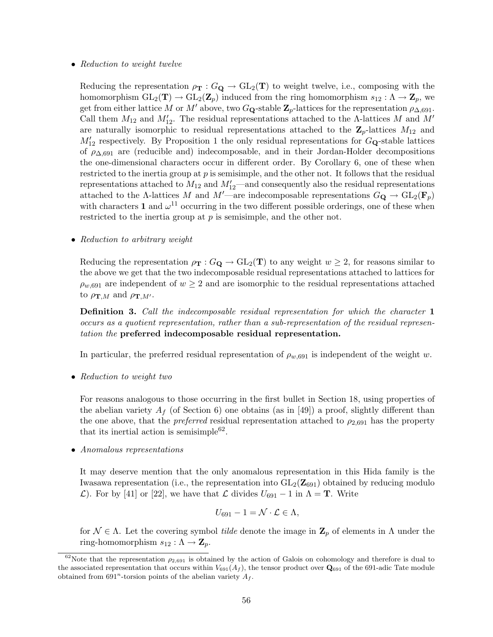#### • Reduction to weight twelve

Reducing the representation  $\rho_T : G_{\mathbf{Q}} \to GL_2(\mathbf{T})$  to weight twelve, i.e., composing with the homomorphism  $GL_2(\mathbf{T}) \to GL_2(\mathbf{Z}_p)$  induced from the ring homomorphism  $s_{12} : \Lambda \to \mathbf{Z}_p$ , we get from either lattice M or M' above, two G<sub>Q</sub>-stable  $\mathbb{Z}_p$ -lattices for the representation  $\rho_{\Delta,691}$ . Call them  $M_{12}$  and  $M'_{12}$ . The residual representations attached to the Λ-lattices M and M' are naturally isomorphic to residual representations attached to the  $\mathbb{Z}_p$ -lattices  $M_{12}$  and  $M'_{12}$  respectively. By Proposition 1 the only residual representations for  $G_{\mathbf{Q}}$ -stable lattices of  $\rho_{\Delta,691}$  are (reducible and) indecomposable, and in their Jordan-Holder decompositions the one-dimensional characters occur in different order. By Corollary 6, one of these when restricted to the inertia group at p is semisimple, and the other not. It follows that the residual representations attached to  $M_{12}$  and  $M'_{12}$ —and consequently also the residual representations attached to the Λ-lattices M and M'—are indecomposable representations  $G_{\mathbf{Q}} \to GL_2(\mathbf{F}_p)$ with characters 1 and  $\omega^{11}$  occurring in the two different possible orderings, one of these when restricted to the inertia group at  $p$  is semisimple, and the other not.

• Reduction to arbitrary weight

Reducing the representation  $\rho_T : G_{\mathbf{Q}} \to GL_2(\mathbf{T})$  to any weight  $w \geq 2$ , for reasons similar to the above we get that the two indecomposable residual representations attached to lattices for  $\rho_{w,691}$  are independent of  $w \geq 2$  and are isomorphic to the residual representations attached to  $\rho_{\mathbf{T},M}$  and  $\rho_{\mathbf{T},M'}$ .

**Definition 3.** Call the indecomposable residual representation for which the character 1 occurs as a quotient representation, rather than a sub-representation of the residual representation the preferred indecomposable residual representation.

In particular, the preferred residual representation of  $\rho_{w,691}$  is independent of the weight w.

• Reduction to weight two

For reasons analogous to those occurring in the first bullet in Section 18, using properties of the abelian variety  $A_f$  (of Section 6) one obtains (as in [49]) a proof, slightly different than the one above, that the *preferred* residual representation attached to  $\rho_{2,691}$  has the property that its inertial action is semisimple<sup>62</sup>.

• Anomalous representations

It may deserve mention that the only anomalous representation in this Hida family is the Iwasawa representation (i.e., the representation into  $GL_2(\mathbb{Z}_{691})$  obtained by reducing modulo  $\mathcal{L}$ ). For by [41] or [22], we have that  $\mathcal{L}$  divides  $U_{691} - 1$  in  $\Lambda = \mathbf{T}$ . Write

$$
U_{691}-1=\mathcal{N}\cdot\mathcal{L}\in\Lambda,
$$

for  $\mathcal{N} \in \Lambda$ . Let the covering symbol *tilde* denote the image in  $\mathbf{Z}_p$  of elements in  $\Lambda$  under the ring-homomorphism  $s_{12} : \Lambda \to \mathbb{Z}_p$ .

<sup>&</sup>lt;sup>62</sup>Note that the representation  $\rho_{2,691}$  is obtained by the action of Galois on cohomology and therefore is dual to the associated representation that occurs within  $V_{691}(A_f)$ , the tensor product over  $\mathbf{Q}_{691}$  of the 691-adic Tate module obtained from  $691^n$ -torsion points of the abelian variety  $A_f$ .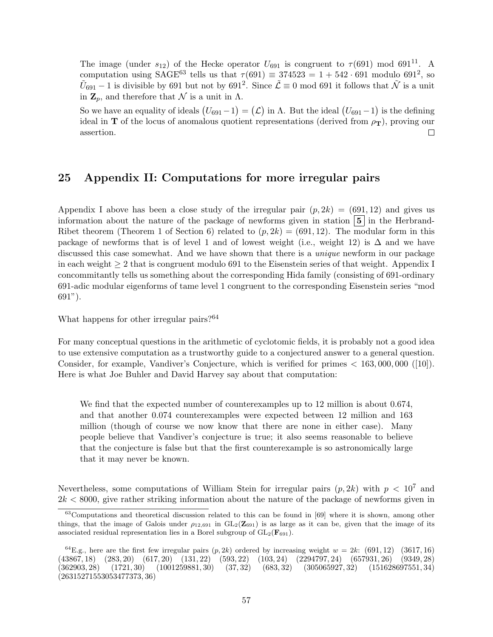The image (under  $s_{12}$ ) of the Hecke operator  $U_{691}$  is congruent to  $\tau$ (691) mod 691<sup>11</sup>. A computation using SAGE<sup>63</sup> tells us that  $\tau$ (691)  $\equiv$  374523 = 1 + 542 · 691 modulo 691<sup>2</sup>, so  $\tilde{U}_{691} - 1$  is divisible by 691 but not by 691<sup>2</sup>. Since  $\tilde{\mathcal{L}} \equiv 0$  mod 691 it follows that  $\tilde{\mathcal{N}}$  is a unit in  $\mathbf{Z}_p$ , and therefore that N is a unit in  $\Lambda$ .

So we have an equality of ideals  $(U_{691}-1) = (\mathcal{L})$  in  $\Lambda$ . But the ideal  $(U_{691}-1)$  is the defining ideal in T of the locus of anomalous quotient representations (derived from  $\rho_T$ ), proving our assertion.  $\Box$ 

### 25 Appendix II: Computations for more irregular pairs

Appendix I above has been a close study of the irregular pair  $(p, 2k) = (691, 12)$  and gives us information about the nature of the package of newforms given in station  $\vert 5 \vert$  in the Herbrand-Ribet theorem (Theorem 1 of Section 6) related to  $(p, 2k) = (691, 12)$ . The modular form in this package of newforms that is of level 1 and of lowest weight (i.e., weight 12) is  $\Delta$  and we have discussed this case somewhat. And we have shown that there is a *unique* newform in our package in each weight  $\geq 2$  that is congruent modulo 691 to the Eisenstein series of that weight. Appendix I concommitantly tells us something about the corresponding Hida family (consisting of 691-ordinary 691-adic modular eigenforms of tame level 1 congruent to the corresponding Eisenstein series "mod 691").

What happens for other irregular pairs?<sup>64</sup>

For many conceptual questions in the arithmetic of cyclotomic fields, it is probably not a good idea to use extensive computation as a trustworthy guide to a conjectured answer to a general question. Consider, for example, Vandiver's Conjecture, which is verified for primes < 163, 000, 000 ([10]). Here is what Joe Buhler and David Harvey say about that computation:

We find that the expected number of counterexamples up to 12 million is about 0.674, and that another 0.074 counterexamples were expected between 12 million and 163 million (though of course we now know that there are none in either case). Many people believe that Vandiver's conjecture is true; it also seems reasonable to believe that the conjecture is false but that the first counterexample is so astronomically large that it may never be known.

Nevertheless, some computations of William Stein for irregular pairs  $(p, 2k)$  with  $p < 10<sup>7</sup>$  and  $2k < 8000$ , give rather striking information about the nature of the package of newforms given in

<sup>63</sup>Computations and theoretical discussion related to this can be found in [69] where it is shown, among other things, that the image of Galois under  $\rho_{12,691}$  in  $GL_2(\mathbb{Z}_{691})$  is as large as it can be, given that the image of its associated residual representation lies in a Borel subgroup of  $GL_2(\mathbf{F}_{691})$ .

<sup>&</sup>lt;sup>64</sup>E.g., here are the first few irregular pairs  $(p, 2k)$  ordered by increasing weight  $w = 2k$ : (691, 12) (3617, 16) (43867, 18) (283, 20) (617, 20) (131, 22) (593, 22) (103, 24) (2294797, 24) (657931, 26) (9349, 28)  $(362903, 28)$   $(1721, 30)$   $(1001259881, 30)$   $(37, 32)$   $(683, 32)$   $(305065927, 32)$   $(151628697551, 34)$ (26315271553053477373, 36)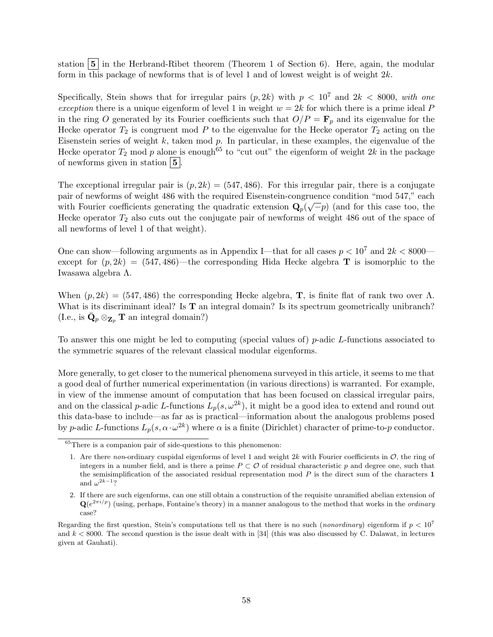station  $\boxed{5}$  in the Herbrand-Ribet theorem (Theorem 1 of Section 6). Here, again, the modular form in this package of newforms that is of level 1 and of lowest weight is of weight  $2k$ .

Specifically, Stein shows that for irregular pairs  $(p, 2k)$  with  $p < 10^7$  and  $2k < 8000$ , with one exception there is a unique eigenform of level 1 in weight  $w = 2k$  for which there is a prime ideal P in the ring O generated by its Fourier coefficients such that  $O/P = \mathbf{F}_p$  and its eigenvalue for the Hecke operator  $T_2$  is congruent mod P to the eigenvalue for the Hecke operator  $T_2$  acting on the Eisenstein series of weight  $k$ , taken mod  $p$ . In particular, in these examples, the eigenvalue of the Hecke operator  $T_2$  mod p alone is enough<sup>65</sup> to "cut out" the eigenform of weight 2k in the package of newforms given in station  $\vert 5 \vert$ .

The exceptional irregular pair is  $(p, 2k) = (547, 486)$ . For this irregular pair, there is a conjugate pair of newforms of weight 486 with the required Eisenstein-congruence condition "mod 547," each  $\sim$ with Fourier coefficients generating the quadratic extension  $\mathbf{Q}_p(\sqrt{-p})$  (and for this case too, the Hecke operator  $T_2$  also cuts out the conjugate pair of newforms of weight 486 out of the space of all newforms of level 1 of that weight).

One can show—following arguments as in Appendix I—that for all cases  $p < 10^7$  and  $2k < 8000$  except for  $(p, 2k) = (547, 486)$ —the corresponding Hida Hecke algebra **T** is isomorphic to the Iwasawa algebra Λ.

When  $(p, 2k) = (547, 486)$  the corresponding Hecke algebra, **T**, is finite flat of rank two over  $\Lambda$ . What is its discriminant ideal? Is  $T$  an integral domain? Is its spectrum geometrically unibranch? (I.e., is  $\bar{\mathbf{Q}}_p \otimes_{\mathbf{Z}_p} \mathbf{T}$  an integral domain?)

To answer this one might be led to computing (special values of) p-adic L-functions associated to the symmetric squares of the relevant classical modular eigenforms.

More generally, to get closer to the numerical phenomena surveyed in this article, it seems to me that a good deal of further numerical experimentation (in various directions) is warranted. For example, in view of the immense amount of computation that has been focused on classical irregular pairs, and on the classical p-adic L-functions  $L_p(s, \omega^{2k})$ , it might be a good idea to extend and round out this data-base to include—as far as is practical—information about the analogous problems posed by p-adic L-functions  $L_p(s, \alpha \cdot \omega^{2k})$  where  $\alpha$  is a finite (Dirichlet) character of prime-to-p conductor.

 ${}^{65}$ There is a companion pair of side-questions to this phenomenon:

<sup>1.</sup> Are there non-ordinary cuspidal eigenforms of level 1 and weight  $2k$  with Fourier coefficients in  $\mathcal{O}$ , the ring of integers in a number field, and is there a prime  $P \subset \mathcal{O}$  of residual characteristic p and degree one, such that the semisimplification of the associated residual representation mod  $P$  is the direct sum of the characters  $1$ and  $\omega^{2k-1}$ ?

<sup>2.</sup> If there are such eigenforms, can one still obtain a construction of the requisite unramified abelian extension of  $\mathbf{Q}(e^{2\pi i/p})$  (using, perhaps, Fontaine's theory) in a manner analogous to the method that works in the *ordinary* case?

Regarding the first question, Stein's computations tell us that there is no such (*nonordinary*) eigenform if  $p < 10^7$ and  $k < 8000$ . The second question is the issue dealt with in [34] (this was also discussed by C. Dalawat, in lectures given at Gauhati).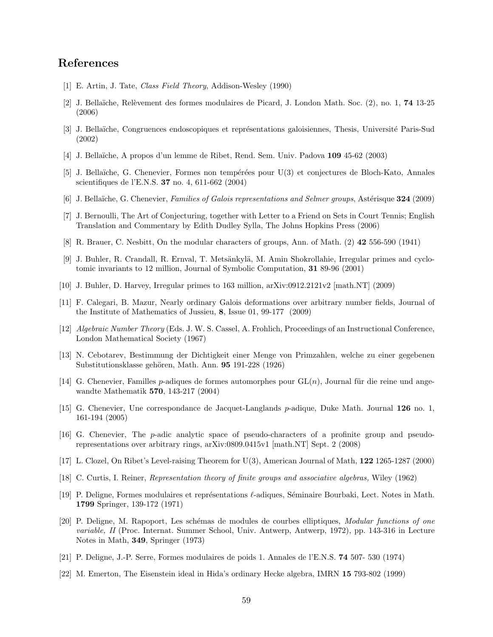## References

- [1] E. Artin, J. Tate, Class Field Theory, Addison-Wesley (1990)
- [2] J. Bella¨ıche, Rel`evement des formes modulaires de Picard, J. London Math. Soc. (2), no. 1, 74 13-25 (2006)
- [3] J. Bellaïche, Congruences endoscopiques et représentations galoisiennes, Thesis, Université Paris-Sud (2002)
- [4] J. Bella¨ıche, A propos d'un lemme de Ribet, Rend. Sem. Univ. Padova 109 45-62 (2003)
- [5] J. Bella¨ıche, G. Chenevier, Formes non temp´er´ees pour U(3) et conjectures de Bloch-Kato, Annales scientifiques de l'E.N.S. 37 no. 4, 611-662 (2004)
- [6] J. Bellaïche, G. Chenevier, Families of Galois representations and Selmer groups, Astérisque 324 (2009)
- [7] J. Bernoulli, The Art of Conjecturing, together with Letter to a Friend on Sets in Court Tennis; English Translation and Commentary by Edith Dudley Sylla, The Johns Hopkins Press (2006)
- [8] R. Brauer, C. Nesbitt, On the modular characters of groups, Ann. of Math. (2) 42 556-590 (1941)
- [9] J. Buhler, R. Crandall, R. Ernval, T. Metsänkylä, M. Amin Shokrollahie, Irregular primes and cyclotomic invariants to 12 million, Journal of Symbolic Computation, 31 89-96 (2001)
- [10] J. Buhler, D. Harvey, Irregular primes to 163 million, arXiv:0912.2121v2 [math.NT] (2009)
- [11] F. Calegari, B. Mazur, Nearly ordinary Galois deformations over arbitrary number fields, Journal of the Institute of Mathematics of Jussieu, 8, Issue 01, 99-177 (2009)
- [12] Algebraic Number Theory (Eds. J. W. S. Cassel, A. Frohlich, Proceedings of an Instructional Conference, London Mathematical Society (1967)
- [13] N. Cebotarev, Bestimmung der Dichtigkeit einer Menge von Primzahlen, welche zu einer gegebenen Substitutionsklasse gehören, Math. Ann. 95 191-228 (1926)
- [14] G. Chenevier, Familles p-adiques de formes automorphes pour  $GL(n)$ , Journal für die reine und angewandte Mathematik 570, 143-217 (2004)
- [15] G. Chenevier, Une correspondance de Jacquet-Langlands p-adique, Duke Math. Journal 126 no. 1, 161-194 (2005)
- [16] G. Chenevier, The p-adic analytic space of pseudo-characters of a profinite group and pseudorepresentations over arbitrary rings, arXiv:0809.0415v1 [math.NT] Sept. 2 (2008)
- [17] L. Clozel, On Ribet's Level-raising Theorem for U(3), American Journal of Math, 122 1265-1287 (2000)
- [18] C. Curtis, I. Reiner, Representation theory of finite groups and associative algebras, Wiley (1962)
- [19] P. Deligne, Formes modulaires et représentations  $\ell$ -adiques, Séminaire Bourbaki, Lect. Notes in Math. 1799 Springer, 139-172 (1971)
- [20] P. Deligne, M. Rapoport, Les schémas de modules de courbes elliptiques, Modular functions of one variable, II (Proc. Internat. Summer School, Univ. Antwerp, Antwerp, 1972), pp. 143-316 in Lecture Notes in Math, 349, Springer (1973)
- [21] P. Deligne, J.-P. Serre, Formes modulaires de poids 1. Annales de l'E.N.S. 74 507- 530 (1974)
- [22] M. Emerton, The Eisenstein ideal in Hida's ordinary Hecke algebra, IMRN 15 793-802 (1999)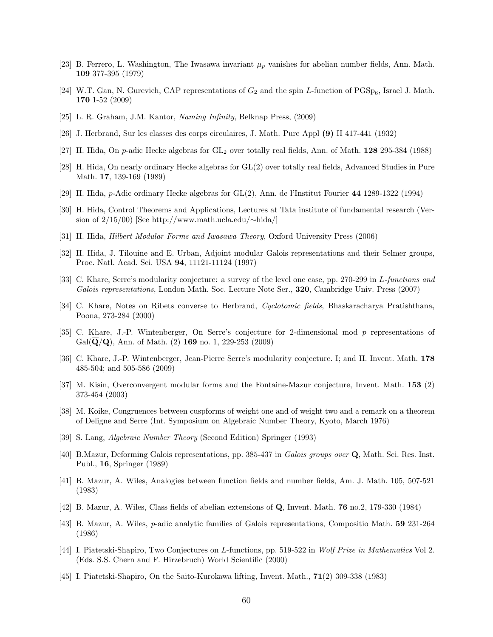- [23] B. Ferrero, L. Washington, The Iwasawa invariant  $\mu_p$  vanishes for abelian number fields, Ann. Math. 109 377-395 (1979)
- [24] W.T. Gan, N. Gurevich, CAP representations of  $G_2$  and the spin L-function of  $PGSp_6$ , Israel J. Math. 170 1-52 (2009)
- [25] L. R. Graham, J.M. Kantor, Naming Infinity, Belknap Press, (2009)
- [26] J. Herbrand, Sur les classes des corps circulaires, J. Math. Pure Appl (9) II 417-441 (1932)
- [27] H. Hida, On p-adic Hecke algebras for GL<sub>2</sub> over totally real fields, Ann. of Math. 128 295-384 (1988)
- [28] H. Hida, On nearly ordinary Hecke algebras for GL(2) over totally real fields, Advanced Studies in Pure Math. 17, 139-169 (1989)
- [29] H. Hida, p-Adic ordinary Hecke algebras for GL(2), Ann. de l'Institut Fourier 44 1289-1322 (1994)
- [30] H. Hida, Control Theorems and Applications, Lectures at Tata institute of fundamental research (Version of 2/15/00) [See http://www.math.ucla.edu/∼hida/]
- [31] H. Hida, Hilbert Modular Forms and Iwasawa Theory, Oxford University Press (2006)
- [32] H. Hida, J. Tilouine and E. Urban, Adjoint modular Galois representations and their Selmer groups, Proc. Natl. Acad. Sci. USA 94, 11121-11124 (1997)
- [33] C. Khare, Serre's modularity conjecture: a survey of the level one case, pp. 270-299 in L-functions and Galois representations, London Math. Soc. Lecture Note Ser., 320, Cambridge Univ. Press (2007)
- [34] C. Khare, Notes on Ribets converse to Herbrand, Cyclotomic fields, Bhaskaracharya Pratishthana, Poona, 273-284 (2000)
- [35] C. Khare, J.-P. Wintenberger, On Serre's conjecture for 2-dimensional mod p representations of  $Gal(\mathbf{Q}/\mathbf{Q})$ , Ann. of Math. (2) 169 no. 1, 229-253 (2009)
- [36] C. Khare, J.-P. Wintenberger, Jean-Pierre Serre's modularity conjecture. I; and II. Invent. Math. 178 485-504; and 505-586 (2009)
- [37] M. Kisin, Overconvergent modular forms and the Fontaine-Mazur conjecture, Invent. Math. 153 (2) 373-454 (2003)
- [38] M. Koike, Congruences between cuspforms of weight one and of weight two and a remark on a theorem of Deligne and Serre (Int. Symposium on Algebraic Number Theory, Kyoto, March 1976)
- [39] S. Lang, Algebraic Number Theory (Second Edition) Springer (1993)
- [40] B.Mazur, Deforming Galois representations, pp. 385-437 in Galois groups over Q, Math. Sci. Res. Inst. Publ., 16, Springer (1989)
- [41] B. Mazur, A. Wiles, Analogies between function fields and number fields, Am. J. Math. 105, 507-521 (1983)
- [42] B. Mazur, A. Wiles, Class fields of abelian extensions of Q, Invent. Math. 76 no.2, 179-330 (1984)
- [43] B. Mazur, A. Wiles, p-adic analytic families of Galois representations, Compositio Math. 59 231-264 (1986)
- [44] I. Piatetski-Shapiro, Two Conjectures on L-functions, pp. 519-522 in Wolf Prize in Mathematics Vol 2. (Eds. S.S. Chern and F. Hirzebruch) World Scientific (2000)
- [45] I. Piatetski-Shapiro, On the Saito-Kurokawa lifting, Invent. Math., 71(2) 309-338 (1983)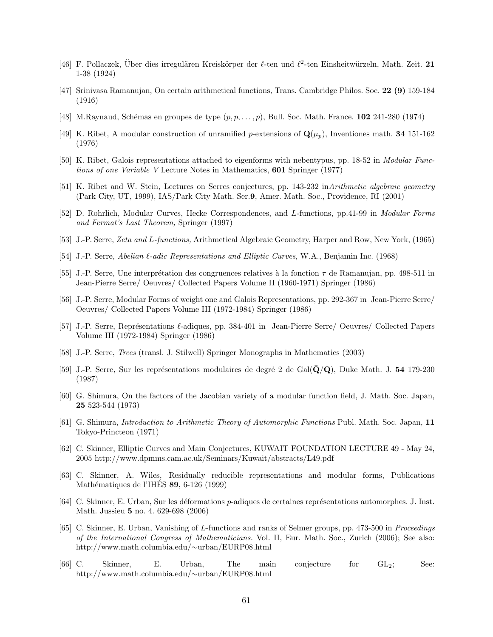- [46] F. Pollaczek, Über dies irregulären Kreiskörper der  $\ell$ -ten und  $\ell^2$ -ten Einsheitwürzeln, Math. Zeit. 21 1-38 (1924)
- [47] Srinivasa Ramanujan, On certain arithmetical functions, Trans. Cambridge Philos. Soc. 22 (9) 159-184 (1916)
- [48] M.Raynaud, Schémas en groupes de type  $(p, p, \ldots, p)$ , Bull. Soc. Math. France. 102 241-280 (1974)
- [49] K. Ribet, A modular construction of unramified p-extensions of  $\mathbf{Q}(\mu_p)$ , Inventiones math. 34 151-162 (1976)
- [50] K. Ribet, Galois representations attached to eigenforms with nebentypus, pp. 18-52 in Modular Functions of one Variable V Lecture Notes in Mathematics, 601 Springer (1977)
- [51] K. Ribet and W. Stein, Lectures on Serres conjectures, pp. 143-232 inArithmetic algebraic geometry (Park City, UT, 1999), IAS/Park City Math. Ser.9, Amer. Math. Soc., Providence, RI (2001)
- [52] D. Rohrlich, Modular Curves, Hecke Correspondences, and L-functions, pp.41-99 in Modular Forms and Fermat's Last Theorem, Springer (1997)
- [53] J.-P. Serre, Zeta and L-functions, Arithmetical Algebraic Geometry, Harper and Row, New York, (1965)
- [54] J.-P. Serre, Abelian  $\ell$ -adic Representations and Elliptic Curves, W.A., Benjamin Inc. (1968)
- [55] J.-P. Serre, Une interprétation des congruences relatives à la fonction  $\tau$  de Ramanujan, pp. 498-511 in Jean-Pierre Serre/ Oeuvres/ Collected Papers Volume II (1960-1971) Springer (1986)
- [56] J.-P. Serre, Modular Forms of weight one and Galois Representations, pp. 292-367 in Jean-Pierre Serre/ Oeuvres/ Collected Papers Volume III (1972-1984) Springer (1986)
- [57] J.-P. Serre, Représentations  $\ell$ -adiques, pp. 384-401 in Jean-Pierre Serre/ Oeuvres/ Collected Papers Volume III (1972-1984) Springer (1986)
- [58] J.-P. Serre, Trees (transl. J. Stilwell) Springer Monographs in Mathematics (2003)
- [59] J.-P. Serre, Sur les représentations modulaires de degré 2 de Gal $(Q/Q)$ , Duke Math. J. 54 179-230 (1987)
- [60] G. Shimura, On the factors of the Jacobian variety of a modular function field, J. Math. Soc. Japan, 25 523-544 (1973)
- [61] G. Shimura, Introduction to Arithmetic Theory of Automorphic Functions Publ. Math. Soc. Japan, 11 Tokyo-Princteon (1971)
- [62] C. Skinner, Elliptic Curves and Main Conjectures, KUWAIT FOUNDATION LECTURE 49 May 24, 2005 http://www.dpmms.cam.ac.uk/Seminars/Kuwait/abstracts/L49.pdf
- [63] C. Skinner, A. Wiles, Residually reducible representations and modular forms, Publications Mathématiques de l'IHES 89, 6-126 (1999)
- [64] C. Skinner, E. Urban, Sur les déformations p-adiques de certaines représentations automorphes. J. Inst. Math. Jussieu 5 no. 4. 629-698 (2006)
- [65] C. Skinner, E. Urban, Vanishing of L-functions and ranks of Selmer groups, pp. 473-500 in Proceedings of the International Congress of Mathematicians. Vol. II, Eur. Math. Soc., Zurich (2006); See also: http://www.math.columbia.edu/∼urban/EURP08.html
- [66] C. Skinner, E. Urban, The main conjecture for GL2; See: http://www.math.columbia.edu/∼urban/EURP08.html